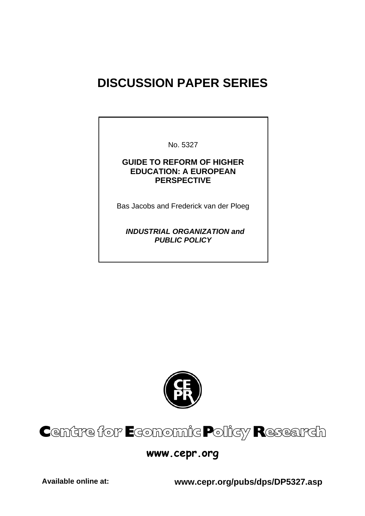# **DISCUSSION PAPER SERIES**

No. 5327

### **GUIDE TO REFORM OF HIGHER EDUCATION: A EUROPEAN PERSPECTIVE**

Bas Jacobs and Frederick van der Ploeg

 *INDUSTRIAL ORGANIZATION and PUBLIC POLICY* 



# Centre for Economic Policy Research

## **www.cepr.org**

**Available online at: www.cepr.org/pubs/dps/DP5327.asp**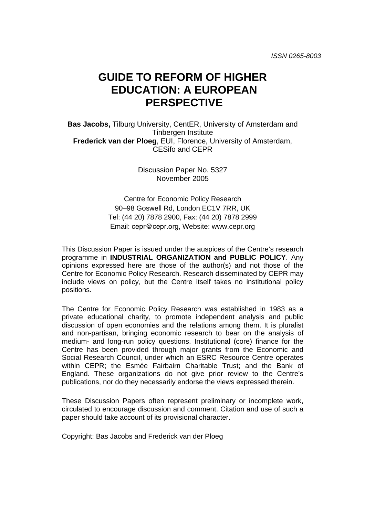# **GUIDE TO REFORM OF HIGHER EDUCATION: A EUROPEAN PERSPECTIVE**

**Bas Jacobs,** Tilburg University, CentER, University of Amsterdam and Tinbergen Institute **Frederick van der Ploeg**, EUI, Florence, University of Amsterdam, CESifo and CEPR

> Discussion Paper No. 5327 November 2005

Centre for Economic Policy Research 90–98 Goswell Rd, London EC1V 7RR, UK Tel: (44 20) 7878 2900, Fax: (44 20) 7878 2999 Email: cepr@cepr.org, Website: www.cepr.org

This Discussion Paper is issued under the auspices of the Centre's research programme in **INDUSTRIAL ORGANIZATION and PUBLIC POLICY**. Any opinions expressed here are those of the author(s) and not those of the Centre for Economic Policy Research. Research disseminated by CEPR may include views on policy, but the Centre itself takes no institutional policy positions.

The Centre for Economic Policy Research was established in 1983 as a private educational charity, to promote independent analysis and public discussion of open economies and the relations among them. It is pluralist and non-partisan, bringing economic research to bear on the analysis of medium- and long-run policy questions. Institutional (core) finance for the Centre has been provided through major grants from the Economic and Social Research Council, under which an ESRC Resource Centre operates within CEPR; the Esmée Fairbairn Charitable Trust; and the Bank of England. These organizations do not give prior review to the Centre's publications, nor do they necessarily endorse the views expressed therein.

These Discussion Papers often represent preliminary or incomplete work, circulated to encourage discussion and comment. Citation and use of such a paper should take account of its provisional character.

Copyright: Bas Jacobs and Frederick van der Ploeg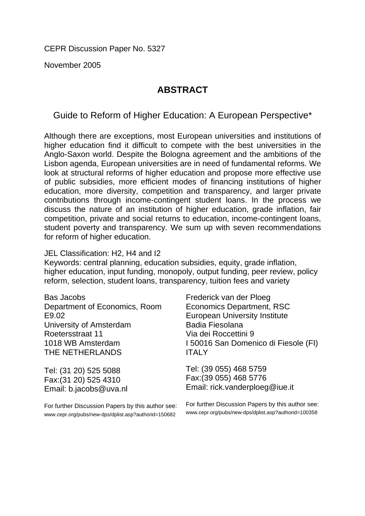CEPR Discussion Paper No. 5327

November 2005

## **ABSTRACT**

Guide to Reform of Higher Education: A European Perspective\*

Although there are exceptions, most European universities and institutions of higher education find it difficult to compete with the best universities in the Anglo-Saxon world. Despite the Bologna agreement and the ambitions of the Lisbon agenda, European universities are in need of fundamental reforms. We look at structural reforms of higher education and propose more effective use of public subsidies, more efficient modes of financing institutions of higher education, more diversity, competition and transparency, and larger private contributions through income-contingent student loans. In the process we discuss the nature of an institution of higher education, grade inflation, fair competition, private and social returns to education, income-contingent loans, student poverty and transparency. We sum up with seven recommendations for reform of higher education.

### JEL Classification: H2, H4 and I2

Keywords: central planning, education subsidies, equity, grade inflation, higher education, input funding, monopoly, output funding, peer review, policy reform, selection, student loans, transparency, tuition fees and variety

Bas Jacobs Department of Economics, Room E9.02 University of Amsterdam Roetersstraat 11 1018 WB Amsterdam THE NETHERLANDS

Tel: (31 20) 525 5088 Fax:(31 20) 525 4310 Email: b.jacobs@uva.nl

For further Discussion Papers by this author see: www.cepr.org/pubs/new-dps/dplist.asp?authorid=150682

Frederick van der Ploeg Economics Department, RSC European University Institute Badia Fiesolana Via dei Roccettini 9 I 50016 San Domenico di Fiesole (FI) ITALY

Tel: (39 055) 468 5759 Fax:(39 055) 468 5776 Email: rick.vanderploeg@iue.it

For further Discussion Papers by this author see: www.cepr.org/pubs/new-dps/dplist.asp?authorid=100358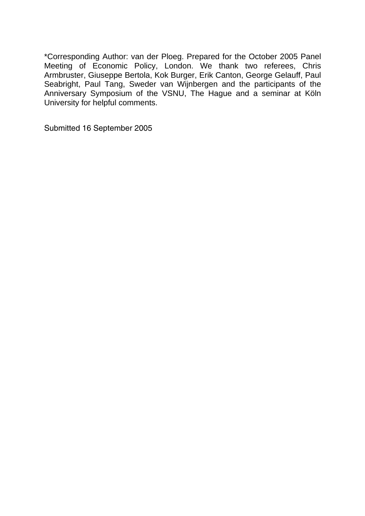\*Corresponding Author: van der Ploeg. Prepared for the October 2005 Panel Meeting of Economic Policy, London. We thank two referees, Chris Armbruster, Giuseppe Bertola, Kok Burger, Erik Canton, George Gelauff, Paul Seabright, Paul Tang, Sweder van Wijnbergen and the participants of the Anniversary Symposium of the VSNU, The Hague and a seminar at Köln University for helpful comments.

Submitted 16 September 2005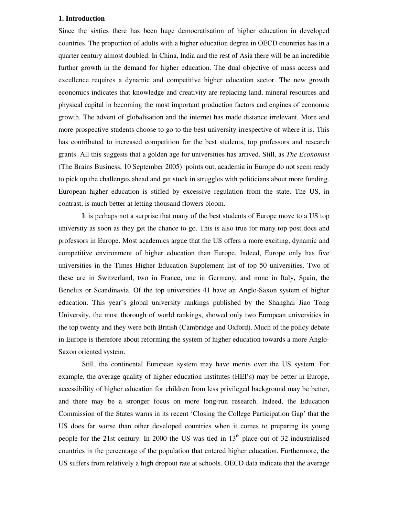#### **1. Introduction**

Since the sixties there has been huge democratisation of higher education in developed countries. The proportion of adults with a higher education degree in OECD countries has in a quarter century almost doubled. In China, India and the rest of Asia there will be an incredible further growth in the demand for higher education. The dual objective of mass access and excellence requires a dynamic and competitive higher education sector. The new growth economics indicates that knowledge and creativity are replacing land, mineral resources and physical capital in becoming the most important production factors and engines of economic growth. The advent of globalisation and the internet has made distance irrelevant. More and more prospective students choose to go to the best university irrespective of where it is. This has contributed to increased competition for the best students, top professors and research grants. All this suggests that a golden age for universities has arrived. Still, as *The Economist* (The Brains Business, 10 September 2005) points out, academia in Europe do not seem ready to pick up the challenges ahead and get stuck in struggles with politicians about more funding. European higher education is stifled by excessive regulation from the state. The US, in contrast, is much better at letting thousand flowers bloom.

It is perhaps not a surprise that many of the best students of Europe move to a US top university as soon as they get the chance to go. This is also true for many top post docs and professors in Europe. Most academics argue that the US offers a more exciting, dynamic and competitive environment of higher education than Europe. Indeed, Europe only has five universities in the Times Higher Education Supplement list of top 50 universities. Two of these are in Switzerland, two in France, one in Germany, and none in Italy, Spain, the Benelux or Scandinavia. Of the top universities 41 have an Anglo-Saxon system of higher education. This year's global university rankings published by the Shanghai Jiao Tong University, the most thorough of world rankings, showed only two European universities in the top twenty and they were both British (Cambridge and Oxford). Much of the policy debate in Europe is therefore about reforming the system of higher education towards a more Anglo-Saxon oriented system.

Still, the continental European system may have merits over the US system. For example, the average quality of higher education institutes (HEI's) may be better in Europe, accessibility of higher education for children from less privileged background may be better, and there may be a stronger focus on more long-run research. Indeed, the Education Commission of the States warns in its recent 'Closing the College Participation Gap' that the US does far worse than other developed countries when it comes to preparing its young people for the 21st century. In 2000 the US was tied in  $13<sup>th</sup>$  place out of 32 industrialised countries in the percentage of the population that entered higher education. Furthermore, the US suffers from relatively a high dropout rate at schools. OECD data indicate that the average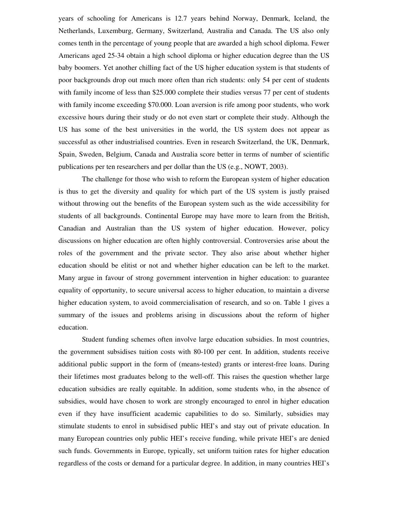years of schooling for Americans is 12.7 years behind Norway, Denmark, Iceland, the Netherlands, Luxemburg, Germany, Switzerland, Australia and Canada. The US also only comes tenth in the percentage of young people that are awarded a high school diploma. Fewer Americans aged 25-34 obtain a high school diploma or higher education degree than the US baby boomers. Yet another chilling fact of the US higher education system is that students of poor backgrounds drop out much more often than rich students: only 54 per cent of students with family income of less than \$25.000 complete their studies versus 77 per cent of students with family income exceeding \$70.000. Loan aversion is rife among poor students, who work excessive hours during their study or do not even start or complete their study. Although the US has some of the best universities in the world, the US system does not appear as successful as other industrialised countries. Even in research Switzerland, the UK, Denmark, Spain, Sweden, Belgium, Canada and Australia score better in terms of number of scientific publications per ten researchers and per dollar than the US (e.g., NOWT, 2003).

The challenge for those who wish to reform the European system of higher education is thus to get the diversity and quality for which part of the US system is justly praised without throwing out the benefits of the European system such as the wide accessibility for students of all backgrounds. Continental Europe may have more to learn from the British, Canadian and Australian than the US system of higher education. However, policy discussions on higher education are often highly controversial. Controversies arise about the roles of the government and the private sector. They also arise about whether higher education should be elitist or not and whether higher education can be left to the market. Many argue in favour of strong government intervention in higher education: to guarantee equality of opportunity, to secure universal access to higher education, to maintain a diverse higher education system, to avoid commercialisation of research, and so on. Table 1 gives a summary of the issues and problems arising in discussions about the reform of higher education.

Student funding schemes often involve large education subsidies. In most countries, the government subsidises tuition costs with 80-100 per cent. In addition, students receive additional public support in the form of (means-tested) grants or interest-free loans. During their lifetimes most graduates belong to the well-off. This raises the question whether large education subsidies are really equitable. In addition, some students who, in the absence of subsidies, would have chosen to work are strongly encouraged to enrol in higher education even if they have insufficient academic capabilities to do so. Similarly, subsidies may stimulate students to enrol in subsidised public HEI's and stay out of private education. In many European countries only public HEI's receive funding, while private HEI's are denied such funds. Governments in Europe, typically, set uniform tuition rates for higher education regardless of the costs or demand for a particular degree. In addition, in many countries HEI's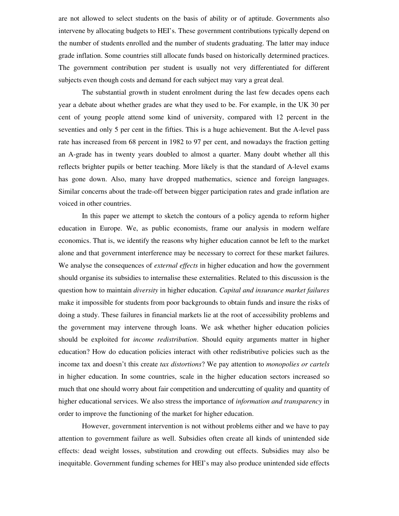are not allowed to select students on the basis of ability or of aptitude. Governments also intervene by allocating budgets to HEI's. These government contributions typically depend on the number of students enrolled and the number of students graduating. The latter may induce grade inflation. Some countries still allocate funds based on historically determined practices. The government contribution per student is usually not very differentiated for different subjects even though costs and demand for each subject may vary a great deal.

The substantial growth in student enrolment during the last few decades opens each year a debate about whether grades are what they used to be. For example, in the UK 30 per cent of young people attend some kind of university, compared with 12 percent in the seventies and only 5 per cent in the fifties. This is a huge achievement. But the A-level pass rate has increased from 68 percent in 1982 to 97 per cent, and nowadays the fraction getting an A-grade has in twenty years doubled to almost a quarter. Many doubt whether all this reflects brighter pupils or better teaching. More likely is that the standard of A-level exams has gone down. Also, many have dropped mathematics, science and foreign languages. Similar concerns about the trade-off between bigger participation rates and grade inflation are voiced in other countries.

In this paper we attempt to sketch the contours of a policy agenda to reform higher education in Europe. We, as public economists, frame our analysis in modern welfare economics. That is, we identify the reasons why higher education cannot be left to the market alone and that government interference may be necessary to correct for these market failures. We analyse the consequences of *external effects* in higher education and how the government should organise its subsidies to internalise these externalities. Related to this discussion is the question how to maintain *diversity* in higher education. *Capital and insurance market failures* make it impossible for students from poor backgrounds to obtain funds and insure the risks of doing a study. These failures in financial markets lie at the root of accessibility problems and the government may intervene through loans. We ask whether higher education policies should be exploited for *income redistribution*. Should equity arguments matter in higher education? How do education policies interact with other redistributive policies such as the income tax and doesn't this create *tax distortions*? We pay attention to *monopolies or cartels* in higher education. In some countries, scale in the higher education sectors increased so much that one should worry about fair competition and undercutting of quality and quantity of higher educational services. We also stress the importance of *information and transparency* in order to improve the functioning of the market for higher education.

However, government intervention is not without problems either and we have to pay attention to government failure as well. Subsidies often create all kinds of unintended side effects: dead weight losses, substitution and crowding out effects. Subsidies may also be inequitable. Government funding schemes for HEI's may also produce unintended side effects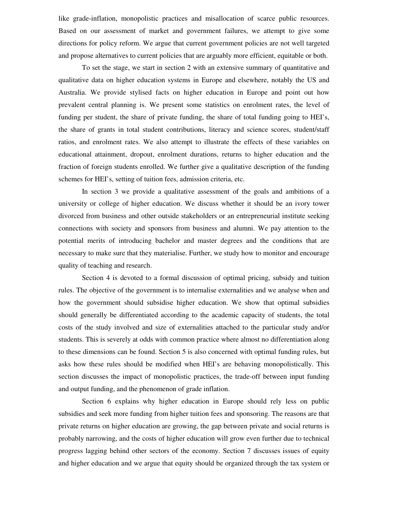like grade-inflation, monopolistic practices and misallocation of scarce public resources. Based on our assessment of market and government failures, we attempt to give some directions for policy reform. We argue that current government policies are not well targeted and propose alternatives to current policies that are arguably more efficient, equitable or both.

To set the stage, we start in section 2 with an extensive summary of quantitative and qualitative data on higher education systems in Europe and elsewhere, notably the US and Australia. We provide stylised facts on higher education in Europe and point out how prevalent central planning is. We present some statistics on enrolment rates, the level of funding per student, the share of private funding, the share of total funding going to HEI's, the share of grants in total student contributions, literacy and science scores, student/staff ratios, and enrolment rates. We also attempt to illustrate the effects of these variables on educational attainment, dropout, enrolment durations, returns to higher education and the fraction of foreign students enrolled. We further give a qualitative description of the funding schemes for HEI's, setting of tuition fees, admission criteria, etc.

In section 3 we provide a qualitative assessment of the goals and ambitions of a university or college of higher education. We discuss whether it should be an ivory tower divorced from business and other outside stakeholders or an entrepreneurial institute seeking connections with society and sponsors from business and alumni. We pay attention to the potential merits of introducing bachelor and master degrees and the conditions that are necessary to make sure that they materialise. Further, we study how to monitor and encourage quality of teaching and research.

Section 4 is devoted to a formal discussion of optimal pricing, subsidy and tuition rules. The objective of the government is to internalise externalities and we analyse when and how the government should subsidise higher education. We show that optimal subsidies should generally be differentiated according to the academic capacity of students, the total costs of the study involved and size of externalities attached to the particular study and/or students. This is severely at odds with common practice where almost no differentiation along to these dimensions can be found. Section 5 is also concerned with optimal funding rules, but asks how these rules should be modified when HEI's are behaving monopolistically. This section discusses the impact of monopolistic practices, the trade-off between input funding and output funding, and the phenomenon of grade inflation.

Section 6 explains why higher education in Europe should rely less on public subsidies and seek more funding from higher tuition fees and sponsoring. The reasons are that private returns on higher education are growing, the gap between private and social returns is probably narrowing, and the costs of higher education will grow even further due to technical progress lagging behind other sectors of the economy. Section 7 discusses issues of equity and higher education and we argue that equity should be organized through the tax system or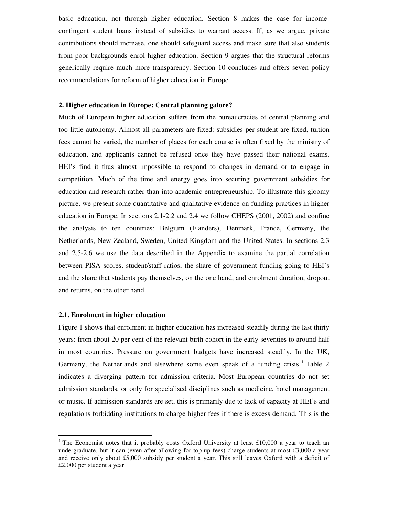basic education, not through higher education. Section 8 makes the case for incomecontingent student loans instead of subsidies to warrant access. If, as we argue, private contributions should increase, one should safeguard access and make sure that also students from poor backgrounds enrol higher education. Section 9 argues that the structural reforms generically require much more transparency. Section 10 concludes and offers seven policy recommendations for reform of higher education in Europe.

#### **2. Higher education in Europe: Central planning galore?**

Much of European higher education suffers from the bureaucracies of central planning and too little autonomy. Almost all parameters are fixed: subsidies per student are fixed, tuition fees cannot be varied, the number of places for each course is often fixed by the ministry of education, and applicants cannot be refused once they have passed their national exams. HEI's find it thus almost impossible to respond to changes in demand or to engage in competition. Much of the time and energy goes into securing government subsidies for education and research rather than into academic entrepreneurship. To illustrate this gloomy picture, we present some quantitative and qualitative evidence on funding practices in higher education in Europe. In sections 2.1-2.2 and 2.4 we follow CHEPS (2001, 2002) and confine the analysis to ten countries: Belgium (Flanders), Denmark, France, Germany, the Netherlands, New Zealand, Sweden, United Kingdom and the United States. In sections 2.3 and 2.5-2.6 we use the data described in the Appendix to examine the partial correlation between PISA scores, student/staff ratios, the share of government funding going to HEI's and the share that students pay themselves, on the one hand, and enrolment duration, dropout and returns, on the other hand.

#### **2.1. Enrolment in higher education**

Figure 1 shows that enrolment in higher education has increased steadily during the last thirty years: from about 20 per cent of the relevant birth cohort in the early seventies to around half in most countries. Pressure on government budgets have increased steadily. In the UK, Germany, the Netherlands and elsewhere some even speak of a funding crisis.<sup>1</sup> Table 2 indicates a diverging pattern for admission criteria. Most European countries do not set admission standards, or only for specialised disciplines such as medicine, hotel management or music. If admission standards are set, this is primarily due to lack of capacity at HEI's and regulations forbidding institutions to charge higher fees if there is excess demand. This is the

<sup>&</sup>lt;sup>1</sup> The Economist notes that it probably costs Oxford University at least £10,000 a year to teach an undergraduate, but it can (even after allowing for top-up fees) charge students at most  $\text{\pounds}3,000$  a year and receive only about £5,000 subsidy per student a year. This still leaves Oxford with a deficit of £2.000 per student a year.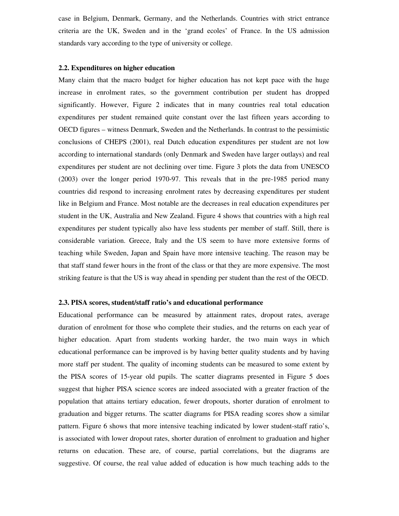case in Belgium, Denmark, Germany, and the Netherlands. Countries with strict entrance criteria are the UK, Sweden and in the 'grand ecoles' of France. In the US admission standards vary according to the type of university or college.

#### **2.2. Expenditures on higher education**

Many claim that the macro budget for higher education has not kept pace with the huge increase in enrolment rates, so the government contribution per student has dropped significantly. However, Figure 2 indicates that in many countries real total education expenditures per student remained quite constant over the last fifteen years according to OECD figures – witness Denmark, Sweden and the Netherlands. In contrast to the pessimistic conclusions of CHEPS (2001), real Dutch education expenditures per student are not low according to international standards (only Denmark and Sweden have larger outlays) and real expenditures per student are not declining over time. Figure 3 plots the data from UNESCO (2003) over the longer period 1970-97. This reveals that in the pre-1985 period many countries did respond to increasing enrolment rates by decreasing expenditures per student like in Belgium and France. Most notable are the decreases in real education expenditures per student in the UK, Australia and New Zealand. Figure 4 shows that countries with a high real expenditures per student typically also have less students per member of staff. Still, there is considerable variation. Greece, Italy and the US seem to have more extensive forms of teaching while Sweden, Japan and Spain have more intensive teaching. The reason may be that staff stand fewer hours in the front of the class or that they are more expensive. The most striking feature is that the US is way ahead in spending per student than the rest of the OECD.

#### **2.3. PISA scores, student/staff ratio's and educational performance**

Educational performance can be measured by attainment rates, dropout rates, average duration of enrolment for those who complete their studies, and the returns on each year of higher education. Apart from students working harder, the two main ways in which educational performance can be improved is by having better quality students and by having more staff per student. The quality of incoming students can be measured to some extent by the PISA scores of 15-year old pupils. The scatter diagrams presented in Figure 5 does suggest that higher PISA science scores are indeed associated with a greater fraction of the population that attains tertiary education, fewer dropouts, shorter duration of enrolment to graduation and bigger returns. The scatter diagrams for PISA reading scores show a similar pattern. Figure 6 shows that more intensive teaching indicated by lower student-staff ratio's, is associated with lower dropout rates, shorter duration of enrolment to graduation and higher returns on education. These are, of course, partial correlations, but the diagrams are suggestive. Of course, the real value added of education is how much teaching adds to the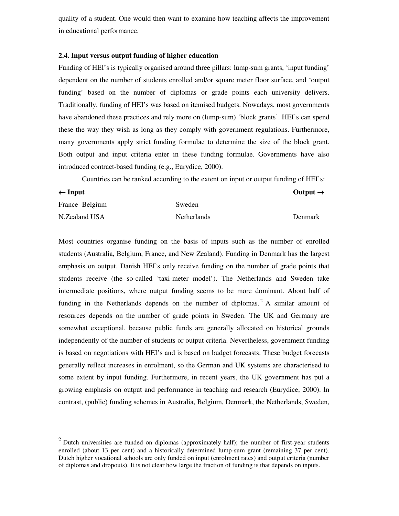quality of a student. One would then want to examine how teaching affects the improvement in educational performance.

#### **2.4. Input versus output funding of higher education**

Funding of HEI's is typically organised around three pillars: lump-sum grants, 'input funding' dependent on the number of students enrolled and/or square meter floor surface, and 'output funding' based on the number of diplomas or grade points each university delivers. Traditionally, funding of HEI's was based on itemised budgets. Nowadays, most governments have abandoned these practices and rely more on (lump-sum) 'block grants'. HEI's can spend these the way they wish as long as they comply with government regulations. Furthermore, many governments apply strict funding formulae to determine the size of the block grant. Both output and input criteria enter in these funding formulae. Governments have also introduced contract-based funding (e.g., Eurydice, 2000).

Countries can be ranked according to the extent on input or output funding of HEI's:

| $\leftarrow$ Input |                    | Output $\rightarrow$ |
|--------------------|--------------------|----------------------|
| France Belgium     | Sweden             |                      |
| N.Zealand USA      | <b>Netherlands</b> | Denmark              |

Most countries organise funding on the basis of inputs such as the number of enrolled students (Australia, Belgium, France, and New Zealand). Funding in Denmark has the largest emphasis on output. Danish HEI's only receive funding on the number of grade points that students receive (the so-called 'taxi-meter model'). The Netherlands and Sweden take intermediate positions, where output funding seems to be more dominant. About half of funding in the Netherlands depends on the number of diplomas. <sup>2</sup> A similar amount of resources depends on the number of grade points in Sweden. The UK and Germany are somewhat exceptional, because public funds are generally allocated on historical grounds independently of the number of students or output criteria. Nevertheless, government funding is based on negotiations with HEI's and is based on budget forecasts. These budget forecasts generally reflect increases in enrolment, so the German and UK systems are characterised to some extent by input funding. Furthermore, in recent years, the UK government has put a growing emphasis on output and performance in teaching and research (Eurydice, 2000). In contrast, (public) funding schemes in Australia, Belgium, Denmark, the Netherlands, Sweden,

 $2$  Dutch universities are funded on diplomas (approximately half); the number of first-year students enrolled (about 13 per cent) and a historically determined lump-sum grant (remaining 37 per cent). Dutch higher vocational schools are only funded on input (enrolment rates) and output criteria (number of diplomas and dropouts). It is not clear how large the fraction of funding is that depends on inputs.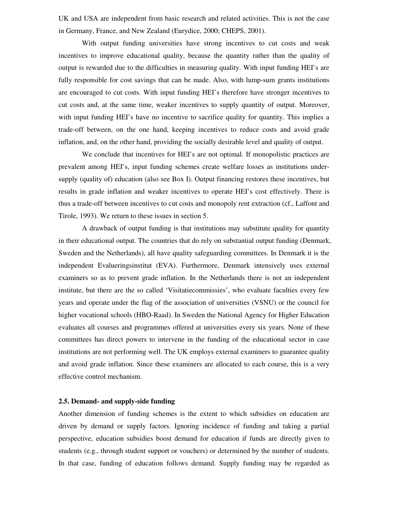UK and USA are independent from basic research and related activities. This is not the case in Germany, France, and New Zealand (Eurydice, 2000; CHEPS, 2001).

With output funding universities have strong incentives to cut costs and weak incentives to improve educational quality, because the quantity rather than the quality of output is rewarded due to the difficulties in measuring quality. With input funding HEI's are fully responsible for cost savings that can be made. Also, with lump-sum grants institutions are encouraged to cut costs. With input funding HEI's therefore have stronger incentives to cut costs and, at the same time, weaker incentives to supply quantity of output. Moreover, with input funding HEI's have no incentive to sacrifice quality for quantity. This implies a trade-off between, on the one hand, keeping incentives to reduce costs and avoid grade inflation, and, on the other hand, providing the socially desirable level and quality of output.

We conclude that incentives for HEI's are not optimal. If monopolistic practices are prevalent among HEI's, input funding schemes create welfare losses as institutions undersupply (quality of) education (also see Box I). Output financing restores these incentives, but results in grade inflation and weaker incentives to operate HEI's cost effectively. There is thus a trade-off between incentives to cut costs and monopoly rent extraction (cf., Laffont and Tirole, 1993). We return to these issues in section 5.

A drawback of output funding is that institutions may substitute quality for quantity in their educational output. The countries that do rely on substantial output funding (Denmark, Sweden and the Netherlands), all have quality safeguarding committees. In Denmark it is the independent Evalueringsinstitut (EVA). Furthermore, Denmark intensively uses external examiners so as to prevent grade inflation. In the Netherlands there is not an independent institute, but there are the so called 'Visitatiecommissies', who evaluate faculties every few years and operate under the flag of the association of universities (VSNU) or the council for higher vocational schools (HBO-Raad). In Sweden the National Agency for Higher Education evaluates all courses and programmes offered at universities every six years. None of these committees has direct powers to intervene in the funding of the educational sector in case institutions are not performing well. The UK employs external examiners to guarantee quality and avoid grade inflation. Since these examiners are allocated to each course, this is a very effective control mechanism.

#### **2.5. Demand- and supply-side funding**

Another dimension of funding schemes is the extent to which subsidies on education are driven by demand or supply factors. Ignoring incidence of funding and taking a partial perspective, education subsidies boost demand for education if funds are directly given to students (e.g., through student support or vouchers) or determined by the number of students. In that case, funding of education follows demand. Supply funding may be regarded as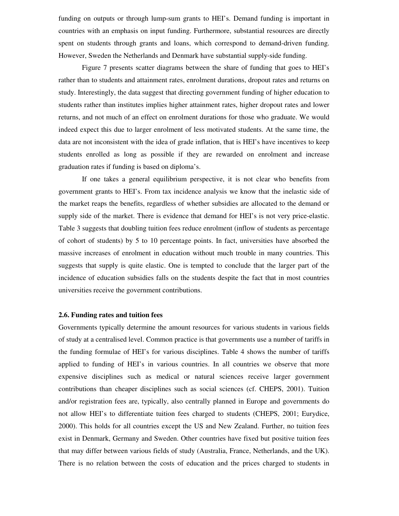funding on outputs or through lump-sum grants to HEI's. Demand funding is important in countries with an emphasis on input funding. Furthermore, substantial resources are directly spent on students through grants and loans, which correspond to demand-driven funding. However, Sweden the Netherlands and Denmark have substantial supply-side funding.

Figure 7 presents scatter diagrams between the share of funding that goes to HEI's rather than to students and attainment rates, enrolment durations, dropout rates and returns on study. Interestingly, the data suggest that directing government funding of higher education to students rather than institutes implies higher attainment rates, higher dropout rates and lower returns, and not much of an effect on enrolment durations for those who graduate. We would indeed expect this due to larger enrolment of less motivated students. At the same time, the data are not inconsistent with the idea of grade inflation, that is HEI's have incentives to keep students enrolled as long as possible if they are rewarded on enrolment and increase graduation rates if funding is based on diploma's.

If one takes a general equilibrium perspective, it is not clear who benefits from government grants to HEI's. From tax incidence analysis we know that the inelastic side of the market reaps the benefits, regardless of whether subsidies are allocated to the demand or supply side of the market. There is evidence that demand for HEI's is not very price-elastic. Table 3 suggests that doubling tuition fees reduce enrolment (inflow of students as percentage of cohort of students) by 5 to 10 percentage points. In fact, universities have absorbed the massive increases of enrolment in education without much trouble in many countries. This suggests that supply is quite elastic. One is tempted to conclude that the larger part of the incidence of education subsidies falls on the students despite the fact that in most countries universities receive the government contributions.

#### **2.6. Funding rates and tuition fees**

Governments typically determine the amount resources for various students in various fields of study at a centralised level. Common practice is that governments use a number of tariffs in the funding formulae of HEI's for various disciplines. Table 4 shows the number of tariffs applied to funding of HEI's in various countries. In all countries we observe that more expensive disciplines such as medical or natural sciences receive larger government contributions than cheaper disciplines such as social sciences (cf. CHEPS, 2001). Tuition and/or registration fees are, typically, also centrally planned in Europe and governments do not allow HEI's to differentiate tuition fees charged to students (CHEPS, 2001; Eurydice, 2000). This holds for all countries except the US and New Zealand. Further, no tuition fees exist in Denmark, Germany and Sweden. Other countries have fixed but positive tuition fees that may differ between various fields of study (Australia, France, Netherlands, and the UK). There is no relation between the costs of education and the prices charged to students in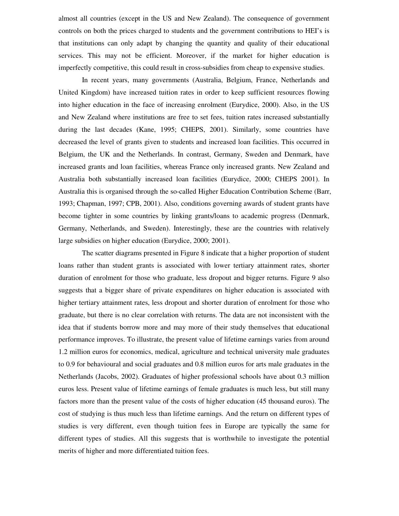almost all countries (except in the US and New Zealand). The consequence of government controls on both the prices charged to students and the government contributions to HEI's is that institutions can only adapt by changing the quantity and quality of their educational services. This may not be efficient. Moreover, if the market for higher education is imperfectly competitive, this could result in cross-subsidies from cheap to expensive studies.

In recent years, many governments (Australia, Belgium, France, Netherlands and United Kingdom) have increased tuition rates in order to keep sufficient resources flowing into higher education in the face of increasing enrolment (Eurydice, 2000). Also, in the US and New Zealand where institutions are free to set fees, tuition rates increased substantially during the last decades (Kane, 1995; CHEPS, 2001). Similarly, some countries have decreased the level of grants given to students and increased loan facilities. This occurred in Belgium, the UK and the Netherlands. In contrast, Germany, Sweden and Denmark, have increased grants and loan facilities, whereas France only increased grants. New Zealand and Australia both substantially increased loan facilities (Eurydice, 2000; CHEPS 2001). In Australia this is organised through the so-called Higher Education Contribution Scheme (Barr, 1993; Chapman, 1997; CPB, 2001). Also, conditions governing awards of student grants have become tighter in some countries by linking grants/loans to academic progress (Denmark, Germany, Netherlands, and Sweden). Interestingly, these are the countries with relatively large subsidies on higher education (Eurydice, 2000; 2001).

The scatter diagrams presented in Figure 8 indicate that a higher proportion of student loans rather than student grants is associated with lower tertiary attainment rates, shorter duration of enrolment for those who graduate, less dropout and bigger returns. Figure 9 also suggests that a bigger share of private expenditures on higher education is associated with higher tertiary attainment rates, less dropout and shorter duration of enrolment for those who graduate, but there is no clear correlation with returns. The data are not inconsistent with the idea that if students borrow more and may more of their study themselves that educational performance improves. To illustrate, the present value of lifetime earnings varies from around 1.2 million euros for economics, medical, agriculture and technical university male graduates to 0.9 for behavioural and social graduates and 0.8 million euros for arts male graduates in the Netherlands (Jacobs, 2002). Graduates of higher professional schools have about 0.3 million euros less. Present value of lifetime earnings of female graduates is much less, but still many factors more than the present value of the costs of higher education (45 thousand euros). The cost of studying is thus much less than lifetime earnings. And the return on different types of studies is very different, even though tuition fees in Europe are typically the same for different types of studies. All this suggests that is worthwhile to investigate the potential merits of higher and more differentiated tuition fees.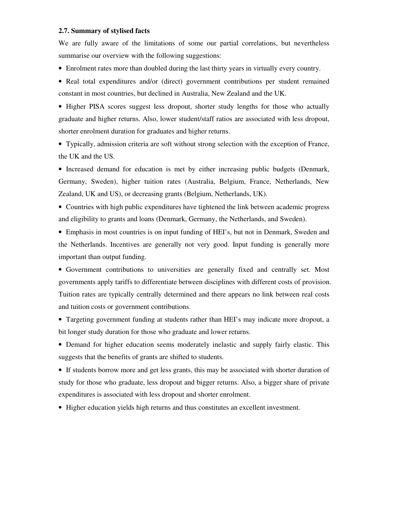#### **2.7. Summary of stylised facts**

We are fully aware of the limitations of some our partial correlations, but nevertheless summarise our overview with the following suggestions:

- Enrolment rates more than doubled during the last thirty years in virtually every country.
- Real total expenditures and/or (direct) government contributions per student remained constant in most countries, but declined in Australia, New Zealand and the UK.

• Higher PISA scores suggest less dropout, shorter study lengths for those who actually graduate and higher returns. Also, lower student/staff ratios are associated with less dropout, shorter enrolment duration for graduates and higher returns.

• Typically, admission criteria are soft without strong selection with the exception of France, the UK and the US.

• Increased demand for education is met by either increasing public budgets (Denmark, Germany, Sweden), higher tuition rates (Australia, Belgium, France, Netherlands, New Zealand, UK and US), or decreasing grants (Belgium, Netherlands, UK).

• Countries with high public expenditures have tightened the link between academic progress and eligibility to grants and loans (Denmark, Germany, the Netherlands, and Sweden).

• Emphasis in most countries is on input funding of HEI's, but not in Denmark, Sweden and the Netherlands. Incentives are generally not very good. Input funding is generally more important than output funding.

• Government contributions to universities are generally fixed and centrally set. Most governments apply tariffs to differentiate between disciplines with different costs of provision. Tuition rates are typically centrally determined and there appears no link between real costs and tuition costs or government contributions.

• Targeting government funding at students rather than HEI's may indicate more dropout, a bit longer study duration for those who graduate and lower returns.

• Demand for higher education seems moderately inelastic and supply fairly elastic. This suggests that the benefits of grants are shifted to students.

• If students borrow more and get less grants, this may be associated with shorter duration of study for those who graduate, less dropout and bigger returns. Also, a bigger share of private expenditures is associated with less dropout and shorter enrolment.

• Higher education yields high returns and thus constitutes an excellent investment.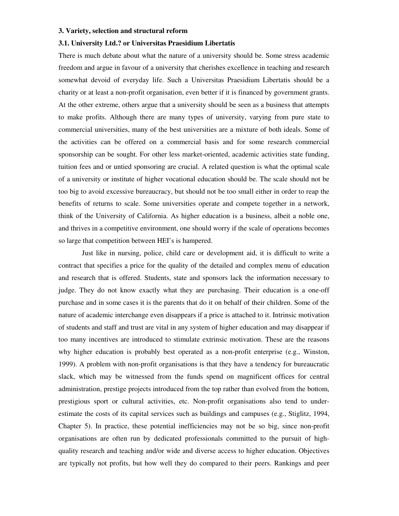#### **3. Variety, selection and structural reform**

#### **3.1. University Ltd.? or Universitas Praesidium Libertatis**

There is much debate about what the nature of a university should be. Some stress academic freedom and argue in favour of a university that cherishes excellence in teaching and research somewhat devoid of everyday life. Such a Universitas Praesidium Libertatis should be a charity or at least a non-profit organisation, even better if it is financed by government grants. At the other extreme, others argue that a university should be seen as a business that attempts to make profits. Although there are many types of university, varying from pure state to commercial universities, many of the best universities are a mixture of both ideals. Some of the activities can be offered on a commercial basis and for some research commercial sponsorship can be sought. For other less market-oriented, academic activities state funding, tuition fees and or untied sponsoring are crucial. A related question is what the optimal scale of a university or institute of higher vocational education should be. The scale should not be too big to avoid excessive bureaucracy, but should not be too small either in order to reap the benefits of returns to scale. Some universities operate and compete together in a network, think of the University of California. As higher education is a business, albeit a noble one, and thrives in a competitive environment, one should worry if the scale of operations becomes so large that competition between HEI's is hampered.

Just like in nursing, police, child care or development aid, it is difficult to write a contract that specifies a price for the quality of the detailed and complex menu of education and research that is offered. Students, state and sponsors lack the information necessary to judge. They do not know exactly what they are purchasing. Their education is a one-off purchase and in some cases it is the parents that do it on behalf of their children. Some of the nature of academic interchange even disappears if a price is attached to it. Intrinsic motivation of students and staff and trust are vital in any system of higher education and may disappear if too many incentives are introduced to stimulate extrinsic motivation. These are the reasons why higher education is probably best operated as a non-profit enterprise (e.g., Winston, 1999). A problem with non-profit organisations is that they have a tendency for bureaucratic slack, which may be witnessed from the funds spend on magnificent offices for central administration, prestige projects introduced from the top rather than evolved from the bottom, prestigious sport or cultural activities, etc. Non-profit organisations also tend to underestimate the costs of its capital services such as buildings and campuses (e.g., Stiglitz, 1994, Chapter 5). In practice, these potential inefficiencies may not be so big, since non-profit organisations are often run by dedicated professionals committed to the pursuit of highquality research and teaching and/or wide and diverse access to higher education. Objectives are typically not profits, but how well they do compared to their peers. Rankings and peer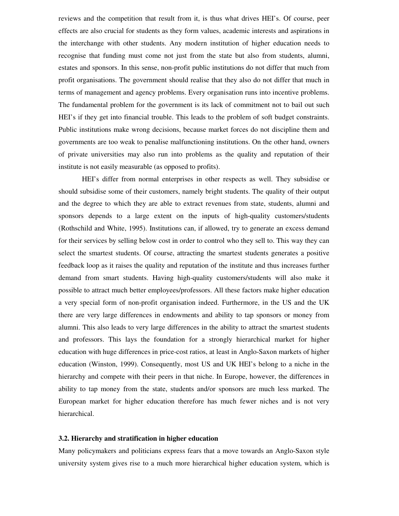reviews and the competition that result from it, is thus what drives HEI's. Of course, peer effects are also crucial for students as they form values, academic interests and aspirations in the interchange with other students. Any modern institution of higher education needs to recognise that funding must come not just from the state but also from students, alumni, estates and sponsors. In this sense, non-profit public institutions do not differ that much from profit organisations. The government should realise that they also do not differ that much in terms of management and agency problems. Every organisation runs into incentive problems. The fundamental problem for the government is its lack of commitment not to bail out such HEI's if they get into financial trouble. This leads to the problem of soft budget constraints. Public institutions make wrong decisions, because market forces do not discipline them and governments are too weak to penalise malfunctioning institutions. On the other hand, owners of private universities may also run into problems as the quality and reputation of their institute is not easily measurable (as opposed to profits).

HEI's differ from normal enterprises in other respects as well. They subsidise or should subsidise some of their customers, namely bright students. The quality of their output and the degree to which they are able to extract revenues from state, students, alumni and sponsors depends to a large extent on the inputs of high-quality customers/students (Rothschild and White, 1995). Institutions can, if allowed, try to generate an excess demand for their services by selling below cost in order to control who they sell to. This way they can select the smartest students. Of course, attracting the smartest students generates a positive feedback loop as it raises the quality and reputation of the institute and thus increases further demand from smart students. Having high-quality customers/students will also make it possible to attract much better employees/professors. All these factors make higher education a very special form of non-profit organisation indeed. Furthermore, in the US and the UK there are very large differences in endowments and ability to tap sponsors or money from alumni. This also leads to very large differences in the ability to attract the smartest students and professors. This lays the foundation for a strongly hierarchical market for higher education with huge differences in price-cost ratios, at least in Anglo-Saxon markets of higher education (Winston, 1999). Consequently, most US and UK HEI's belong to a niche in the hierarchy and compete with their peers in that niche. In Europe, however, the differences in ability to tap money from the state, students and/or sponsors are much less marked. The European market for higher education therefore has much fewer niches and is not very hierarchical.

#### **3.2. Hierarchy and stratification in higher education**

Many policymakers and politicians express fears that a move towards an Anglo-Saxon style university system gives rise to a much more hierarchical higher education system, which is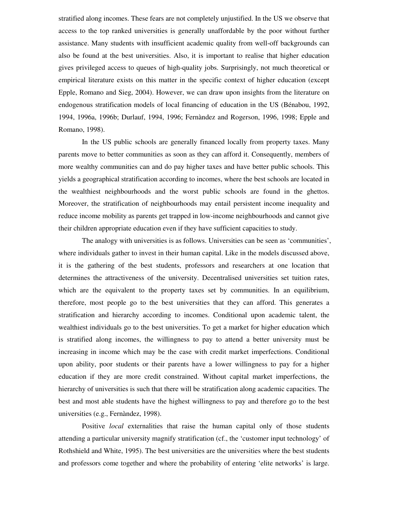stratified along incomes. These fears are not completely unjustified. In the US we observe that access to the top ranked universities is generally unaffordable by the poor without further assistance. Many students with insufficient academic quality from well-off backgrounds can also be found at the best universities. Also, it is important to realise that higher education gives privileged access to queues of high-quality jobs. Surprisingly, not much theoretical or empirical literature exists on this matter in the specific context of higher education (except Epple, Romano and Sieg, 2004). However, we can draw upon insights from the literature on endogenous stratification models of local financing of education in the US (Bénabou, 1992, 1994, 1996a, 1996b; Durlauf, 1994, 1996; Fernàndez and Rogerson, 1996, 1998; Epple and Romano, 1998).

In the US public schools are generally financed locally from property taxes. Many parents move to better communities as soon as they can afford it. Consequently, members of more wealthy communities can and do pay higher taxes and have better public schools. This yields a geographical stratification according to incomes, where the best schools are located in the wealthiest neighbourhoods and the worst public schools are found in the ghettos. Moreover, the stratification of neighbourhoods may entail persistent income inequality and reduce income mobility as parents get trapped in low-income neighbourhoods and cannot give their children appropriate education even if they have sufficient capacities to study.

The analogy with universities is as follows. Universities can be seen as 'communities', where individuals gather to invest in their human capital. Like in the models discussed above, it is the gathering of the best students, professors and researchers at one location that determines the attractiveness of the university. Decentralised universities set tuition rates, which are the equivalent to the property taxes set by communities. In an equilibrium, therefore, most people go to the best universities that they can afford. This generates a stratification and hierarchy according to incomes. Conditional upon academic talent, the wealthiest individuals go to the best universities. To get a market for higher education which is stratified along incomes, the willingness to pay to attend a better university must be increasing in income which may be the case with credit market imperfections. Conditional upon ability, poor students or their parents have a lower willingness to pay for a higher education if they are more credit constrained. Without capital market imperfections, the hierarchy of universities is such that there will be stratification along academic capacities. The best and most able students have the highest willingness to pay and therefore go to the best universities (e.g., Fernàndez, 1998).

Positive *local* externalities that raise the human capital only of those students attending a particular university magnify stratification (cf., the 'customer input technology' of Rothshield and White, 1995). The best universities are the universities where the best students and professors come together and where the probability of entering 'elite networks' is large.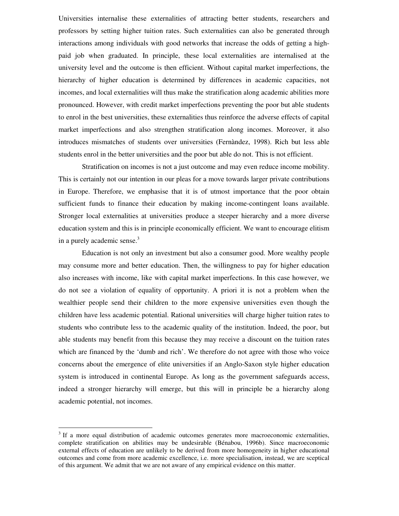Universities internalise these externalities of attracting better students, researchers and professors by setting higher tuition rates. Such externalities can also be generated through interactions among individuals with good networks that increase the odds of getting a highpaid job when graduated. In principle, these local externalities are internalised at the university level and the outcome is then efficient. Without capital market imperfections, the hierarchy of higher education is determined by differences in academic capacities, not incomes, and local externalities will thus make the stratification along academic abilities more pronounced. However, with credit market imperfections preventing the poor but able students to enrol in the best universities, these externalities thus reinforce the adverse effects of capital market imperfections and also strengthen stratification along incomes. Moreover, it also introduces mismatches of students over universities (Fernàndez, 1998). Rich but less able students enrol in the better universities and the poor but able do not. This is not efficient.

Stratification on incomes is not a just outcome and may even reduce income mobility. This is certainly not our intention in our pleas for a move towards larger private contributions in Europe. Therefore, we emphasise that it is of utmost importance that the poor obtain sufficient funds to finance their education by making income-contingent loans available. Stronger local externalities at universities produce a steeper hierarchy and a more diverse education system and this is in principle economically efficient. We want to encourage elitism in a purely academic sense.<sup>3</sup>

Education is not only an investment but also a consumer good. More wealthy people may consume more and better education. Then, the willingness to pay for higher education also increases with income, like with capital market imperfections. In this case however, we do not see a violation of equality of opportunity. A priori it is not a problem when the wealthier people send their children to the more expensive universities even though the children have less academic potential. Rational universities will charge higher tuition rates to students who contribute less to the academic quality of the institution. Indeed, the poor, but able students may benefit from this because they may receive a discount on the tuition rates which are financed by the 'dumb and rich'. We therefore do not agree with those who voice concerns about the emergence of elite universities if an Anglo-Saxon style higher education system is introduced in continental Europe. As long as the government safeguards access, indeed a stronger hierarchy will emerge, but this will in principle be a hierarchy along academic potential, not incomes.

 $3$  If a more equal distribution of academic outcomes generates more macroeconomic externalities, complete stratification on abilities may be undesirable (Bénabou, 1996b). Since macroeconomic external effects of education are unlikely to be derived from more homogeneity in higher educational outcomes and come from more academic excellence, i.e. more specialisation, instead, we are sceptical of this argument. We admit that we are not aware of any empirical evidence on this matter.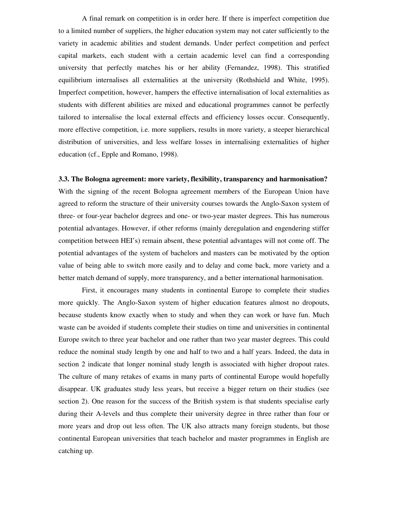A final remark on competition is in order here. If there is imperfect competition due to a limited number of suppliers, the higher education system may not cater sufficiently to the variety in academic abilities and student demands. Under perfect competition and perfect capital markets, each student with a certain academic level can find a corresponding university that perfectly matches his or her ability (Fernandez, 1998). This stratified equilibrium internalises all externalities at the university (Rothshield and White, 1995). Imperfect competition, however, hampers the effective internalisation of local externalities as students with different abilities are mixed and educational programmes cannot be perfectly tailored to internalise the local external effects and efficiency losses occur. Consequently, more effective competition, i.e. more suppliers, results in more variety, a steeper hierarchical distribution of universities, and less welfare losses in internalising externalities of higher education (cf., Epple and Romano, 1998).

#### **3.3. The Bologna agreement: more variety, flexibility, transparency and harmonisation?**

With the signing of the recent Bologna agreement members of the European Union have agreed to reform the structure of their university courses towards the Anglo-Saxon system of three- or four-year bachelor degrees and one- or two-year master degrees. This has numerous potential advantages. However, if other reforms (mainly deregulation and engendering stiffer competition between HEI's) remain absent, these potential advantages will not come off. The potential advantages of the system of bachelors and masters can be motivated by the option value of being able to switch more easily and to delay and come back, more variety and a better match demand of supply, more transparency, and a better international harmonisation.

First, it encourages many students in continental Europe to complete their studies more quickly. The Anglo-Saxon system of higher education features almost no dropouts, because students know exactly when to study and when they can work or have fun. Much waste can be avoided if students complete their studies on time and universities in continental Europe switch to three year bachelor and one rather than two year master degrees. This could reduce the nominal study length by one and half to two and a half years. Indeed, the data in section 2 indicate that longer nominal study length is associated with higher dropout rates. The culture of many retakes of exams in many parts of continental Europe would hopefully disappear. UK graduates study less years, but receive a bigger return on their studies (see section 2). One reason for the success of the British system is that students specialise early during their A-levels and thus complete their university degree in three rather than four or more years and drop out less often. The UK also attracts many foreign students, but those continental European universities that teach bachelor and master programmes in English are catching up.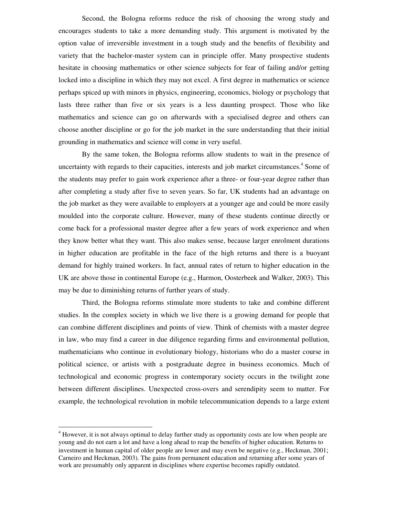Second, the Bologna reforms reduce the risk of choosing the wrong study and encourages students to take a more demanding study. This argument is motivated by the option value of irreversible investment in a tough study and the benefits of flexibility and variety that the bachelor-master system can in principle offer. Many prospective students hesitate in choosing mathematics or other science subjects for fear of failing and/or getting locked into a discipline in which they may not excel. A first degree in mathematics or science perhaps spiced up with minors in physics, engineering, economics, biology or psychology that lasts three rather than five or six years is a less daunting prospect. Those who like mathematics and science can go on afterwards with a specialised degree and others can choose another discipline or go for the job market in the sure understanding that their initial grounding in mathematics and science will come in very useful.

By the same token, the Bologna reforms allow students to wait in the presence of uncertainty with regards to their capacities, interests and job market circumstances.<sup>4</sup> Some of the students may prefer to gain work experience after a three- or four-year degree rather than after completing a study after five to seven years. So far, UK students had an advantage on the job market as they were available to employers at a younger age and could be more easily moulded into the corporate culture. However, many of these students continue directly or come back for a professional master degree after a few years of work experience and when they know better what they want. This also makes sense, because larger enrolment durations in higher education are profitable in the face of the high returns and there is a buoyant demand for highly trained workers. In fact, annual rates of return to higher education in the UK are above those in continental Europe (e.g., Harmon, Oosterbeek and Walker, 2003). This may be due to diminishing returns of further years of study.

Third, the Bologna reforms stimulate more students to take and combine different studies. In the complex society in which we live there is a growing demand for people that can combine different disciplines and points of view. Think of chemists with a master degree in law, who may find a career in due diligence regarding firms and environmental pollution, mathematicians who continue in evolutionary biology, historians who do a master course in political science, or artists with a postgraduate degree in business economics. Much of technological and economic progress in contemporary society occurs in the twilight zone between different disciplines. Unexpected cross-overs and serendipity seem to matter. For example, the technological revolution in mobile telecommunication depends to a large extent

<sup>&</sup>lt;sup>4</sup> However, it is not always optimal to delay further study as opportunity costs are low when people are young and do not earn a lot and have a long ahead to reap the benefits of higher education. Returns to investment in human capital of older people are lower and may even be negative (e.g., Heckman, 2001; Carneiro and Heckman, 2003). The gains from permanent education and returning after some years of work are presumably only apparent in disciplines where expertise becomes rapidly outdated.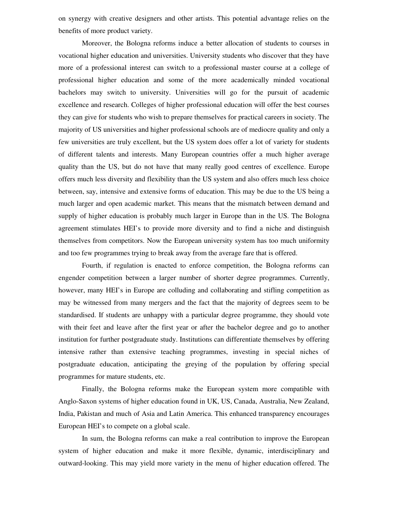on synergy with creative designers and other artists. This potential advantage relies on the benefits of more product variety.

Moreover, the Bologna reforms induce a better allocation of students to courses in vocational higher education and universities. University students who discover that they have more of a professional interest can switch to a professional master course at a college of professional higher education and some of the more academically minded vocational bachelors may switch to university. Universities will go for the pursuit of academic excellence and research. Colleges of higher professional education will offer the best courses they can give for students who wish to prepare themselves for practical careers in society. The majority of US universities and higher professional schools are of mediocre quality and only a few universities are truly excellent, but the US system does offer a lot of variety for students of different talents and interests. Many European countries offer a much higher average quality than the US, but do not have that many really good centres of excellence. Europe offers much less diversity and flexibility than the US system and also offers much less choice between, say, intensive and extensive forms of education. This may be due to the US being a much larger and open academic market. This means that the mismatch between demand and supply of higher education is probably much larger in Europe than in the US. The Bologna agreement stimulates HEI's to provide more diversity and to find a niche and distinguish themselves from competitors. Now the European university system has too much uniformity and too few programmes trying to break away from the average fare that is offered.

Fourth, if regulation is enacted to enforce competition, the Bologna reforms can engender competition between a larger number of shorter degree programmes. Currently, however, many HEI's in Europe are colluding and collaborating and stifling competition as may be witnessed from many mergers and the fact that the majority of degrees seem to be standardised. If students are unhappy with a particular degree programme, they should vote with their feet and leave after the first year or after the bachelor degree and go to another institution for further postgraduate study. Institutions can differentiate themselves by offering intensive rather than extensive teaching programmes, investing in special niches of postgraduate education, anticipating the greying of the population by offering special programmes for mature students, etc.

Finally, the Bologna reforms make the European system more compatible with Anglo-Saxon systems of higher education found in UK, US, Canada, Australia, New Zealand, India, Pakistan and much of Asia and Latin America. This enhanced transparency encourages European HEI's to compete on a global scale.

In sum, the Bologna reforms can make a real contribution to improve the European system of higher education and make it more flexible, dynamic, interdisciplinary and outward-looking. This may yield more variety in the menu of higher education offered. The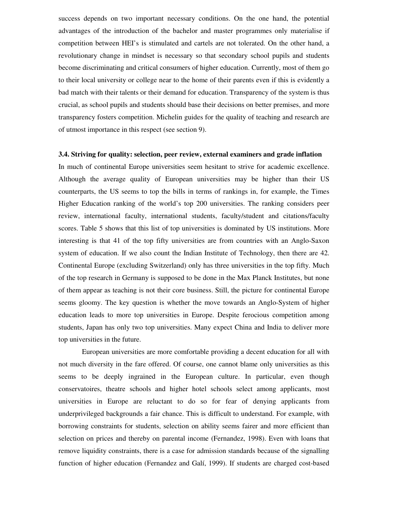success depends on two important necessary conditions. On the one hand, the potential advantages of the introduction of the bachelor and master programmes only materialise if competition between HEI's is stimulated and cartels are not tolerated. On the other hand, a revolutionary change in mindset is necessary so that secondary school pupils and students become discriminating and critical consumers of higher education. Currently, most of them go to their local university or college near to the home of their parents even if this is evidently a bad match with their talents or their demand for education. Transparency of the system is thus crucial, as school pupils and students should base their decisions on better premises, and more transparency fosters competition. Michelin guides for the quality of teaching and research are of utmost importance in this respect (see section 9).

#### **3.4. Striving for quality: selection, peer review, external examiners and grade inflation**

In much of continental Europe universities seem hesitant to strive for academic excellence. Although the average quality of European universities may be higher than their US counterparts, the US seems to top the bills in terms of rankings in, for example, the Times Higher Education ranking of the world's top 200 universities. The ranking considers peer review, international faculty, international students, faculty/student and citations/faculty scores. Table 5 shows that this list of top universities is dominated by US institutions. More interesting is that 41 of the top fifty universities are from countries with an Anglo-Saxon system of education. If we also count the Indian Institute of Technology, then there are 42. Continental Europe (excluding Switzerland) only has three universities in the top fifty. Much of the top research in Germany is supposed to be done in the Max Planck Institutes, but none of them appear as teaching is not their core business. Still, the picture for continental Europe seems gloomy. The key question is whether the move towards an Anglo-System of higher education leads to more top universities in Europe. Despite ferocious competition among students, Japan has only two top universities. Many expect China and India to deliver more top universities in the future.

European universities are more comfortable providing a decent education for all with not much diversity in the fare offered. Of course, one cannot blame only universities as this seems to be deeply ingrained in the European culture. In particular, even though conservatoires, theatre schools and higher hotel schools select among applicants, most universities in Europe are reluctant to do so for fear of denying applicants from underprivileged backgrounds a fair chance. This is difficult to understand. For example, with borrowing constraints for students, selection on ability seems fairer and more efficient than selection on prices and thereby on parental income (Fernandez, 1998). Even with loans that remove liquidity constraints, there is a case for admission standards because of the signalling function of higher education (Fernandez and Galí, 1999). If students are charged cost-based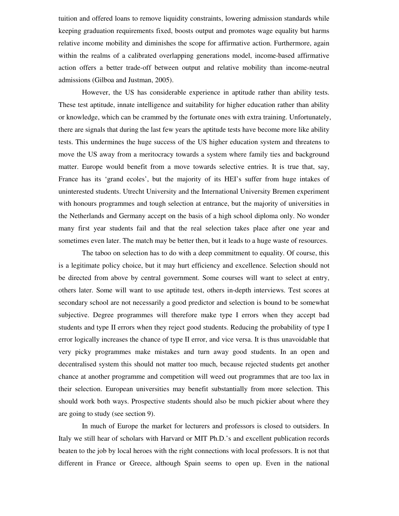tuition and offered loans to remove liquidity constraints, lowering admission standards while keeping graduation requirements fixed, boosts output and promotes wage equality but harms relative income mobility and diminishes the scope for affirmative action. Furthermore, again within the realms of a calibrated overlapping generations model, income-based affirmative action offers a better trade-off between output and relative mobility than income-neutral admissions (Gilboa and Justman, 2005).

However, the US has considerable experience in aptitude rather than ability tests. These test aptitude, innate intelligence and suitability for higher education rather than ability or knowledge, which can be crammed by the fortunate ones with extra training. Unfortunately, there are signals that during the last few years the aptitude tests have become more like ability tests. This undermines the huge success of the US higher education system and threatens to move the US away from a meritocracy towards a system where family ties and background matter. Europe would benefit from a move towards selective entries. It is true that, say, France has its 'grand ecoles', but the majority of its HEI's suffer from huge intakes of uninterested students. Utrecht University and the International University Bremen experiment with honours programmes and tough selection at entrance, but the majority of universities in the Netherlands and Germany accept on the basis of a high school diploma only. No wonder many first year students fail and that the real selection takes place after one year and sometimes even later. The match may be better then, but it leads to a huge waste of resources.

The taboo on selection has to do with a deep commitment to equality. Of course, this is a legitimate policy choice, but it may hurt efficiency and excellence. Selection should not be directed from above by central government. Some courses will want to select at entry, others later. Some will want to use aptitude test, others in-depth interviews. Test scores at secondary school are not necessarily a good predictor and selection is bound to be somewhat subjective. Degree programmes will therefore make type I errors when they accept bad students and type II errors when they reject good students. Reducing the probability of type I error logically increases the chance of type II error, and vice versa. It is thus unavoidable that very picky programmes make mistakes and turn away good students. In an open and decentralised system this should not matter too much, because rejected students get another chance at another programme and competition will weed out programmes that are too lax in their selection. European universities may benefit substantially from more selection. This should work both ways. Prospective students should also be much pickier about where they are going to study (see section 9).

In much of Europe the market for lecturers and professors is closed to outsiders. In Italy we still hear of scholars with Harvard or MIT Ph.D.'s and excellent publication records beaten to the job by local heroes with the right connections with local professors. It is not that different in France or Greece, although Spain seems to open up. Even in the national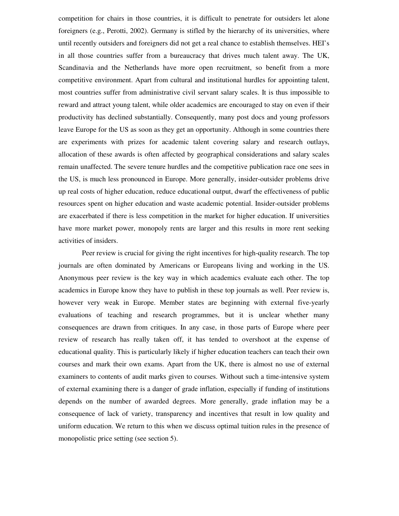competition for chairs in those countries, it is difficult to penetrate for outsiders let alone foreigners (e.g., Perotti, 2002). Germany is stifled by the hierarchy of its universities, where until recently outsiders and foreigners did not get a real chance to establish themselves. HEI's in all those countries suffer from a bureaucracy that drives much talent away. The UK, Scandinavia and the Netherlands have more open recruitment, so benefit from a more competitive environment. Apart from cultural and institutional hurdles for appointing talent, most countries suffer from administrative civil servant salary scales. It is thus impossible to reward and attract young talent, while older academics are encouraged to stay on even if their productivity has declined substantially. Consequently, many post docs and young professors leave Europe for the US as soon as they get an opportunity. Although in some countries there are experiments with prizes for academic talent covering salary and research outlays, allocation of these awards is often affected by geographical considerations and salary scales remain unaffected. The severe tenure hurdles and the competitive publication race one sees in the US, is much less pronounced in Europe. More generally, insider-outsider problems drive up real costs of higher education, reduce educational output, dwarf the effectiveness of public resources spent on higher education and waste academic potential. Insider-outsider problems are exacerbated if there is less competition in the market for higher education. If universities have more market power, monopoly rents are larger and this results in more rent seeking activities of insiders.

Peer review is crucial for giving the right incentives for high-quality research. The top journals are often dominated by Americans or Europeans living and working in the US. Anonymous peer review is the key way in which academics evaluate each other. The top academics in Europe know they have to publish in these top journals as well. Peer review is, however very weak in Europe. Member states are beginning with external five-yearly evaluations of teaching and research programmes, but it is unclear whether many consequences are drawn from critiques. In any case, in those parts of Europe where peer review of research has really taken off, it has tended to overshoot at the expense of educational quality. This is particularly likely if higher education teachers can teach their own courses and mark their own exams. Apart from the UK, there is almost no use of external examiners to contents of audit marks given to courses. Without such a time-intensive system of external examining there is a danger of grade inflation, especially if funding of institutions depends on the number of awarded degrees. More generally, grade inflation may be a consequence of lack of variety, transparency and incentives that result in low quality and uniform education. We return to this when we discuss optimal tuition rules in the presence of monopolistic price setting (see section 5).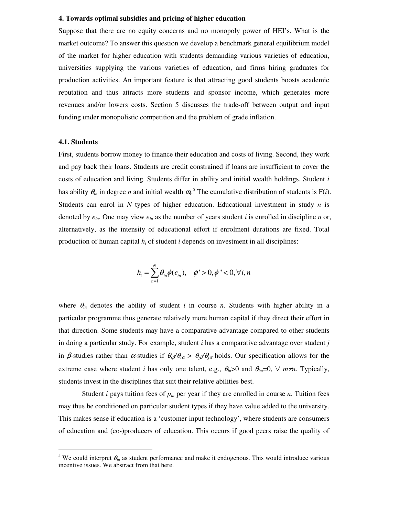#### **4. Towards optimal subsidies and pricing of higher education**

Suppose that there are no equity concerns and no monopoly power of HEI's. What is the market outcome? To answer this question we develop a benchmark general equilibrium model of the market for higher education with students demanding various varieties of education, universities supplying the various varieties of education, and firms hiring graduates for production activities. An important feature is that attracting good students boosts academic reputation and thus attracts more students and sponsor income, which generates more revenues and/or lowers costs. Section 5 discusses the trade-off between output and input funding under monopolistic competition and the problem of grade inflation.

#### **4.1. Students**

First, students borrow money to finance their education and costs of living. Second, they work and pay back their loans. Students are credit constrained if loans are insufficient to cover the costs of education and living. Students differ in ability and initial wealth holdings. Student *i* has ability  $\theta_{in}$  in degree *n* and initial wealth  $\omega$ <sup>5</sup>. The cumulative distribution of students is F(*i*). Students can enrol in *N* types of higher education. Educational investment in study *n* is denoted by  $e_{in}$ . One may view  $e_{in}$  as the number of years student *i* is enrolled in discipline *n* or, alternatively, as the intensity of educational effort if enrolment durations are fixed. Total production of human capital *h<sup>i</sup>* of student *i* depends on investment in all disciplines:

$$
h_i = \sum_{n=1}^N \theta_{in} \phi(e_{in}), \quad \phi' > 0, \phi'' < 0, \forall i, n
$$

where  $\theta_{in}$  denotes the ability of student *i* in course *n*. Students with higher ability in a particular programme thus generate relatively more human capital if they direct their effort in that direction. Some students may have a comparative advantage compared to other students in doing a particular study. For example, student *i* has a comparative advantage over student *j* in β-studies rather than  $\alpha$ -studies if  $\theta_i/\theta_i \geq \theta_j/\theta_i$  holds. Our specification allows for the extreme case where student *i* has only one talent, e.g.,  $\theta_{in} > 0$  and  $\theta_{in} = 0$ ,  $\forall$  *m*≠*n*. Typically, students invest in the disciplines that suit their relative abilities best.

Student *i* pays tuition fees of  $p_{in}$  per year if they are enrolled in course *n*. Tuition fees may thus be conditioned on particular student types if they have value added to the university. This makes sense if education is a 'customer input technology', where students are consumers of education and (co-)producers of education. This occurs if good peers raise the quality of

<sup>&</sup>lt;sup>5</sup> We could interpret  $\theta_{in}$  as student performance and make it endogenous. This would introduce various incentive issues. We abstract from that here.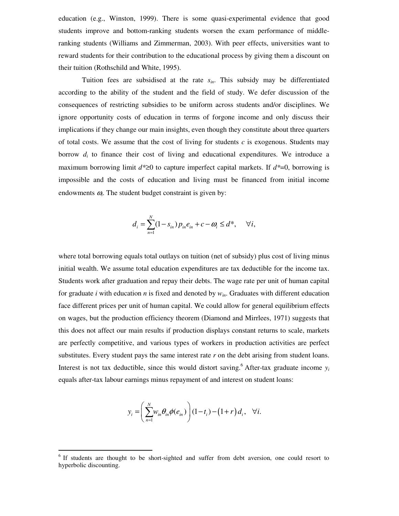education (e.g., Winston, 1999). There is some quasi-experimental evidence that good students improve and bottom-ranking students worsen the exam performance of middleranking students (Williams and Zimmerman, 2003). With peer effects, universities want to reward students for their contribution to the educational process by giving them a discount on their tuition (Rothschild and White, 1995).

Tuition fees are subsidised at the rate *sin*. This subsidy may be differentiated according to the ability of the student and the field of study. We defer discussion of the consequences of restricting subsidies to be uniform across students and/or disciplines. We ignore opportunity costs of education in terms of forgone income and only discuss their implications if they change our main insights, even though they constitute about three quarters of total costs. We assume that the cost of living for students  $c$  is exogenous. Students may borrow *d<sup>i</sup>* to finance their cost of living and educational expenditures. We introduce a maximum borrowing limit *d\**≥0 to capture imperfect capital markets. If *d\**=0, borrowing is impossible and the costs of education and living must be financed from initial income endowments  $\omega$ . The student budget constraint is given by:

$$
d_i = \sum_{n=1}^{N} (1 - s_{in}) p_{in} e_{in} + c - \omega_i \le d^*, \quad \forall i,
$$

where total borrowing equals total outlays on tuition (net of subsidy) plus cost of living minus initial wealth. We assume total education expenditures are tax deductible for the income tax. Students work after graduation and repay their debts. The wage rate per unit of human capital for graduate *i* with education *n* is fixed and denoted by *win*. Graduates with different education face different prices per unit of human capital. We could allow for general equilibrium effects on wages, but the production efficiency theorem (Diamond and Mirrlees, 1971) suggests that this does not affect our main results if production displays constant returns to scale, markets are perfectly competitive, and various types of workers in production activities are perfect substitutes. Every student pays the same interest rate *r* on the debt arising from student loans. Interest is not tax deductible, since this would distort saving.<sup>6</sup> After-tax graduate income  $y_i$ equals after-tax labour earnings minus repayment of and interest on student loans:

$$
y_i = \left(\sum_{n=1}^N w_{in} \theta_{in} \phi(e_{in})\right) (1-t_i) - (1+r) d_i, \quad \forall i.
$$

<sup>&</sup>lt;sup>6</sup> If students are thought to be short-sighted and suffer from debt aversion, one could resort to hyperbolic discounting.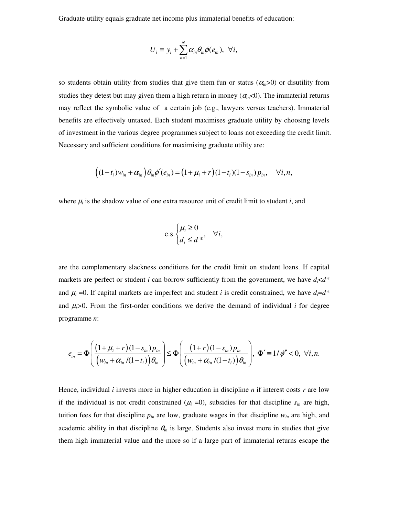Graduate utility equals graduate net income plus immaterial benefits of education:

$$
U_i \equiv y_i + \sum_{n=1}^N \alpha_{in} \theta_{in} \phi(e_{in}), \ \forall i,
$$

so students obtain utility from studies that give them fun or status  $(\alpha_{in}>0)$  or disutility from studies they detest but may given them a high return in money ( $\alpha_n < 0$ ). The immaterial returns may reflect the symbolic value of a certain job (e.g., lawyers versus teachers). Immaterial benefits are effectively untaxed. Each student maximises graduate utility by choosing levels of investment in the various degree programmes subject to loans not exceeding the credit limit. Necessary and sufficient conditions for maximising graduate utility are:

$$
((1-t_i)w_{in} + \alpha_{in})\theta_{in}\phi'(e_{in}) = (1+\mu_i+r)(1-t_i)(1-s_{in})p_{in}, \quad \forall i, n,
$$

where  $\mu_i$  is the shadow value of one extra resource unit of credit limit to student *i*, and

$$
\text{c.s.} \begin{cases} \mu_i \ge 0 \\ d_i \le d^* \end{cases} \quad \forall i,
$$

are the complementary slackness conditions for the credit limit on student loans. If capital markets are perfect or student *i* can borrow sufficiently from the government, we have *di*<*d\** and  $\mu_i$  =0. If capital markets are imperfect and student *i* is credit constrained, we have  $d_i = d^*$ and  $\mu_i>0$ . From the first-order conditions we derive the demand of individual *i* for degree programme *n*:

$$
e_{in} = \Phi\left(\frac{(1+\mu_i+r)(1-s_{in})p_{in}}{(w_{in}+\alpha_{in}/(1-t_i))\theta_{in}}\right) \leq \Phi\left(\frac{(1+r)(1-s_{in})p_{in}}{(w_{in}+\alpha_{in}/(1-t_i))\theta_{in}}\right), \Phi' \equiv 1/\phi'' < 0, \forall i, n.
$$

Hence, individual *i* invests more in higher education in discipline *n* if interest costs *r* are low if the individual is not credit constrained  $(\mu_i = 0)$ , subsidies for that discipline  $s_{in}$  are high, tuition fees for that discipline  $p_{in}$  are low, graduate wages in that discipline  $w_{in}$  are high, and academic ability in that discipline  $\theta_{in}$  is large. Students also invest more in studies that give them high immaterial value and the more so if a large part of immaterial returns escape the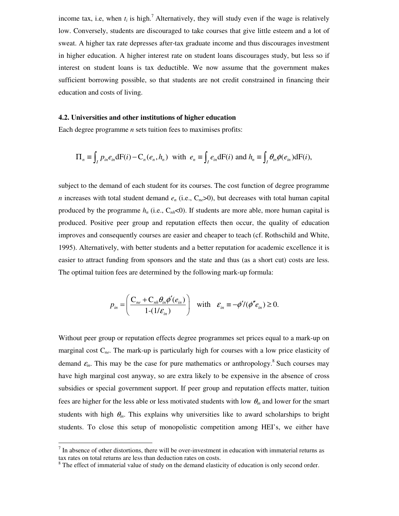income tax, i.e, when  $t_i$  is high.<sup>7</sup> Alternatively, they will study even if the wage is relatively low. Conversely, students are discouraged to take courses that give little esteem and a lot of sweat. A higher tax rate depresses after-tax graduate income and thus discourages investment in higher education. A higher interest rate on student loans discourages study, but less so if interest on student loans is tax deductible. We now assume that the government makes sufficient borrowing possible, so that students are not credit constrained in financing their education and costs of living.

#### **4.2. Universities and other institutions of higher education**

Each degree programme *n* sets tuition fees to maximises profits:

$$
\Pi_n \equiv \int_I p_{in} e_{in} dF(i) - C_n(e_n, h_n) \text{ with } e_n \equiv \int_I e_{in} dF(i) \text{ and } h_n \equiv \int_I \theta_{in} \phi(e_{in}) dF(i),
$$

subject to the demand of each student for its courses. The cost function of degree programme *n* increases with total student demand  $e_n$  (i.e.,  $C_{ne} > 0$ ), but decreases with total human capital produced by the programme  $h_n$  (i.e.,  $C_{nh}$ <0). If students are more able, more human capital is produced. Positive peer group and reputation effects then occur, the quality of education improves and consequently courses are easier and cheaper to teach (cf. Rothschild and White, 1995). Alternatively, with better students and a better reputation for academic excellence it is easier to attract funding from sponsors and the state and thus (as a short cut) costs are less. The optimal tuition fees are determined by the following mark-up formula:

$$
p_{in} = \left(\frac{C_{ne} + C_{nh}\theta_{in}\phi'(e_{in})}{1 - (1/\varepsilon_{in})}\right) \quad \text{with} \quad \varepsilon_{in} \equiv -\phi'/(\phi''e_{in}) \ge 0.
$$

Without peer group or reputation effects degree programmes set prices equal to a mark-up on marginal cost C*ne* . The mark-up is particularly high for courses with a low price elasticity of demand  $\varepsilon_{in}$ . This may be the case for pure mathematics or anthropology.<sup>8</sup> Such courses may have high marginal cost anyway, so are extra likely to be expensive in the absence of cross subsidies or special government support. If peer group and reputation effects matter, tuition fees are higher for the less able or less motivated students with low <sup>θ</sup>*in* and lower for the smart students with high  $\theta_{in}$ . This explains why universities like to award scholarships to bright students. To close this setup of monopolistic competition among HEI's, we either have

 $<sup>7</sup>$  In absence of other distortions, there will be over-investment in education with immaterial returns as</sup> tax rates on total returns are less than deduction rates on costs.

<sup>&</sup>lt;sup>8</sup> The effect of immaterial value of study on the demand elasticity of education is only second order.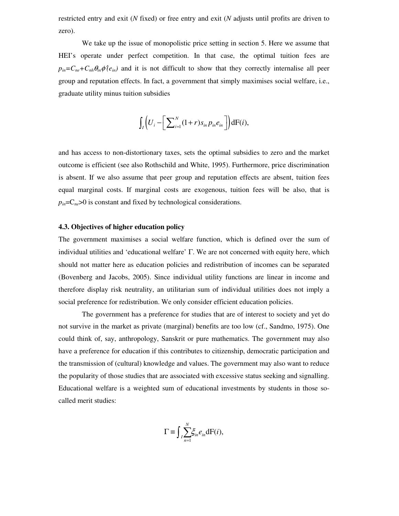restricted entry and exit (*N* fixed) or free entry and exit (*N* adjusts until profits are driven to zero).

We take up the issue of monopolistic price setting in section 5. Here we assume that HEI's operate under perfect competition. In that case, the optimal tuition fees are  $p_{in} = C_{ne} + C_{nh} \theta_{in} \phi^{\dagger}(e_{in})$  and it is not difficult to show that they correctly internalise all peer group and reputation effects. In fact, a government that simply maximises social welfare, i.e., graduate utility minus tuition subsidies

$$
\int_I \left(U_i - \left[\sum_{i=1}^N (1+r) s_{in} p_{in} e_{in}\right]\right) dF(i),
$$

and has access to non-distortionary taxes, sets the optimal subsidies to zero and the market outcome is efficient (see also Rothschild and White, 1995). Furthermore, price discrimination is absent. If we also assume that peer group and reputation effects are absent, tuition fees equal marginal costs. If marginal costs are exogenous, tuition fees will be also, that is  $p_{in} = C_{ne} > 0$  is constant and fixed by technological considerations.

#### **4.3. Objectives of higher education policy**

The government maximises a social welfare function, which is defined over the sum of individual utilities and 'educational welfare' Γ. We are not concerned with equity here, which should not matter here as education policies and redistribution of incomes can be separated (Bovenberg and Jacobs, 2005). Since individual utility functions are linear in income and therefore display risk neutrality, an utilitarian sum of individual utilities does not imply a social preference for redistribution. We only consider efficient education policies.

The government has a preference for studies that are of interest to society and yet do not survive in the market as private (marginal) benefits are too low (cf., Sandmo, 1975). One could think of, say, anthropology, Sanskrit or pure mathematics. The government may also have a preference for education if this contributes to citizenship, democratic participation and the transmission of (cultural) knowledge and values. The government may also want to reduce the popularity of those studies that are associated with excessive status seeking and signalling. Educational welfare is a weighted sum of educational investments by students in those socalled merit studies:

$$
\Gamma \equiv \int_{I} \sum_{n=1}^{N} \xi_{in} e_{in} dF(i),
$$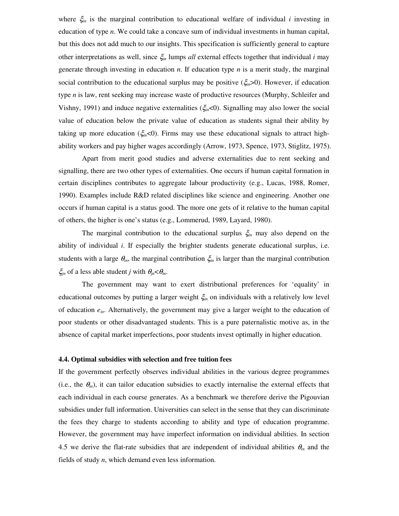where ξ*in* is the marginal contribution to educational welfare of individual *i* investing in education of type *n*. We could take a concave sum of individual investments in human capital, but this does not add much to our insights. This specification is sufficiently general to capture other interpretations as well, since ξ*in* lumps *all* external effects together that individual *i* may generate through investing in education *n*. If education type *n* is a merit study, the marginal social contribution to the educational surplus may be positive  $(\xi_{in}>0)$ . However, if education type *n* is law, rent seeking may increase waste of productive resources (Murphy, Schleifer and Vishny, 1991) and induce negative externalities ( $\xi_{in}$ <0). Signalling may also lower the social value of education below the private value of education as students signal their ability by taking up more education ( $\xi_{in}$ <0). Firms may use these educational signals to attract highability workers and pay higher wages accordingly (Arrow, 1973, Spence, 1973, Stiglitz, 1975).

Apart from merit good studies and adverse externalities due to rent seeking and signalling, there are two other types of externalities. One occurs if human capital formation in certain disciplines contributes to aggregate labour productivity (e.g., Lucas, 1988, Romer, 1990). Examples include R&D related disciplines like science and engineering. Another one occurs if human capital is a status good. The more one gets of it relative to the human capital of others, the higher is one's status (e.g., Lommerud, 1989, Layard, 1980).

The marginal contribution to the educational surplus ξ*in* may also depend on the ability of individual *i*. If especially the brighter students generate educational surplus, i.e. students with a large  $\theta_{in}$ , the marginal contribution  $\xi_{in}$  is larger than the marginal contribution  $\xi_{jn}$  of a less able student *j* with  $\theta_{jn} < \theta_{in}$ .

The government may want to exert distributional preferences for 'equality' in educational outcomes by putting a larger weight ξ*in* on individuals with a relatively low level of education *ein*. Alternatively, the government may give a larger weight to the education of poor students or other disadvantaged students. This is a pure paternalistic motive as, in the absence of capital market imperfections, poor students invest optimally in higher education.

#### **4.4. Optimal subsidies with selection and free tuition fees**

If the government perfectly observes individual abilities in the various degree programmes (i.e., the  $\theta_{in}$ ), it can tailor education subsidies to exactly internalise the external effects that each individual in each course generates. As a benchmark we therefore derive the Pigouvian subsidies under full information. Universities can select in the sense that they can discriminate the fees they charge to students according to ability and type of education programme. However, the government may have imperfect information on individual abilities. In section 4.5 we derive the flat-rate subsidies that are independent of individual abilities  $\theta_{in}$  and the fields of study *n*, which demand even less information.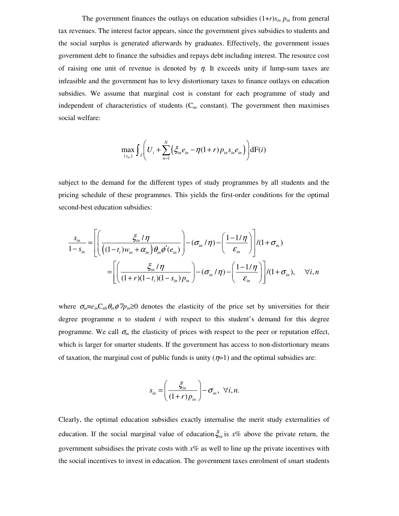The government finances the outlays on education subsidies  $(1+r)s_{in} p_{in}$  from general tax revenues. The interest factor appears, since the government gives subsidies to students and the social surplus is generated afterwards by graduates. Effectively, the government issues government debt to finance the subsidies and repays debt including interest. The resource cost of raising one unit of revenue is denoted by  $\eta$ . It exceeds unity if lump-sum taxes are infeasible and the government has to levy distortionary taxes to finance outlays on education subsidies. We assume that marginal cost is constant for each programme of study and independent of characteristics of students (C*ne* constant). The government then maximises social welfare:

$$
\max_{\{s_{in}\}} \int_{I} \left( U_{i} + \sum_{n=1}^{N} \left( \xi_{in} e_{in} - \eta (1+r) p_{in} s_{in} e_{in} \right) \right) dF(i)
$$

subject to the demand for the different types of study programmes by all students and the pricing schedule of these programmes. This yields the first-order conditions for the optimal second-best education subsidies:

$$
\frac{s_{in}}{1-s_{in}} = \left[ \left( \frac{\xi_{in}/\eta}{\left( (1-t_i)w_{in} + \alpha_{in} \right) \theta_{in} \phi'(e_{in})} \right) - \left( \sigma_{in}/\eta \right) - \left( \frac{1-1/\eta}{\varepsilon_{in}} \right) \right] / (1+\sigma_{in})
$$
\n
$$
= \left[ \left( \frac{\xi_{in}/\eta}{(1+r)(1-t_i)(1-s_{in})p_{in}} \right) - \left( \sigma_{in}/\eta \right) - \left( \frac{1-1/\eta}{\varepsilon_{in}} \right) \right] / (1+\sigma_{in}), \quad \forall i, n
$$

where  $\sigma_{in} \equiv e_{in} C_{nh} \theta_{in} \phi''/p_{in} \ge 0$  denotes the elasticity of the price set by universities for their degree programme *n* to student *i* with respect to this student's demand for this degree programme. We call  $\sigma_{in}$  the elasticity of prices with respect to the peer or reputation effect, which is larger for smarter students. If the government has access to non-distortionary means of taxation, the marginal cost of public funds is unity  $(\eta=1)$  and the optimal subsidies are:

$$
s_{in} = \left(\frac{\xi_{in}}{(1+r)p_{in}}\right) - \sigma_{in}, \ \forall i, n.
$$

Clearly, the optimal education subsidies exactly internalise the merit study externalities of education. If the social marginal value of education  $\xi_{in}$  is  $x$ % above the private return, the government subsidises the private costs with  $x\%$  as well to line up the private incentives with the social incentives to invest in education. The government taxes enrolment of smart students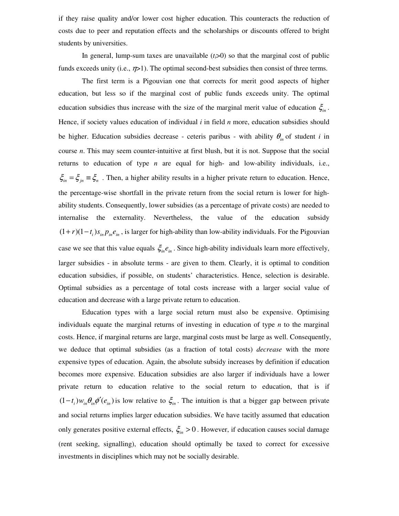if they raise quality and/or lower cost higher education. This counteracts the reduction of costs due to peer and reputation effects and the scholarships or discounts offered to bright students by universities.

In general, lump-sum taxes are unavailable  $(t<sub>i</sub>>0)$  so that the marginal cost of public funds exceeds unity (i.e.,  $\eta$ >1). The optimal second-best subsidies then consist of three terms.

The first term is a Pigouvian one that corrects for merit good aspects of higher education, but less so if the marginal cost of public funds exceeds unity. The optimal education subsidies thus increase with the size of the marginal merit value of education  $\xi_{in}$ . Hence, if society values education of individual *i* in field *n* more, education subsidies should be higher. Education subsidies decrease - ceteris paribus - with ability  $\theta_{in}$  of student *i* in course *n*. This may seem counter-intuitive at first blush, but it is not. Suppose that the social returns to education of type *n* are equal for high- and low-ability individuals, i.e.,  $\xi_{in} = \xi_{in} \equiv \xi_n$ . Then, a higher ability results in a higher private return to education. Hence, the percentage-wise shortfall in the private return from the social return is lower for highability students. Consequently, lower subsidies (as a percentage of private costs) are needed to internalise the externality. Nevertheless, the value of the education subsidy  $(1 + r)(1 - t_i) s_{in} p_{in} e_{in}$ , is larger for high-ability than low-ability individuals. For the Pigouvian case we see that this value equals  $\xi_{in}e_{in}$ . Since high-ability individuals learn more effectively, larger subsidies - in absolute terms - are given to them. Clearly, it is optimal to condition education subsidies, if possible, on students' characteristics. Hence, selection is desirable. Optimal subsidies as a percentage of total costs increase with a larger social value of education and decrease with a large private return to education.

Education types with a large social return must also be expensive. Optimising individuals equate the marginal returns of investing in education of type *n* to the marginal costs. Hence, if marginal returns are large, marginal costs must be large as well. Consequently, we deduce that optimal subsidies (as a fraction of total costs) *decrease* with the more expensive types of education. Again, the absolute subsidy increases by definition if education becomes more expensive. Education subsidies are also larger if individuals have a lower private return to education relative to the social return to education, that is if  $(1-t_i)w_{in}\theta_{in}\phi'(e_{in})$  is low relative to  $\xi_{in}$ . The intuition is that a bigger gap between private and social returns implies larger education subsidies. We have tacitly assumed that education only generates positive external effects,  $\xi_{in} > 0$ . However, if education causes social damage (rent seeking, signalling), education should optimally be taxed to correct for excessive investments in disciplines which may not be socially desirable.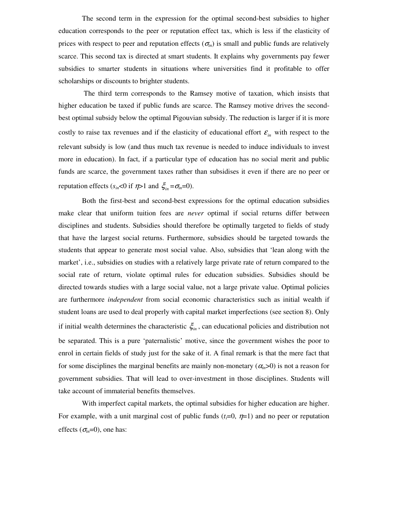The second term in the expression for the optimal second-best subsidies to higher education corresponds to the peer or reputation effect tax, which is less if the elasticity of prices with respect to peer and reputation effects ( $\sigma_{in}$ ) is small and public funds are relatively scarce. This second tax is directed at smart students. It explains why governments pay fewer subsidies to smarter students in situations where universities find it profitable to offer scholarships or discounts to brighter students.

The third term corresponds to the Ramsey motive of taxation, which insists that higher education be taxed if public funds are scarce. The Ramsey motive drives the secondbest optimal subsidy below the optimal Pigouvian subsidy. The reduction is larger if it is more costly to raise tax revenues and if the elasticity of educational effort  $\varepsilon_{in}$  with respect to the relevant subsidy is low (and thus much tax revenue is needed to induce individuals to invest more in education). In fact, if a particular type of education has no social merit and public funds are scarce, the government taxes rather than subsidises it even if there are no peer or reputation effects ( $s_{in}$ <0 if  $\eta$ >1 and  $\xi_{in}$  = $\sigma_{in}$ =0).

Both the first-best and second-best expressions for the optimal education subsidies make clear that uniform tuition fees are *never* optimal if social returns differ between disciplines and students. Subsidies should therefore be optimally targeted to fields of study that have the largest social returns. Furthermore, subsidies should be targeted towards the students that appear to generate most social value. Also, subsidies that 'lean along with the market', i.e., subsidies on studies with a relatively large private rate of return compared to the social rate of return, violate optimal rules for education subsidies. Subsidies should be directed towards studies with a large social value, not a large private value. Optimal policies are furthermore *independent* from social economic characteristics such as initial wealth if student loans are used to deal properly with capital market imperfections (see section 8). Only if initial wealth determines the characteristic  $\zeta$ <sub>in</sub>, can educational policies and distribution not be separated. This is a pure 'paternalistic' motive, since the government wishes the poor to enrol in certain fields of study just for the sake of it. A final remark is that the mere fact that for some disciplines the marginal benefits are mainly non-monetary  $(\alpha_n>0)$  is not a reason for government subsidies. That will lead to over-investment in those disciplines. Students will take account of immaterial benefits themselves.

With imperfect capital markets, the optimal subsidies for higher education are higher. For example, with a unit marginal cost of public funds  $(t_i=0, \eta=1)$  and no peer or reputation effects ( $\sigma_{in}=0$ ), one has: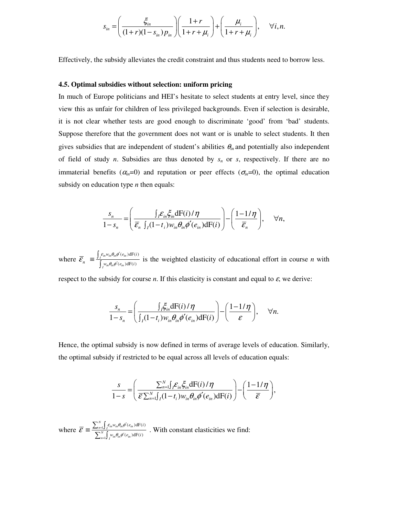$$
s_{in} = \left(\frac{\xi_{in}}{(1+r)(1-s_{in})p_{in}}\right)\left(\frac{1+r}{1+r+\mu_i}\right) + \left(\frac{\mu_i}{1+r+\mu_i}\right), \quad \forall i, n.
$$

Effectively, the subsidy alleviates the credit constraint and thus students need to borrow less.

#### **4.5. Optimal subsidies without selection: uniform pricing**

In much of Europe politicians and HEI's hesitate to select students at entry level, since they view this as unfair for children of less privileged backgrounds. Even if selection is desirable, it is not clear whether tests are good enough to discriminate 'good' from 'bad' students. Suppose therefore that the government does not want or is unable to select students. It then gives subsidies that are independent of student's abilities  $\theta_{in}$  and potentially also independent of field of study *n*. Subsidies are thus denoted by *s<sup>n</sup>* or *s*, respectively. If there are no immaterial benefits  $(\alpha_{in}=0)$  and reputation or peer effects  $(\sigma_{in}=0)$ , the optimal education subsidy on education type *n* then equals:

$$
\frac{s_n}{1-s_n} = \left(\frac{\int_i \mathcal{E}_{in} \xi_{in} dF(i)/\eta}{\overline{\mathcal{E}}_n \int_i (1-t_i) w_{in} \theta_{in} \phi'(e_{in}) dF(i)}\right) - \left(\frac{1-1/\eta}{\overline{\mathcal{E}}_n}\right), \quad \forall n,
$$

where  $\overline{\mathcal{E}}_n \equiv \frac{\int_f \varepsilon_{in} w_{in} \theta_{in} \phi'(e_{in}) dF(i)}{\int_{\Omega} \phi'(e_{in}) dF(i)}$  $(e_{in})dF(i)$  $\int_I \epsilon_{in} w_{in} \sigma_{in} \varphi$  ( $\epsilon_{in}$  $\int_I w_{in} \sigma_{in} \varphi$  ( $e_{in}$  $w_{in} \theta_{in} \phi'(e_{in}) dF(i)$  $n = \int w_{in} \theta_{in} \phi'(e_{in}) dF(i)$  $\varepsilon_{\scriptscriptstyle in} w_{\scriptscriptstyle in} \theta_{\scriptscriptstyle in} \phi^{\scriptscriptstyle \prime}$  $\overline{\mathcal{E}}_n \equiv \frac{\int_I \mathcal{E}_{in} w_{in} \theta_{in} \phi'}{\int w_{in} \theta_{in} \phi'}$ ′  $\equiv \frac{\int_{f^{\epsilon_m w_m} \theta_m \phi'(e_m) dF(i)}}{\int_{f^w} w_m \theta_m \phi'(e_m) dF(i)}$  is the weighted elasticity of educational effort in course *n* with

respect to the subsidy for course  $n$ . If this elasticity is constant and equal to  $\varepsilon$ , we derive:

$$
\frac{s_n}{1-s_n} = \left(\frac{\int_I \xi_{in} dF(i)/\eta}{\int_I (1-t_i) w_{in} \theta_{in} \phi'(e_{in}) dF(i)}\right) - \left(\frac{1-1/\eta}{\varepsilon}\right), \quad \forall n.
$$

Hence, the optimal subsidy is now defined in terms of average levels of education. Similarly, the optimal subsidy if restricted to be equal across all levels of education equals:

$$
\frac{s}{1-s} = \left(\frac{\sum_{n=1}^{N} \int_{i} \mathcal{E}_{in} \xi_{in} dF(i)/\eta}{\mathcal{E} \sum_{n=1}^{N} \int_{I} (1-t_{i}) w_{in} \theta_{in} \phi'(e_{in}) dF(i)}\right) - \left(\frac{1-1/\eta}{\mathcal{E}}\right),
$$

where  $\overline{\mathcal{E}} \equiv \frac{\sum_{n=1}^{n}}{\sum_{n=1}^{n}}$ 1  $(e_{in})dF(i)$  $(e_{in})$ dF(*i*)  $\int_{n=1}^{N} \int_{I} \varepsilon_{in} w_{in} \theta_{in} \phi' (e_{in})$ <br>  $\int_{I}^{N} w_{in} \theta_{in} \phi' (e_{in})$  $w_{in} \theta_{in} \phi'(e_{in}) dF(i)$  $w_{in} \theta_{in} \phi'(e_{in}) dF(i)$  $\varepsilon_{\scriptscriptstyle in} w_{\scriptscriptstyle in} \theta_{\scriptscriptstyle in} \phi^{\scriptscriptstyle \prime}$  $\overline{\mathcal{E}} \equiv \frac{\sum_{n=1}^N \int_I m \cdot m \cdot m}{\sum_{m=1}^N \int w_m \theta_m \phi_m}$ = ′ ′  $\equiv \frac{\sum_{n=1}^{N} \int_{f^{in}} \kappa_{in} \theta_{in} \phi'(e_{in}) dF(i)}{\sum_{n=1}^{N} \int_{f^{in}} \kappa_{in} \theta_{in} \phi'(e_{in}) dF(i)}$ . With constant elasticities we find: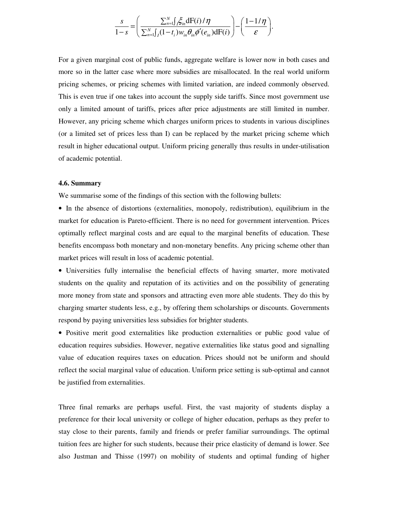$$
\frac{s}{1-s} = \left(\frac{\sum_{n=1}^{N} \int_{I} \xi_{in} dF(i)/\eta}{\sum_{n=1}^{N} \int_{I} (1-t_{i}) w_{in} \theta_{in} \phi'(e_{in}) dF(i)}\right) - \left(\frac{1-1/\eta}{\varepsilon}\right).
$$

For a given marginal cost of public funds, aggregate welfare is lower now in both cases and more so in the latter case where more subsidies are misallocated. In the real world uniform pricing schemes, or pricing schemes with limited variation, are indeed commonly observed. This is even true if one takes into account the supply side tariffs. Since most government use only a limited amount of tariffs, prices after price adjustments are still limited in number. However, any pricing scheme which charges uniform prices to students in various disciplines (or a limited set of prices less than I) can be replaced by the market pricing scheme which result in higher educational output. Uniform pricing generally thus results in under-utilisation of academic potential.

#### **4.6. Summary**

We summarise some of the findings of this section with the following bullets:

• In the absence of distortions (externalities, monopoly, redistribution), equilibrium in the market for education is Pareto-efficient. There is no need for government intervention. Prices optimally reflect marginal costs and are equal to the marginal benefits of education. These benefits encompass both monetary and non-monetary benefits. Any pricing scheme other than market prices will result in loss of academic potential.

• Universities fully internalise the beneficial effects of having smarter, more motivated students on the quality and reputation of its activities and on the possibility of generating more money from state and sponsors and attracting even more able students. They do this by charging smarter students less, e.g., by offering them scholarships or discounts. Governments respond by paying universities less subsidies for brighter students.

• Positive merit good externalities like production externalities or public good value of education requires subsidies. However, negative externalities like status good and signalling value of education requires taxes on education. Prices should not be uniform and should reflect the social marginal value of education. Uniform price setting is sub-optimal and cannot be justified from externalities.

Three final remarks are perhaps useful. First, the vast majority of students display a preference for their local university or college of higher education, perhaps as they prefer to stay close to their parents, family and friends or prefer familiar surroundings. The optimal tuition fees are higher for such students, because their price elasticity of demand is lower. See also Justman and Thisse (1997) on mobility of students and optimal funding of higher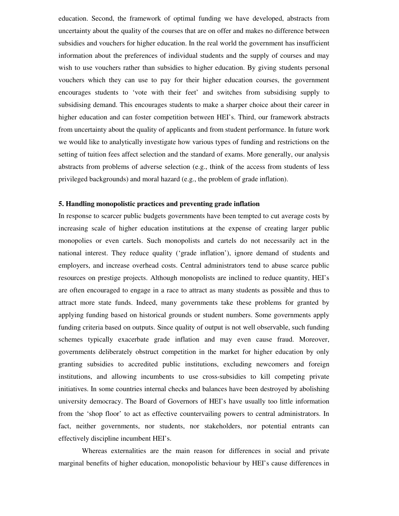education. Second, the framework of optimal funding we have developed, abstracts from uncertainty about the quality of the courses that are on offer and makes no difference between subsidies and vouchers for higher education. In the real world the government has insufficient information about the preferences of individual students and the supply of courses and may wish to use vouchers rather than subsidies to higher education. By giving students personal vouchers which they can use to pay for their higher education courses, the government encourages students to 'vote with their feet' and switches from subsidising supply to subsidising demand. This encourages students to make a sharper choice about their career in higher education and can foster competition between HEI's. Third, our framework abstracts from uncertainty about the quality of applicants and from student performance. In future work we would like to analytically investigate how various types of funding and restrictions on the setting of tuition fees affect selection and the standard of exams. More generally, our analysis abstracts from problems of adverse selection (e.g., think of the access from students of less privileged backgrounds) and moral hazard (e.g., the problem of grade inflation).

# **5. Handling monopolistic practices and preventing grade inflation**

In response to scarcer public budgets governments have been tempted to cut average costs by increasing scale of higher education institutions at the expense of creating larger public monopolies or even cartels. Such monopolists and cartels do not necessarily act in the national interest. They reduce quality ('grade inflation'), ignore demand of students and employers, and increase overhead costs. Central administrators tend to abuse scarce public resources on prestige projects. Although monopolists are inclined to reduce quantity, HEI's are often encouraged to engage in a race to attract as many students as possible and thus to attract more state funds. Indeed, many governments take these problems for granted by applying funding based on historical grounds or student numbers. Some governments apply funding criteria based on outputs. Since quality of output is not well observable, such funding schemes typically exacerbate grade inflation and may even cause fraud. Moreover, governments deliberately obstruct competition in the market for higher education by only granting subsidies to accredited public institutions, excluding newcomers and foreign institutions, and allowing incumbents to use cross-subsidies to kill competing private initiatives. In some countries internal checks and balances have been destroyed by abolishing university democracy. The Board of Governors of HEI's have usually too little information from the 'shop floor' to act as effective countervailing powers to central administrators. In fact, neither governments, nor students, nor stakeholders, nor potential entrants can effectively discipline incumbent HEI's.

Whereas externalities are the main reason for differences in social and private marginal benefits of higher education, monopolistic behaviour by HEI's cause differences in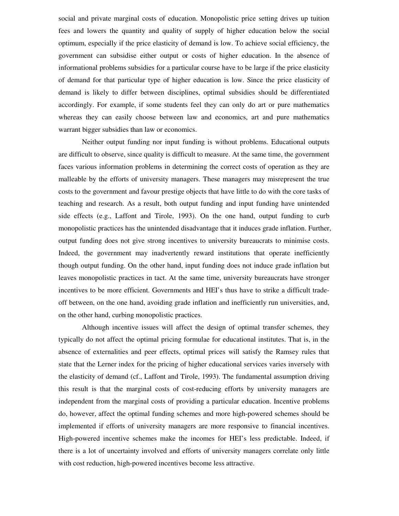social and private marginal costs of education. Monopolistic price setting drives up tuition fees and lowers the quantity and quality of supply of higher education below the social optimum, especially if the price elasticity of demand is low. To achieve social efficiency, the government can subsidise either output or costs of higher education. In the absence of informational problems subsidies for a particular course have to be large if the price elasticity of demand for that particular type of higher education is low. Since the price elasticity of demand is likely to differ between disciplines, optimal subsidies should be differentiated accordingly. For example, if some students feel they can only do art or pure mathematics whereas they can easily choose between law and economics, art and pure mathematics warrant bigger subsidies than law or economics.

Neither output funding nor input funding is without problems. Educational outputs are difficult to observe, since quality is difficult to measure. At the same time, the government faces various information problems in determining the correct costs of operation as they are malleable by the efforts of university managers. These managers may misrepresent the true costs to the government and favour prestige objects that have little to do with the core tasks of teaching and research. As a result, both output funding and input funding have unintended side effects (e.g., Laffont and Tirole, 1993). On the one hand, output funding to curb monopolistic practices has the unintended disadvantage that it induces grade inflation. Further, output funding does not give strong incentives to university bureaucrats to minimise costs. Indeed, the government may inadvertently reward institutions that operate inefficiently though output funding. On the other hand, input funding does not induce grade inflation but leaves monopolistic practices in tact. At the same time, university bureaucrats have stronger incentives to be more efficient. Governments and HEI's thus have to strike a difficult tradeoff between, on the one hand, avoiding grade inflation and inefficiently run universities, and, on the other hand, curbing monopolistic practices.

Although incentive issues will affect the design of optimal transfer schemes, they typically do not affect the optimal pricing formulae for educational institutes. That is, in the absence of externalities and peer effects, optimal prices will satisfy the Ramsey rules that state that the Lerner index for the pricing of higher educational services varies inversely with the elasticity of demand (cf., Laffont and Tirole, 1993). The fundamental assumption driving this result is that the marginal costs of cost-reducing efforts by university managers are independent from the marginal costs of providing a particular education. Incentive problems do, however, affect the optimal funding schemes and more high-powered schemes should be implemented if efforts of university managers are more responsive to financial incentives. High-powered incentive schemes make the incomes for HEI's less predictable. Indeed, if there is a lot of uncertainty involved and efforts of university managers correlate only little with cost reduction, high-powered incentives become less attractive.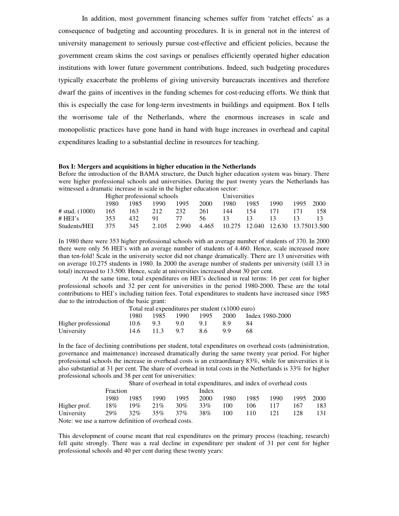In addition, most government financing schemes suffer from 'ratchet effects' as a consequence of budgeting and accounting procedures. It is in general not in the interest of university management to seriously pursue cost-effective and efficient policies, because the government cream skims the cost savings or penalises efficiently operated higher education institutions with lower future government contributions. Indeed, such budgeting procedures typically exacerbate the problems of giving university bureaucrats incentives and therefore dwarf the gains of incentives in the funding schemes for cost-reducing efforts. We think that this is especially the case for long-term investments in buildings and equipment. Box I tells the worrisome tale of the Netherlands, where the enormous increases in scale and monopolistic practices have gone hand in hand with huge increases in overhead and capital expenditures leading to a substantial decline in resources for teaching.

#### **Box I: Mergers and acquisitions in higher education in the Netherlands**

Before the introduction of the BAMA structure, the Dutch higher education system was binary. There were higher professional schools and universities. During the past twenty years the Netherlands has witnessed a dramatic increase in scale in the higher education sector:

|                  | Higher professional schools |      |       |       | Universities |       |                                   |      |      |        |
|------------------|-----------------------------|------|-------|-------|--------------|-------|-----------------------------------|------|------|--------|
|                  | 1980                        | 1985 | 1990. | 1995  | 2000         | 1980. | 1985                              | 1990 | 1995 | - 2000 |
| # stud. $(1000)$ | 165                         | 163  | 212   | 232   | 261          | 144   | 154                               | 171  |      | 158.   |
| # H E I's        | 353                         | 432. | -91   | 77    | -56.         | -13   | -13                               | 13.  | 13.  |        |
| Students/HEI     | 375                         | 345  | 2.105 | 2.990 | 4.465        |       | 10.275 12.040 12.630 13.75013.500 |      |      |        |

In 1980 there were 353 higher professional schools with an average number of students of 370. In 2000 there were only 56 HEI's with an average number of students of 4.460. Hence, scale increased more than ten-fold! Scale in the university sector did not change dramatically. There are 13 universities with on average 10.275 students in 1980. In 2000 the average number of students per university (still 13 in total) increased to 13.500. Hence, scale at universities increased about 30 per cent.

At the same time, total expenditures on HEI's declined in real terms: 16 per cent for higher professional schools and 32 per cent for universities in the period 1980-2000. These are the total contributions to HEI's including tuition fees. Total expenditures to students have increased since 1985 due to the introduction of the basic grant:

|                     | Total real expenditures per student $(x1000 \text{ euro})$ |            |     |      |    |                                          |  |  |
|---------------------|------------------------------------------------------------|------------|-----|------|----|------------------------------------------|--|--|
|                     |                                                            |            |     |      |    | 1980 1985 1990 1995 2000 Index 1980-2000 |  |  |
| Higher professional |                                                            | $10.6$ 9.3 | 9.0 | -91  | 89 | -84                                      |  |  |
| University          |                                                            | 14.6 11.3  | 9.7 | -8.6 | QQ | 68                                       |  |  |

In the face of declining contributions per student, total expenditures on overhead costs (administration, governance and maintenance) increased dramatically during the same twenty year period. For higher professional schools the increase in overhead costs is an extraordinary 83%, while for universities it is also substantial at 31 per cent. The share of overhead in total costs in the Netherlands is 33% for higher professional schools and 38 per cent for universities:

Share of overhead in total expenditures, and index of overhead costs

|                                                    | Fraction |      |            |        | Index |      |      |      |     |           |  |
|----------------------------------------------------|----------|------|------------|--------|-------|------|------|------|-----|-----------|--|
|                                                    | 1980     | 1985 | 1990       | 1995   | 2000  | 1980 | 1985 | 1990 |     | 1995 2000 |  |
| Higher prof.                                       | 18%      |      | $19\%$ 21% | $30\%$ | 33%   | 100  | 106  | 117  | 167 | 183.      |  |
| University 29% 32% 35% 37%                         |          |      |            |        | 38%   | 100  | 110  | 121  | 128 | 131       |  |
| Note: we use a narrow definition of overhead costs |          |      |            |        |       |      |      |      |     |           |  |

Note: we use a narrow definition of overhead costs.

This development of course meant that real expenditures on the primary process (teaching, research) fell quite strongly. There was a real decline in expenditure per student of 31 per cent for higher professional schools and 40 per cent during these twenty years: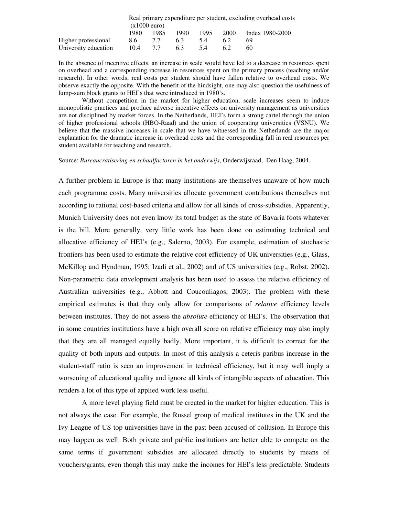|                      | Real primary expenditure per student, excluding overhead costs |      |      |      |      |                 |  |  |  |  |
|----------------------|----------------------------------------------------------------|------|------|------|------|-----------------|--|--|--|--|
|                      | $(x1000 \text{ euro})$                                         |      |      |      |      |                 |  |  |  |  |
|                      | 1980.                                                          | 1985 | 1990 | 1995 | 2000 | Index 1980-2000 |  |  |  |  |
| Higher professional  | 8.6                                                            | 77   | 6.3  | 5.4  | 6.2  | 69              |  |  |  |  |
| University education | 10.4                                                           | 77   | 6.3  | 54   | 6.2  | 60              |  |  |  |  |

In the absence of incentive effects, an increase in scale would have led to a decrease in resources spent on overhead and a corresponding increase in resources spent on the primary process (teaching and/or research). In other words, real costs per student should have fallen relative to overhead costs. We observe exactly the opposite. With the benefit of the hindsight, one may also question the usefulness of lump-sum block grants to HEI's that were introduced in 1980's.

Without competition in the market for higher education, scale increases seem to induce monopolistic practices and produce adverse incentive effects on university management as universities are not disciplined by market forces. In the Netherlands, HEI's form a strong cartel through the union of higher professional schools (HBO-Raad) and the union of cooperating universities (VSNU). We believe that the massive increases in scale that we have witnessed in the Netherlands are the major explanation for the dramatic increase in overhead costs and the corresponding fall in real resources per student available for teaching and research.

Source: *Bureaucratisering en schaalfactoren in het onderwijs*, Onderwijsraad, Den Haag, 2004.

A further problem in Europe is that many institutions are themselves unaware of how much each programme costs. Many universities allocate government contributions themselves not according to rational cost-based criteria and allow for all kinds of cross-subsidies. Apparently, Munich University does not even know its total budget as the state of Bavaria foots whatever is the bill. More generally, very little work has been done on estimating technical and allocative efficiency of HEI's (e.g., Salerno, 2003). For example, estimation of stochastic frontiers has been used to estimate the relative cost efficiency of UK universities (e.g., Glass, McKillop and Hyndman, 1995; Izadi et al., 2002) and of US universities (e.g., Robst, 2002). Non-parametric data envelopment analysis has been used to assess the relative efficiency of Australian universities (e.g., Abbott and Coucouliagos, 2003). The problem with these empirical estimates is that they only allow for comparisons of *relative* efficiency levels between institutes. They do not assess the *absolute* efficiency of HEI's. The observation that in some countries institutions have a high overall score on relative efficiency may also imply that they are all managed equally badly. More important, it is difficult to correct for the quality of both inputs and outputs. In most of this analysis a ceteris paribus increase in the student-staff ratio is seen an improvement in technical efficiency, but it may well imply a worsening of educational quality and ignore all kinds of intangible aspects of education. This renders a lot of this type of applied work less useful.

A more level playing field must be created in the market for higher education. This is not always the case. For example, the Russel group of medical institutes in the UK and the Ivy League of US top universities have in the past been accused of collusion. In Europe this may happen as well. Both private and public institutions are better able to compete on the same terms if government subsidies are allocated directly to students by means of vouchers/grants, even though this may make the incomes for HEI's less predictable. Students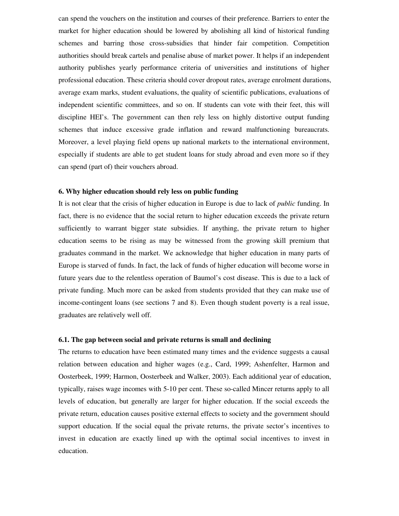can spend the vouchers on the institution and courses of their preference. Barriers to enter the market for higher education should be lowered by abolishing all kind of historical funding schemes and barring those cross-subsidies that hinder fair competition. Competition authorities should break cartels and penalise abuse of market power. It helps if an independent authority publishes yearly performance criteria of universities and institutions of higher professional education. These criteria should cover dropout rates, average enrolment durations, average exam marks, student evaluations, the quality of scientific publications, evaluations of independent scientific committees, and so on. If students can vote with their feet, this will discipline HEI's. The government can then rely less on highly distortive output funding schemes that induce excessive grade inflation and reward malfunctioning bureaucrats. Moreover, a level playing field opens up national markets to the international environment, especially if students are able to get student loans for study abroad and even more so if they can spend (part of) their vouchers abroad.

#### **6. Why higher education should rely less on public funding**

It is not clear that the crisis of higher education in Europe is due to lack of *public* funding. In fact, there is no evidence that the social return to higher education exceeds the private return sufficiently to warrant bigger state subsidies. If anything, the private return to higher education seems to be rising as may be witnessed from the growing skill premium that graduates command in the market. We acknowledge that higher education in many parts of Europe is starved of funds. In fact, the lack of funds of higher education will become worse in future years due to the relentless operation of Baumol's cost disease. This is due to a lack of private funding. Much more can be asked from students provided that they can make use of income-contingent loans (see sections 7 and 8). Even though student poverty is a real issue, graduates are relatively well off.

#### **6.1. The gap between social and private returns is small and declining**

The returns to education have been estimated many times and the evidence suggests a causal relation between education and higher wages (e.g., Card, 1999; Ashenfelter, Harmon and Oosterbeek, 1999; Harmon, Oosterbeek and Walker, 2003). Each additional year of education, typically, raises wage incomes with 5-10 per cent. These so-called Mincer returns apply to all levels of education, but generally are larger for higher education. If the social exceeds the private return, education causes positive external effects to society and the government should support education. If the social equal the private returns, the private sector's incentives to invest in education are exactly lined up with the optimal social incentives to invest in education.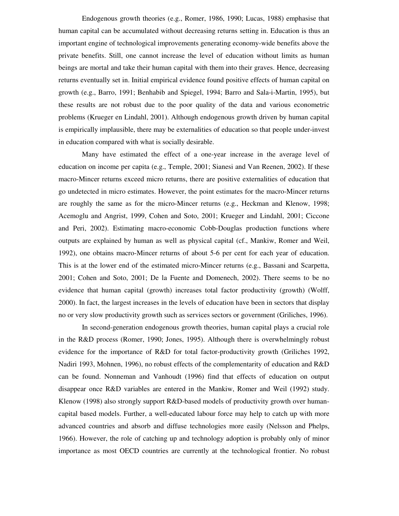Endogenous growth theories (e.g., Romer, 1986, 1990; Lucas, 1988) emphasise that human capital can be accumulated without decreasing returns setting in. Education is thus an important engine of technological improvements generating economy-wide benefits above the private benefits. Still, one cannot increase the level of education without limits as human beings are mortal and take their human capital with them into their graves. Hence, decreasing returns eventually set in. Initial empirical evidence found positive effects of human capital on growth (e.g., Barro, 1991; Benhabib and Spiegel, 1994; Barro and Sala-i-Martin, 1995), but these results are not robust due to the poor quality of the data and various econometric problems (Krueger en Lindahl, 2001). Although endogenous growth driven by human capital is empirically implausible, there may be externalities of education so that people under-invest in education compared with what is socially desirable.

Many have estimated the effect of a one-year increase in the average level of education on income per capita (e.g., Temple, 2001; Sianesi and Van Reenen, 2002). If these macro-Mincer returns exceed micro returns, there are positive externalities of education that go undetected in micro estimates. However, the point estimates for the macro-Mincer returns are roughly the same as for the micro-Mincer returns (e.g., Heckman and Klenow, 1998; Acemoglu and Angrist, 1999, Cohen and Soto, 2001; Krueger and Lindahl, 2001; Ciccone and Peri, 2002). Estimating macro-economic Cobb-Douglas production functions where outputs are explained by human as well as physical capital (cf., Mankiw, Romer and Weil, 1992), one obtains macro-Mincer returns of about 5-6 per cent for each year of education. This is at the lower end of the estimated micro-Mincer returns (e.g., Bassani and Scarpetta, 2001; Cohen and Soto, 2001; De la Fuente and Domenech, 2002). There seems to be no evidence that human capital (growth) increases total factor productivity (growth) (Wolff, 2000). In fact, the largest increases in the levels of education have been in sectors that display no or very slow productivity growth such as services sectors or government (Griliches, 1996).

In second-generation endogenous growth theories, human capital plays a crucial role in the R&D process (Romer, 1990; Jones, 1995). Although there is overwhelmingly robust evidence for the importance of R&D for total factor-productivity growth (Griliches 1992, Nadiri 1993, Mohnen, 1996), no robust effects of the complementarity of education and R&D can be found. Nonneman and Vanhoudt (1996) find that effects of education on output disappear once R&D variables are entered in the Mankiw, Romer and Weil (1992) study. Klenow (1998) also strongly support R&D-based models of productivity growth over humancapital based models. Further, a well-educated labour force may help to catch up with more advanced countries and absorb and diffuse technologies more easily (Nelsson and Phelps, 1966). However, the role of catching up and technology adoption is probably only of minor importance as most OECD countries are currently at the technological frontier. No robust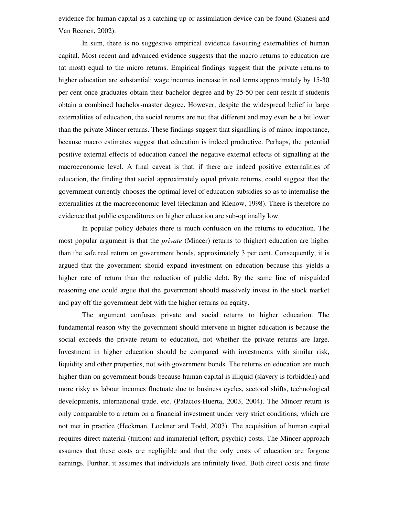evidence for human capital as a catching-up or assimilation device can be found (Sianesi and Van Reenen, 2002).

In sum, there is no suggestive empirical evidence favouring externalities of human capital. Most recent and advanced evidence suggests that the macro returns to education are (at most) equal to the micro returns. Empirical findings suggest that the private returns to higher education are substantial: wage incomes increase in real terms approximately by 15-30 per cent once graduates obtain their bachelor degree and by 25-50 per cent result if students obtain a combined bachelor-master degree. However, despite the widespread belief in large externalities of education, the social returns are not that different and may even be a bit lower than the private Mincer returns. These findings suggest that signalling is of minor importance, because macro estimates suggest that education is indeed productive. Perhaps, the potential positive external effects of education cancel the negative external effects of signalling at the macroeconomic level. A final caveat is that, if there are indeed positive externalities of education, the finding that social approximately equal private returns, could suggest that the government currently chooses the optimal level of education subsidies so as to internalise the externalities at the macroeconomic level (Heckman and Klenow, 1998). There is therefore no evidence that public expenditures on higher education are sub-optimally low.

In popular policy debates there is much confusion on the returns to education. The most popular argument is that the *private* (Mincer) returns to (higher) education are higher than the safe real return on government bonds, approximately 3 per cent. Consequently, it is argued that the government should expand investment on education because this yields a higher rate of return than the reduction of public debt. By the same line of misguided reasoning one could argue that the government should massively invest in the stock market and pay off the government debt with the higher returns on equity.

The argument confuses private and social returns to higher education. The fundamental reason why the government should intervene in higher education is because the social exceeds the private return to education, not whether the private returns are large. Investment in higher education should be compared with investments with similar risk, liquidity and other properties, not with government bonds. The returns on education are much higher than on government bonds because human capital is illiquid (slavery is forbidden) and more risky as labour incomes fluctuate due to business cycles, sectoral shifts, technological developments, international trade, etc. (Palacios-Huerta, 2003, 2004). The Mincer return is only comparable to a return on a financial investment under very strict conditions, which are not met in practice (Heckman, Lockner and Todd, 2003). The acquisition of human capital requires direct material (tuition) and immaterial (effort, psychic) costs. The Mincer approach assumes that these costs are negligible and that the only costs of education are forgone earnings. Further, it assumes that individuals are infinitely lived. Both direct costs and finite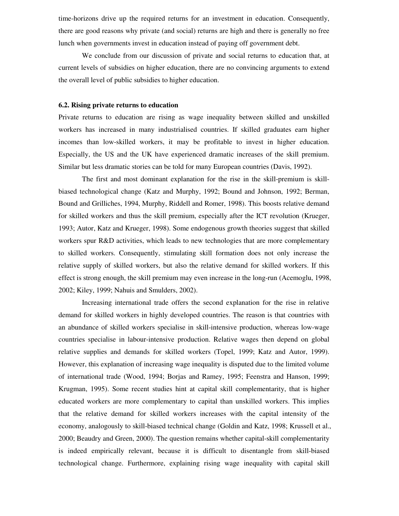time-horizons drive up the required returns for an investment in education. Consequently, there are good reasons why private (and social) returns are high and there is generally no free lunch when governments invest in education instead of paying off government debt.

We conclude from our discussion of private and social returns to education that, at current levels of subsidies on higher education, there are no convincing arguments to extend the overall level of public subsidies to higher education.

#### **6.2. Rising private returns to education**

Private returns to education are rising as wage inequality between skilled and unskilled workers has increased in many industrialised countries. If skilled graduates earn higher incomes than low-skilled workers, it may be profitable to invest in higher education. Especially, the US and the UK have experienced dramatic increases of the skill premium. Similar but less dramatic stories can be told for many European countries (Davis, 1992).

The first and most dominant explanation for the rise in the skill-premium is skillbiased technological change (Katz and Murphy, 1992; Bound and Johnson, 1992; Berman, Bound and Grilliches, 1994, Murphy, Riddell and Romer, 1998). This boosts relative demand for skilled workers and thus the skill premium, especially after the ICT revolution (Krueger, 1993; Autor, Katz and Krueger, 1998). Some endogenous growth theories suggest that skilled workers spur R&D activities, which leads to new technologies that are more complementary to skilled workers. Consequently, stimulating skill formation does not only increase the relative supply of skilled workers, but also the relative demand for skilled workers. If this effect is strong enough, the skill premium may even increase in the long-run (Acemoglu, 1998, 2002; Kiley, 1999; Nahuis and Smulders, 2002).

Increasing international trade offers the second explanation for the rise in relative demand for skilled workers in highly developed countries. The reason is that countries with an abundance of skilled workers specialise in skill-intensive production, whereas low-wage countries specialise in labour-intensive production. Relative wages then depend on global relative supplies and demands for skilled workers (Topel, 1999; Katz and Autor, 1999). However, this explanation of increasing wage inequality is disputed due to the limited volume of international trade (Wood, 1994; Borjas and Ramey, 1995; Feenstra and Hanson, 1999; Krugman, 1995). Some recent studies hint at capital skill complementarity, that is higher educated workers are more complementary to capital than unskilled workers. This implies that the relative demand for skilled workers increases with the capital intensity of the economy, analogously to skill-biased technical change (Goldin and Katz, 1998; Krussell et al., 2000; Beaudry and Green, 2000). The question remains whether capital-skill complementarity is indeed empirically relevant, because it is difficult to disentangle from skill-biased technological change. Furthermore, explaining rising wage inequality with capital skill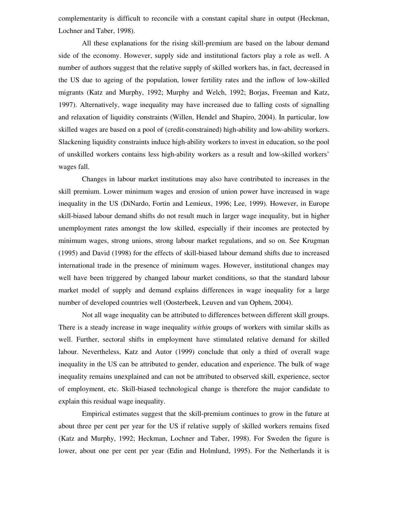complementarity is difficult to reconcile with a constant capital share in output (Heckman, Lochner and Taber, 1998).

All these explanations for the rising skill-premium are based on the labour demand side of the economy. However, supply side and institutional factors play a role as well. A number of authors suggest that the relative supply of skilled workers has, in fact, decreased in the US due to ageing of the population, lower fertility rates and the inflow of low-skilled migrants (Katz and Murphy, 1992; Murphy and Welch, 1992; Borjas, Freeman and Katz, 1997). Alternatively, wage inequality may have increased due to falling costs of signalling and relaxation of liquidity constraints (Willen, Hendel and Shapiro, 2004). In particular, low skilled wages are based on a pool of (credit-constrained) high-ability and low-ability workers. Slackening liquidity constraints induce high-ability workers to invest in education, so the pool of unskilled workers contains less high-ability workers as a result and low-skilled workers' wages fall.

Changes in labour market institutions may also have contributed to increases in the skill premium. Lower minimum wages and erosion of union power have increased in wage inequality in the US (DiNardo, Fortin and Lemieux, 1996; Lee, 1999). However, in Europe skill-biased labour demand shifts do not result much in larger wage inequality, but in higher unemployment rates amongst the low skilled, especially if their incomes are protected by minimum wages, strong unions, strong labour market regulations, and so on. See Krugman (1995) and David (1998) for the effects of skill-biased labour demand shifts due to increased international trade in the presence of minimum wages. However, institutional changes may well have been triggered by changed labour market conditions, so that the standard labour market model of supply and demand explains differences in wage inequality for a large number of developed countries well (Oosterbeek, Leuven and van Ophem, 2004).

Not all wage inequality can be attributed to differences between different skill groups. There is a steady increase in wage inequality *within* groups of workers with similar skills as well. Further, sectoral shifts in employment have stimulated relative demand for skilled labour. Nevertheless, Katz and Autor (1999) conclude that only a third of overall wage inequality in the US can be attributed to gender, education and experience. The bulk of wage inequality remains unexplained and can not be attributed to observed skill, experience, sector of employment, etc. Skill-biased technological change is therefore the major candidate to explain this residual wage inequality.

Empirical estimates suggest that the skill-premium continues to grow in the future at about three per cent per year for the US if relative supply of skilled workers remains fixed (Katz and Murphy, 1992; Heckman, Lochner and Taber, 1998). For Sweden the figure is lower, about one per cent per year (Edin and Holmlund, 1995). For the Netherlands it is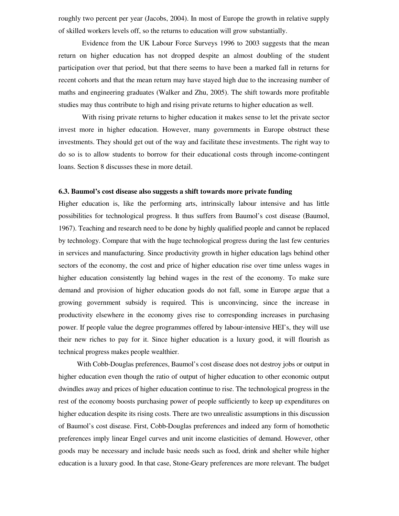roughly two percent per year (Jacobs, 2004). In most of Europe the growth in relative supply of skilled workers levels off, so the returns to education will grow substantially.

Evidence from the UK Labour Force Surveys 1996 to 2003 suggests that the mean return on higher education has not dropped despite an almost doubling of the student participation over that period, but that there seems to have been a marked fall in returns for recent cohorts and that the mean return may have stayed high due to the increasing number of maths and engineering graduates (Walker and Zhu, 2005). The shift towards more profitable studies may thus contribute to high and rising private returns to higher education as well.

With rising private returns to higher education it makes sense to let the private sector invest more in higher education. However, many governments in Europe obstruct these investments. They should get out of the way and facilitate these investments. The right way to do so is to allow students to borrow for their educational costs through income-contingent loans. Section 8 discusses these in more detail.

#### **6.3. Baumol's cost disease also suggests a shift towards more private funding**

Higher education is, like the performing arts, intrinsically labour intensive and has little possibilities for technological progress. It thus suffers from Baumol's cost disease (Baumol, 1967). Teaching and research need to be done by highly qualified people and cannot be replaced by technology. Compare that with the huge technological progress during the last few centuries in services and manufacturing. Since productivity growth in higher education lags behind other sectors of the economy, the cost and price of higher education rise over time unless wages in higher education consistently lag behind wages in the rest of the economy. To make sure demand and provision of higher education goods do not fall, some in Europe argue that a growing government subsidy is required. This is unconvincing, since the increase in productivity elsewhere in the economy gives rise to corresponding increases in purchasing power. If people value the degree programmes offered by labour-intensive HEI's, they will use their new riches to pay for it. Since higher education is a luxury good, it will flourish as technical progress makes people wealthier.

With Cobb-Douglas preferences, Baumol's cost disease does not destroy jobs or output in higher education even though the ratio of output of higher education to other economic output dwindles away and prices of higher education continue to rise. The technological progress in the rest of the economy boosts purchasing power of people sufficiently to keep up expenditures on higher education despite its rising costs. There are two unrealistic assumptions in this discussion of Baumol's cost disease. First, Cobb-Douglas preferences and indeed any form of homothetic preferences imply linear Engel curves and unit income elasticities of demand. However, other goods may be necessary and include basic needs such as food, drink and shelter while higher education is a luxury good. In that case, Stone-Geary preferences are more relevant. The budget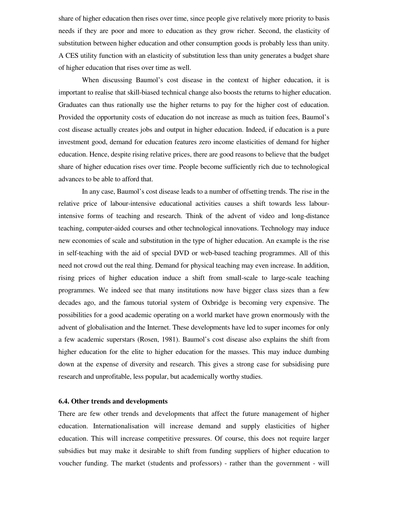share of higher education then rises over time, since people give relatively more priority to basis needs if they are poor and more to education as they grow richer. Second, the elasticity of substitution between higher education and other consumption goods is probably less than unity. A CES utility function with an elasticity of substitution less than unity generates a budget share of higher education that rises over time as well.

When discussing Baumol's cost disease in the context of higher education, it is important to realise that skill-biased technical change also boosts the returns to higher education. Graduates can thus rationally use the higher returns to pay for the higher cost of education. Provided the opportunity costs of education do not increase as much as tuition fees, Baumol's cost disease actually creates jobs and output in higher education. Indeed, if education is a pure investment good, demand for education features zero income elasticities of demand for higher education. Hence, despite rising relative prices, there are good reasons to believe that the budget share of higher education rises over time. People become sufficiently rich due to technological advances to be able to afford that.

In any case, Baumol's cost disease leads to a number of offsetting trends. The rise in the relative price of labour-intensive educational activities causes a shift towards less labourintensive forms of teaching and research. Think of the advent of video and long-distance teaching, computer-aided courses and other technological innovations. Technology may induce new economies of scale and substitution in the type of higher education. An example is the rise in self-teaching with the aid of special DVD or web-based teaching programmes. All of this need not crowd out the real thing. Demand for physical teaching may even increase. In addition, rising prices of higher education induce a shift from small-scale to large-scale teaching programmes. We indeed see that many institutions now have bigger class sizes than a few decades ago, and the famous tutorial system of Oxbridge is becoming very expensive. The possibilities for a good academic operating on a world market have grown enormously with the advent of globalisation and the Internet. These developments have led to super incomes for only a few academic superstars (Rosen, 1981). Baumol's cost disease also explains the shift from higher education for the elite to higher education for the masses. This may induce dumbing down at the expense of diversity and research. This gives a strong case for subsidising pure research and unprofitable, less popular, but academically worthy studies.

## **6.4. Other trends and developments**

There are few other trends and developments that affect the future management of higher education. Internationalisation will increase demand and supply elasticities of higher education. This will increase competitive pressures. Of course, this does not require larger subsidies but may make it desirable to shift from funding suppliers of higher education to voucher funding. The market (students and professors) - rather than the government - will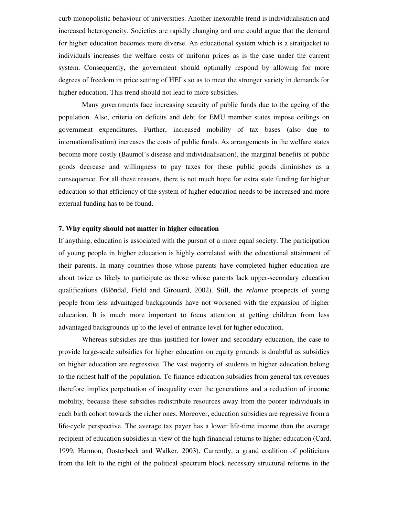curb monopolistic behaviour of universities. Another inexorable trend is individualisation and increased heterogeneity. Societies are rapidly changing and one could argue that the demand for higher education becomes more diverse. An educational system which is a straitjacket to individuals increases the welfare costs of uniform prices as is the case under the current system. Consequently, the government should optimally respond by allowing for more degrees of freedom in price setting of HEI's so as to meet the stronger variety in demands for higher education. This trend should not lead to more subsidies.

Many governments face increasing scarcity of public funds due to the ageing of the population. Also, criteria on deficits and debt for EMU member states impose ceilings on government expenditures. Further, increased mobility of tax bases (also due to internationalisation) increases the costs of public funds. As arrangements in the welfare states become more costly (Baumol's disease and individualisation), the marginal benefits of public goods decrease and willingness to pay taxes for these public goods diminishes as a consequence. For all these reasons, there is not much hope for extra state funding for higher education so that efficiency of the system of higher education needs to be increased and more external funding has to be found.

#### **7. Why equity should not matter in higher education**

If anything, education is associated with the pursuit of a more equal society. The participation of young people in higher education is highly correlated with the educational attainment of their parents. In many countries those whose parents have completed higher education are about twice as likely to participate as those whose parents lack upper-secondary education qualifications (Blöndal, Field and Girouard, 2002). Still, the *relative* prospects of young people from less advantaged backgrounds have not worsened with the expansion of higher education. It is much more important to focus attention at getting children from less advantaged backgrounds up to the level of entrance level for higher education.

Whereas subsidies are thus justified for lower and secondary education, the case to provide large-scale subsidies for higher education on equity grounds is doubtful as subsidies on higher education are regressive. The vast majority of students in higher education belong to the richest half of the population. To finance education subsidies from general tax revenues therefore implies perpetuation of inequality over the generations and a reduction of income mobility, because these subsidies redistribute resources away from the poorer individuals in each birth cohort towards the richer ones. Moreover, education subsidies are regressive from a life-cycle perspective. The average tax payer has a lower life-time income than the average recipient of education subsidies in view of the high financial returns to higher education (Card, 1999, Harmon, Oosterbeek and Walker, 2003). Currently, a grand coalition of politicians from the left to the right of the political spectrum block necessary structural reforms in the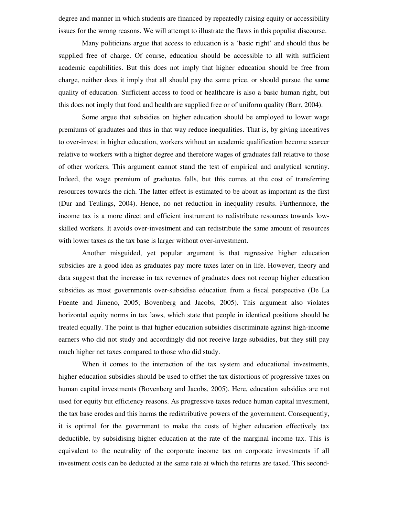degree and manner in which students are financed by repeatedly raising equity or accessibility issues for the wrong reasons. We will attempt to illustrate the flaws in this populist discourse.

Many politicians argue that access to education is a 'basic right' and should thus be supplied free of charge. Of course, education should be accessible to all with sufficient academic capabilities. But this does not imply that higher education should be free from charge, neither does it imply that all should pay the same price, or should pursue the same quality of education. Sufficient access to food or healthcare is also a basic human right, but this does not imply that food and health are supplied free or of uniform quality (Barr, 2004).

Some argue that subsidies on higher education should be employed to lower wage premiums of graduates and thus in that way reduce inequalities. That is, by giving incentives to over-invest in higher education, workers without an academic qualification become scarcer relative to workers with a higher degree and therefore wages of graduates fall relative to those of other workers. This argument cannot stand the test of empirical and analytical scrutiny. Indeed, the wage premium of graduates falls, but this comes at the cost of transferring resources towards the rich. The latter effect is estimated to be about as important as the first (Dur and Teulings, 2004). Hence, no net reduction in inequality results. Furthermore, the income tax is a more direct and efficient instrument to redistribute resources towards lowskilled workers. It avoids over-investment and can redistribute the same amount of resources with lower taxes as the tax base is larger without over-investment.

Another misguided, yet popular argument is that regressive higher education subsidies are a good idea as graduates pay more taxes later on in life. However, theory and data suggest that the increase in tax revenues of graduates does not recoup higher education subsidies as most governments over-subsidise education from a fiscal perspective (De La Fuente and Jimeno, 2005; Bovenberg and Jacobs, 2005). This argument also violates horizontal equity norms in tax laws, which state that people in identical positions should be treated equally. The point is that higher education subsidies discriminate against high-income earners who did not study and accordingly did not receive large subsidies, but they still pay much higher net taxes compared to those who did study.

When it comes to the interaction of the tax system and educational investments, higher education subsidies should be used to offset the tax distortions of progressive taxes on human capital investments (Bovenberg and Jacobs, 2005). Here, education subsidies are not used for equity but efficiency reasons. As progressive taxes reduce human capital investment, the tax base erodes and this harms the redistributive powers of the government. Consequently, it is optimal for the government to make the costs of higher education effectively tax deductible, by subsidising higher education at the rate of the marginal income tax. This is equivalent to the neutrality of the corporate income tax on corporate investments if all investment costs can be deducted at the same rate at which the returns are taxed. This second-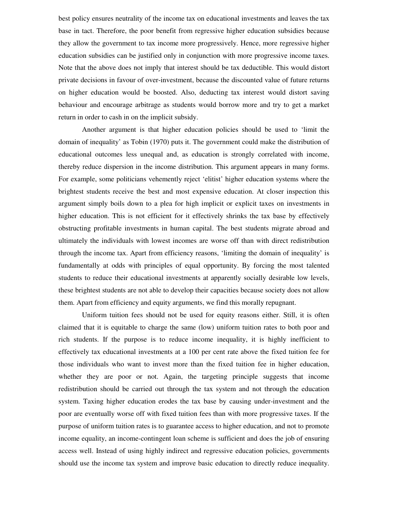best policy ensures neutrality of the income tax on educational investments and leaves the tax base in tact. Therefore, the poor benefit from regressive higher education subsidies because they allow the government to tax income more progressively. Hence, more regressive higher education subsidies can be justified only in conjunction with more progressive income taxes. Note that the above does not imply that interest should be tax deductible. This would distort private decisions in favour of over-investment, because the discounted value of future returns on higher education would be boosted. Also, deducting tax interest would distort saving behaviour and encourage arbitrage as students would borrow more and try to get a market return in order to cash in on the implicit subsidy.

Another argument is that higher education policies should be used to 'limit the domain of inequality' as Tobin (1970) puts it. The government could make the distribution of educational outcomes less unequal and, as education is strongly correlated with income, thereby reduce dispersion in the income distribution. This argument appears in many forms. For example, some politicians vehemently reject 'elitist' higher education systems where the brightest students receive the best and most expensive education. At closer inspection this argument simply boils down to a plea for high implicit or explicit taxes on investments in higher education. This is not efficient for it effectively shrinks the tax base by effectively obstructing profitable investments in human capital. The best students migrate abroad and ultimately the individuals with lowest incomes are worse off than with direct redistribution through the income tax. Apart from efficiency reasons, 'limiting the domain of inequality' is fundamentally at odds with principles of equal opportunity. By forcing the most talented students to reduce their educational investments at apparently socially desirable low levels, these brightest students are not able to develop their capacities because society does not allow them. Apart from efficiency and equity arguments, we find this morally repugnant.

Uniform tuition fees should not be used for equity reasons either. Still, it is often claimed that it is equitable to charge the same (low) uniform tuition rates to both poor and rich students. If the purpose is to reduce income inequality, it is highly inefficient to effectively tax educational investments at a 100 per cent rate above the fixed tuition fee for those individuals who want to invest more than the fixed tuition fee in higher education, whether they are poor or not. Again, the targeting principle suggests that income redistribution should be carried out through the tax system and not through the education system. Taxing higher education erodes the tax base by causing under-investment and the poor are eventually worse off with fixed tuition fees than with more progressive taxes. If the purpose of uniform tuition rates is to guarantee access to higher education, and not to promote income equality, an income-contingent loan scheme is sufficient and does the job of ensuring access well. Instead of using highly indirect and regressive education policies, governments should use the income tax system and improve basic education to directly reduce inequality.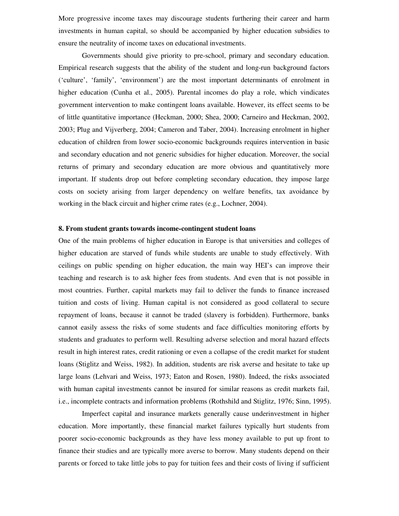More progressive income taxes may discourage students furthering their career and harm investments in human capital, so should be accompanied by higher education subsidies to ensure the neutrality of income taxes on educational investments.

Governments should give priority to pre-school, primary and secondary education. Empirical research suggests that the ability of the student and long-run background factors ('culture', 'family', 'environment') are the most important determinants of enrolment in higher education (Cunha et al., 2005). Parental incomes do play a role, which vindicates government intervention to make contingent loans available. However, its effect seems to be of little quantitative importance (Heckman, 2000; Shea, 2000; Carneiro and Heckman, 2002, 2003; Plug and Vijverberg, 2004; Cameron and Taber, 2004). Increasing enrolment in higher education of children from lower socio-economic backgrounds requires intervention in basic and secondary education and not generic subsidies for higher education. Moreover, the social returns of primary and secondary education are more obvious and quantitatively more important. If students drop out before completing secondary education, they impose large costs on society arising from larger dependency on welfare benefits, tax avoidance by working in the black circuit and higher crime rates (e.g., Lochner, 2004).

#### **8. From student grants towards income-contingent student loans**

One of the main problems of higher education in Europe is that universities and colleges of higher education are starved of funds while students are unable to study effectively. With ceilings on public spending on higher education, the main way HEI's can improve their teaching and research is to ask higher fees from students. And even that is not possible in most countries. Further, capital markets may fail to deliver the funds to finance increased tuition and costs of living. Human capital is not considered as good collateral to secure repayment of loans, because it cannot be traded (slavery is forbidden). Furthermore, banks cannot easily assess the risks of some students and face difficulties monitoring efforts by students and graduates to perform well. Resulting adverse selection and moral hazard effects result in high interest rates, credit rationing or even a collapse of the credit market for student loans (Stiglitz and Weiss, 1982). In addition, students are risk averse and hesitate to take up large loans (Lehvari and Weiss, 1973; Eaton and Rosen, 1980). Indeed, the risks associated with human capital investments cannot be insured for similar reasons as credit markets fail, i.e., incomplete contracts and information problems (Rothshild and Stiglitz, 1976; Sinn, 1995).

Imperfect capital and insurance markets generally cause underinvestment in higher education. More importantly, these financial market failures typically hurt students from poorer socio-economic backgrounds as they have less money available to put up front to finance their studies and are typically more averse to borrow. Many students depend on their parents or forced to take little jobs to pay for tuition fees and their costs of living if sufficient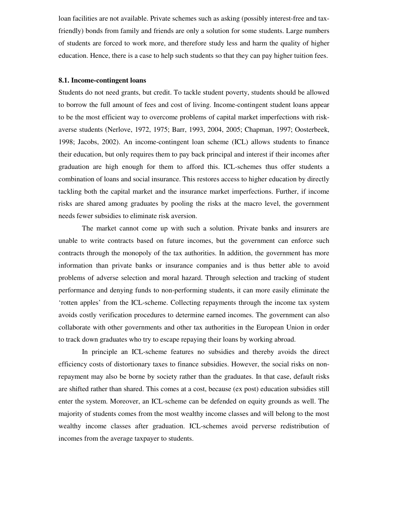loan facilities are not available. Private schemes such as asking (possibly interest-free and taxfriendly) bonds from family and friends are only a solution for some students. Large numbers of students are forced to work more, and therefore study less and harm the quality of higher education. Hence, there is a case to help such students so that they can pay higher tuition fees.

#### **8.1. Income-contingent loans**

Students do not need grants, but credit. To tackle student poverty, students should be allowed to borrow the full amount of fees and cost of living. Income-contingent student loans appear to be the most efficient way to overcome problems of capital market imperfections with riskaverse students (Nerlove, 1972, 1975; Barr, 1993, 2004, 2005; Chapman, 1997; Oosterbeek, 1998; Jacobs, 2002). An income-contingent loan scheme (ICL) allows students to finance their education, but only requires them to pay back principal and interest if their incomes after graduation are high enough for them to afford this. ICL-schemes thus offer students a combination of loans and social insurance. This restores access to higher education by directly tackling both the capital market and the insurance market imperfections. Further, if income risks are shared among graduates by pooling the risks at the macro level, the government needs fewer subsidies to eliminate risk aversion.

The market cannot come up with such a solution. Private banks and insurers are unable to write contracts based on future incomes, but the government can enforce such contracts through the monopoly of the tax authorities. In addition, the government has more information than private banks or insurance companies and is thus better able to avoid problems of adverse selection and moral hazard. Through selection and tracking of student performance and denying funds to non-performing students, it can more easily eliminate the 'rotten apples' from the ICL-scheme. Collecting repayments through the income tax system avoids costly verification procedures to determine earned incomes. The government can also collaborate with other governments and other tax authorities in the European Union in order to track down graduates who try to escape repaying their loans by working abroad.

In principle an ICL-scheme features no subsidies and thereby avoids the direct efficiency costs of distortionary taxes to finance subsidies. However, the social risks on nonrepayment may also be borne by society rather than the graduates. In that case, default risks are shifted rather than shared. This comes at a cost, because (ex post) education subsidies still enter the system. Moreover, an ICL-scheme can be defended on equity grounds as well. The majority of students comes from the most wealthy income classes and will belong to the most wealthy income classes after graduation. ICL-schemes avoid perverse redistribution of incomes from the average taxpayer to students.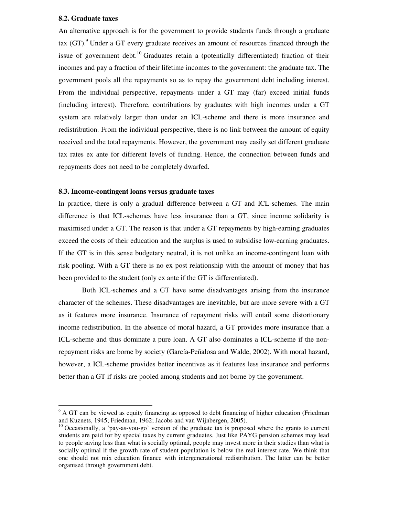# **8.2. Graduate taxes**

An alternative approach is for the government to provide students funds through a graduate tax (GT).<sup>9</sup> Under a GT every graduate receives an amount of resources financed through the issue of government debt.<sup>10</sup> Graduates retain a (potentially differentiated) fraction of their incomes and pay a fraction of their lifetime incomes to the government: the graduate tax. The government pools all the repayments so as to repay the government debt including interest. From the individual perspective, repayments under a GT may (far) exceed initial funds (including interest). Therefore, contributions by graduates with high incomes under a GT system are relatively larger than under an ICL-scheme and there is more insurance and redistribution. From the individual perspective, there is no link between the amount of equity received and the total repayments. However, the government may easily set different graduate tax rates ex ante for different levels of funding. Hence, the connection between funds and repayments does not need to be completely dwarfed.

#### **8.3. Income-contingent loans versus graduate taxes**

In practice, there is only a gradual difference between a GT and ICL-schemes. The main difference is that ICL-schemes have less insurance than a GT, since income solidarity is maximised under a GT. The reason is that under a GT repayments by high-earning graduates exceed the costs of their education and the surplus is used to subsidise low-earning graduates. If the GT is in this sense budgetary neutral, it is not unlike an income-contingent loan with risk pooling. With a GT there is no ex post relationship with the amount of money that has been provided to the student (only ex ante if the GT is differentiated).

Both ICL-schemes and a GT have some disadvantages arising from the insurance character of the schemes. These disadvantages are inevitable, but are more severe with a GT as it features more insurance. Insurance of repayment risks will entail some distortionary income redistribution. In the absence of moral hazard, a GT provides more insurance than a ICL-scheme and thus dominate a pure loan. A GT also dominates a ICL-scheme if the nonrepayment risks are borne by society (García-Peñalosa and Walde, 2002). With moral hazard, however, a ICL-scheme provides better incentives as it features less insurance and performs better than a GT if risks are pooled among students and not borne by the government.

 $9$  A GT can be viewed as equity financing as opposed to debt financing of higher education (Friedman and Kuznets, 1945; Friedman, 1962; Jacobs and van Wijnbergen, 2005).

 $10$  Occasionally, a 'pay-as-you-go' version of the graduate tax is proposed where the grants to current students are paid for by special taxes by current graduates. Just like PAYG pension schemes may lead to people saving less than what is socially optimal, people may invest more in their studies than what is socially optimal if the growth rate of student population is below the real interest rate. We think that one should not mix education finance with intergenerational redistribution. The latter can be better organised through government debt.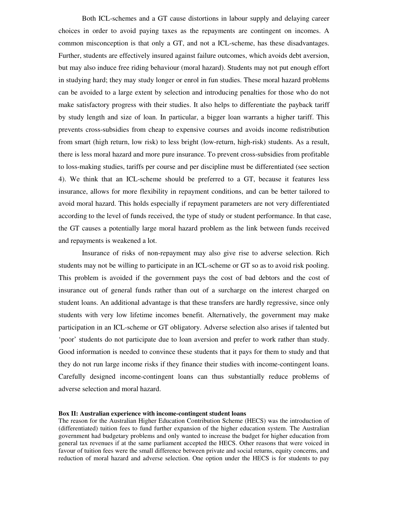Both ICL-schemes and a GT cause distortions in labour supply and delaying career choices in order to avoid paying taxes as the repayments are contingent on incomes. A common misconception is that only a GT, and not a ICL-scheme, has these disadvantages. Further, students are effectively insured against failure outcomes, which avoids debt aversion, but may also induce free riding behaviour (moral hazard). Students may not put enough effort in studying hard; they may study longer or enrol in fun studies. These moral hazard problems can be avoided to a large extent by selection and introducing penalties for those who do not make satisfactory progress with their studies. It also helps to differentiate the payback tariff by study length and size of loan. In particular, a bigger loan warrants a higher tariff. This prevents cross-subsidies from cheap to expensive courses and avoids income redistribution from smart (high return, low risk) to less bright (low-return, high-risk) students. As a result, there is less moral hazard and more pure insurance. To prevent cross-subsidies from profitable to loss-making studies, tariffs per course and per discipline must be differentiated (see section 4). We think that an ICL-scheme should be preferred to a GT, because it features less insurance, allows for more flexibility in repayment conditions, and can be better tailored to avoid moral hazard. This holds especially if repayment parameters are not very differentiated according to the level of funds received, the type of study or student performance. In that case, the GT causes a potentially large moral hazard problem as the link between funds received and repayments is weakened a lot.

Insurance of risks of non-repayment may also give rise to adverse selection. Rich students may not be willing to participate in an ICL-scheme or GT so as to avoid risk pooling. This problem is avoided if the government pays the cost of bad debtors and the cost of insurance out of general funds rather than out of a surcharge on the interest charged on student loans. An additional advantage is that these transfers are hardly regressive, since only students with very low lifetime incomes benefit. Alternatively, the government may make participation in an ICL-scheme or GT obligatory. Adverse selection also arises if talented but 'poor' students do not participate due to loan aversion and prefer to work rather than study. Good information is needed to convince these students that it pays for them to study and that they do not run large income risks if they finance their studies with income-contingent loans. Carefully designed income-contingent loans can thus substantially reduce problems of adverse selection and moral hazard.

#### **Box II: Australian experience with income-contingent student loans**

The reason for the Australian Higher Education Contribution Scheme (HECS) was the introduction of (differentiated) tuition fees to fund further expansion of the higher education system. The Australian government had budgetary problems and only wanted to increase the budget for higher education from general tax revenues if at the same parliament accepted the HECS. Other reasons that were voiced in favour of tuition fees were the small difference between private and social returns, equity concerns, and reduction of moral hazard and adverse selection. One option under the HECS is for students to pay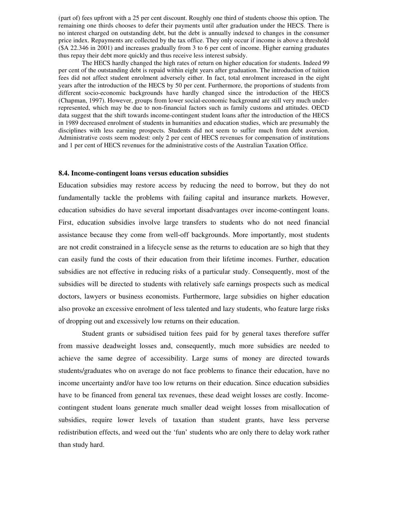(part of) fees upfront with a 25 per cent discount. Roughly one third of students choose this option. The remaining one thirds chooses to defer their payments until after graduation under the HECS. There is no interest charged on outstanding debt, but the debt is annually indexed to changes in the consumer price index. Repayments are collected by the tax office. They only occur if income is above a threshold (\$A 22.346 in 2001) and increases gradually from 3 to 6 per cent of income. Higher earning graduates thus repay their debt more quickly and thus receive less interest subsidy.

The HECS hardly changed the high rates of return on higher education for students. Indeed 99 per cent of the outstanding debt is repaid within eight years after graduation. The introduction of tuition fees did not affect student enrolment adversely either. In fact, total enrolment increased in the eight years after the introduction of the HECS by 50 per cent. Furthermore, the proportions of students from different socio-economic backgrounds have hardly changed since the introduction of the HECS (Chapman, 1997). However, groups from lower social-economic background are still very much underrepresented, which may be due to non-financial factors such as family customs and attitudes. OECD data suggest that the shift towards income-contingent student loans after the introduction of the HECS in 1989 decreased enrolment of students in humanities and education studies, which are presumably the disciplines with less earning prospects. Students did not seem to suffer much from debt aversion. Administrative costs seem modest: only 2 per cent of HECS revenues for compensation of institutions and 1 per cent of HECS revenues for the administrative costs of the Australian Taxation Office.

#### **8.4. Income-contingent loans versus education subsidies**

Education subsidies may restore access by reducing the need to borrow, but they do not fundamentally tackle the problems with failing capital and insurance markets. However, education subsidies do have several important disadvantages over income-contingent loans. First, education subsidies involve large transfers to students who do not need financial assistance because they come from well-off backgrounds. More importantly, most students are not credit constrained in a lifecycle sense as the returns to education are so high that they can easily fund the costs of their education from their lifetime incomes. Further, education subsidies are not effective in reducing risks of a particular study. Consequently, most of the subsidies will be directed to students with relatively safe earnings prospects such as medical doctors, lawyers or business economists. Furthermore, large subsidies on higher education also provoke an excessive enrolment of less talented and lazy students, who feature large risks of dropping out and excessively low returns on their education.

Student grants or subsidised tuition fees paid for by general taxes therefore suffer from massive deadweight losses and, consequently, much more subsidies are needed to achieve the same degree of accessibility. Large sums of money are directed towards students/graduates who on average do not face problems to finance their education, have no income uncertainty and/or have too low returns on their education. Since education subsidies have to be financed from general tax revenues, these dead weight losses are costly. Incomecontingent student loans generate much smaller dead weight losses from misallocation of subsidies, require lower levels of taxation than student grants, have less perverse redistribution effects, and weed out the 'fun' students who are only there to delay work rather than study hard.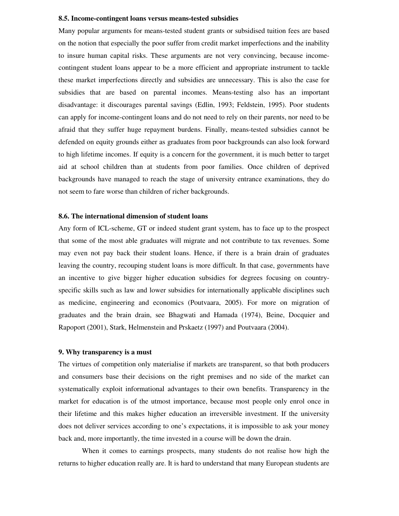#### **8.5. Income-contingent loans versus means-tested subsidies**

Many popular arguments for means-tested student grants or subsidised tuition fees are based on the notion that especially the poor suffer from credit market imperfections and the inability to insure human capital risks. These arguments are not very convincing, because incomecontingent student loans appear to be a more efficient and appropriate instrument to tackle these market imperfections directly and subsidies are unnecessary. This is also the case for subsidies that are based on parental incomes. Means-testing also has an important disadvantage: it discourages parental savings (Edlin, 1993; Feldstein, 1995). Poor students can apply for income-contingent loans and do not need to rely on their parents, nor need to be afraid that they suffer huge repayment burdens. Finally, means-tested subsidies cannot be defended on equity grounds either as graduates from poor backgrounds can also look forward to high lifetime incomes. If equity is a concern for the government, it is much better to target aid at school children than at students from poor families. Once children of deprived backgrounds have managed to reach the stage of university entrance examinations, they do not seem to fare worse than children of richer backgrounds.

#### **8.6. The international dimension of student loans**

Any form of ICL-scheme, GT or indeed student grant system, has to face up to the prospect that some of the most able graduates will migrate and not contribute to tax revenues. Some may even not pay back their student loans. Hence, if there is a brain drain of graduates leaving the country, recouping student loans is more difficult. In that case, governments have an incentive to give bigger higher education subsidies for degrees focusing on countryspecific skills such as law and lower subsidies for internationally applicable disciplines such as medicine, engineering and economics (Poutvaara, 2005). For more on migration of graduates and the brain drain, see Bhagwati and Hamada (1974), Beine, Docquier and Rapoport (2001), Stark, Helmenstein and Prskaetz (1997) and Poutvaara (2004).

## **9. Why transparency is a must**

The virtues of competition only materialise if markets are transparent, so that both producers and consumers base their decisions on the right premises and no side of the market can systematically exploit informational advantages to their own benefits. Transparency in the market for education is of the utmost importance, because most people only enrol once in their lifetime and this makes higher education an irreversible investment. If the university does not deliver services according to one's expectations, it is impossible to ask your money back and, more importantly, the time invested in a course will be down the drain.

When it comes to earnings prospects, many students do not realise how high the returns to higher education really are. It is hard to understand that many European students are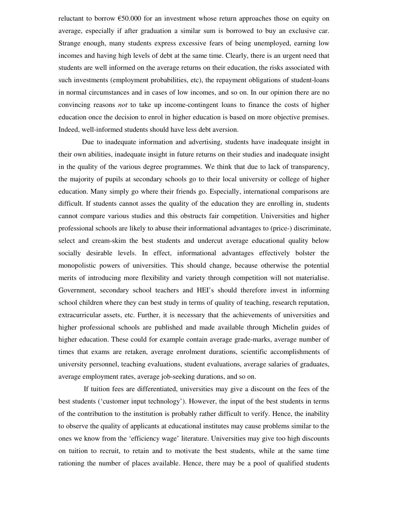reluctant to borrow  $\epsilon$ 50.000 for an investment whose return approaches those on equity on average, especially if after graduation a similar sum is borrowed to buy an exclusive car. Strange enough, many students express excessive fears of being unemployed, earning low incomes and having high levels of debt at the same time. Clearly, there is an urgent need that students are well informed on the average returns on their education, the risks associated with such investments (employment probabilities, etc), the repayment obligations of student-loans in normal circumstances and in cases of low incomes, and so on. In our opinion there are no convincing reasons *not* to take up income-contingent loans to finance the costs of higher education once the decision to enrol in higher education is based on more objective premises. Indeed, well-informed students should have less debt aversion.

Due to inadequate information and advertising, students have inadequate insight in their own abilities, inadequate insight in future returns on their studies and inadequate insight in the quality of the various degree programmes. We think that due to lack of transparency, the majority of pupils at secondary schools go to their local university or college of higher education. Many simply go where their friends go. Especially, international comparisons are difficult. If students cannot asses the quality of the education they are enrolling in, students cannot compare various studies and this obstructs fair competition. Universities and higher professional schools are likely to abuse their informational advantages to (price-) discriminate, select and cream-skim the best students and undercut average educational quality below socially desirable levels. In effect, informational advantages effectively bolster the monopolistic powers of universities. This should change, because otherwise the potential merits of introducing more flexibility and variety through competition will not materialise. Government, secondary school teachers and HEI's should therefore invest in informing school children where they can best study in terms of quality of teaching, research reputation, extracurricular assets, etc. Further, it is necessary that the achievements of universities and higher professional schools are published and made available through Michelin guides of higher education. These could for example contain average grade-marks, average number of times that exams are retaken, average enrolment durations, scientific accomplishments of university personnel, teaching evaluations, student evaluations, average salaries of graduates, average employment rates, average job-seeking durations, and so on.

If tuition fees are differentiated, universities may give a discount on the fees of the best students ('customer input technology'). However, the input of the best students in terms of the contribution to the institution is probably rather difficult to verify. Hence, the inability to observe the quality of applicants at educational institutes may cause problems similar to the ones we know from the 'efficiency wage' literature. Universities may give too high discounts on tuition to recruit, to retain and to motivate the best students, while at the same time rationing the number of places available. Hence, there may be a pool of qualified students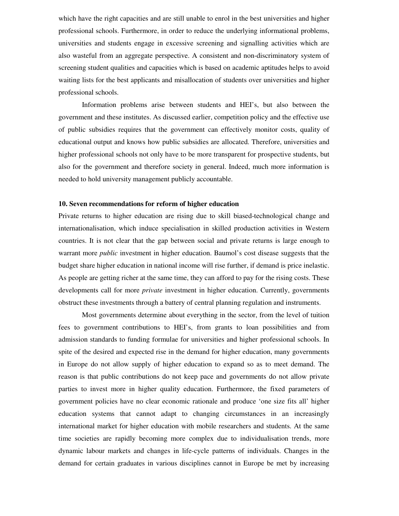which have the right capacities and are still unable to enrol in the best universities and higher professional schools. Furthermore, in order to reduce the underlying informational problems, universities and students engage in excessive screening and signalling activities which are also wasteful from an aggregate perspective. A consistent and non-discriminatory system of screening student qualities and capacities which is based on academic aptitudes helps to avoid waiting lists for the best applicants and misallocation of students over universities and higher professional schools.

Information problems arise between students and HEI's, but also between the government and these institutes. As discussed earlier, competition policy and the effective use of public subsidies requires that the government can effectively monitor costs, quality of educational output and knows how public subsidies are allocated. Therefore, universities and higher professional schools not only have to be more transparent for prospective students, but also for the government and therefore society in general. Indeed, much more information is needed to hold university management publicly accountable.

# **10. Seven recommendations for reform of higher education**

Private returns to higher education are rising due to skill biased-technological change and internationalisation, which induce specialisation in skilled production activities in Western countries. It is not clear that the gap between social and private returns is large enough to warrant more *public* investment in higher education. Baumol's cost disease suggests that the budget share higher education in national income will rise further, if demand is price inelastic. As people are getting richer at the same time, they can afford to pay for the rising costs. These developments call for more *private* investment in higher education. Currently, governments obstruct these investments through a battery of central planning regulation and instruments.

Most governments determine about everything in the sector, from the level of tuition fees to government contributions to HEI's, from grants to loan possibilities and from admission standards to funding formulae for universities and higher professional schools. In spite of the desired and expected rise in the demand for higher education, many governments in Europe do not allow supply of higher education to expand so as to meet demand. The reason is that public contributions do not keep pace and governments do not allow private parties to invest more in higher quality education. Furthermore, the fixed parameters of government policies have no clear economic rationale and produce 'one size fits all' higher education systems that cannot adapt to changing circumstances in an increasingly international market for higher education with mobile researchers and students. At the same time societies are rapidly becoming more complex due to individualisation trends, more dynamic labour markets and changes in life-cycle patterns of individuals. Changes in the demand for certain graduates in various disciplines cannot in Europe be met by increasing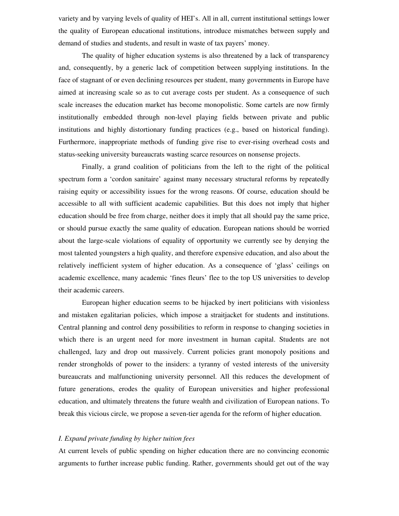variety and by varying levels of quality of HEI's. All in all, current institutional settings lower the quality of European educational institutions, introduce mismatches between supply and demand of studies and students, and result in waste of tax payers' money.

The quality of higher education systems is also threatened by a lack of transparency and, consequently, by a generic lack of competition between supplying institutions. In the face of stagnant of or even declining resources per student, many governments in Europe have aimed at increasing scale so as to cut average costs per student. As a consequence of such scale increases the education market has become monopolistic. Some cartels are now firmly institutionally embedded through non-level playing fields between private and public institutions and highly distortionary funding practices (e.g., based on historical funding). Furthermore, inappropriate methods of funding give rise to ever-rising overhead costs and status-seeking university bureaucrats wasting scarce resources on nonsense projects.

Finally, a grand coalition of politicians from the left to the right of the political spectrum form a 'cordon sanitaire' against many necessary structural reforms by repeatedly raising equity or accessibility issues for the wrong reasons. Of course, education should be accessible to all with sufficient academic capabilities. But this does not imply that higher education should be free from charge, neither does it imply that all should pay the same price, or should pursue exactly the same quality of education. European nations should be worried about the large-scale violations of equality of opportunity we currently see by denying the most talented youngsters a high quality, and therefore expensive education, and also about the relatively inefficient system of higher education. As a consequence of 'glass' ceilings on academic excellence, many academic 'fines fleurs' flee to the top US universities to develop their academic careers.

European higher education seems to be hijacked by inert politicians with visionless and mistaken egalitarian policies, which impose a straitjacket for students and institutions. Central planning and control deny possibilities to reform in response to changing societies in which there is an urgent need for more investment in human capital. Students are not challenged, lazy and drop out massively. Current policies grant monopoly positions and render strongholds of power to the insiders: a tyranny of vested interests of the university bureaucrats and malfunctioning university personnel. All this reduces the development of future generations, erodes the quality of European universities and higher professional education, and ultimately threatens the future wealth and civilization of European nations. To break this vicious circle, we propose a seven-tier agenda for the reform of higher education.

#### *I. Expand private funding by higher tuition fees*

At current levels of public spending on higher education there are no convincing economic arguments to further increase public funding. Rather, governments should get out of the way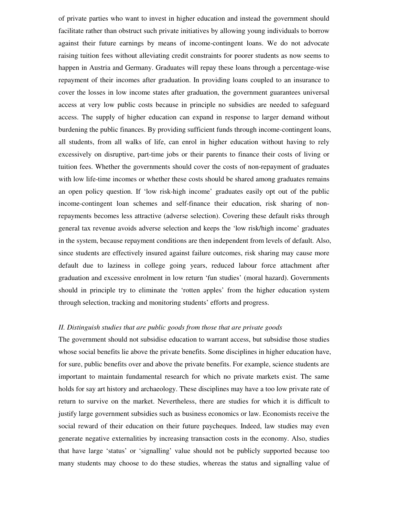of private parties who want to invest in higher education and instead the government should facilitate rather than obstruct such private initiatives by allowing young individuals to borrow against their future earnings by means of income-contingent loans. We do not advocate raising tuition fees without alleviating credit constraints for poorer students as now seems to happen in Austria and Germany. Graduates will repay these loans through a percentage-wise repayment of their incomes after graduation. In providing loans coupled to an insurance to cover the losses in low income states after graduation, the government guarantees universal access at very low public costs because in principle no subsidies are needed to safeguard access. The supply of higher education can expand in response to larger demand without burdening the public finances. By providing sufficient funds through income-contingent loans, all students, from all walks of life, can enrol in higher education without having to rely excessively on disruptive, part-time jobs or their parents to finance their costs of living or tuition fees. Whether the governments should cover the costs of non-repayment of graduates with low life-time incomes or whether these costs should be shared among graduates remains an open policy question. If 'low risk-high income' graduates easily opt out of the public income-contingent loan schemes and self-finance their education, risk sharing of nonrepayments becomes less attractive (adverse selection). Covering these default risks through general tax revenue avoids adverse selection and keeps the 'low risk/high income' graduates in the system, because repayment conditions are then independent from levels of default. Also, since students are effectively insured against failure outcomes, risk sharing may cause more default due to laziness in college going years, reduced labour force attachment after graduation and excessive enrolment in low return 'fun studies' (moral hazard). Governments should in principle try to eliminate the 'rotten apples' from the higher education system through selection, tracking and monitoring students' efforts and progress.

## *II. Distinguish studies that are public goods from those that are private goods*

The government should not subsidise education to warrant access, but subsidise those studies whose social benefits lie above the private benefits. Some disciplines in higher education have, for sure, public benefits over and above the private benefits. For example, science students are important to maintain fundamental research for which no private markets exist. The same holds for say art history and archaeology. These disciplines may have a too low private rate of return to survive on the market. Nevertheless, there are studies for which it is difficult to justify large government subsidies such as business economics or law. Economists receive the social reward of their education on their future paycheques. Indeed, law studies may even generate negative externalities by increasing transaction costs in the economy. Also, studies that have large 'status' or 'signalling' value should not be publicly supported because too many students may choose to do these studies, whereas the status and signalling value of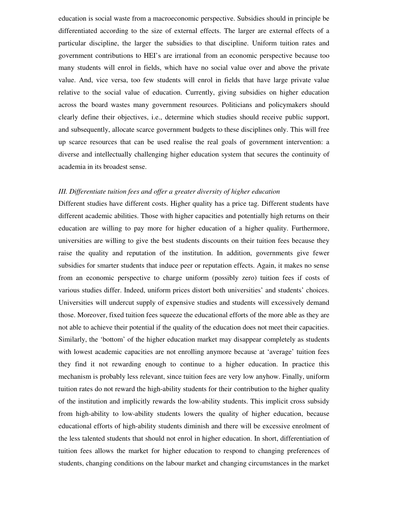education is social waste from a macroeconomic perspective. Subsidies should in principle be differentiated according to the size of external effects. The larger are external effects of a particular discipline, the larger the subsidies to that discipline. Uniform tuition rates and government contributions to HEI's are irrational from an economic perspective because too many students will enrol in fields, which have no social value over and above the private value. And, vice versa, too few students will enrol in fields that have large private value relative to the social value of education. Currently, giving subsidies on higher education across the board wastes many government resources. Politicians and policymakers should clearly define their objectives, i.e., determine which studies should receive public support, and subsequently, allocate scarce government budgets to these disciplines only. This will free up scarce resources that can be used realise the real goals of government intervention: a diverse and intellectually challenging higher education system that secures the continuity of academia in its broadest sense.

## *III. Differentiate tuition fees and offer a greater diversity of higher education*

Different studies have different costs. Higher quality has a price tag. Different students have different academic abilities. Those with higher capacities and potentially high returns on their education are willing to pay more for higher education of a higher quality. Furthermore, universities are willing to give the best students discounts on their tuition fees because they raise the quality and reputation of the institution. In addition, governments give fewer subsidies for smarter students that induce peer or reputation effects. Again, it makes no sense from an economic perspective to charge uniform (possibly zero) tuition fees if costs of various studies differ. Indeed, uniform prices distort both universities' and students' choices. Universities will undercut supply of expensive studies and students will excessively demand those. Moreover, fixed tuition fees squeeze the educational efforts of the more able as they are not able to achieve their potential if the quality of the education does not meet their capacities. Similarly, the 'bottom' of the higher education market may disappear completely as students with lowest academic capacities are not enrolling anymore because at 'average' tuition fees they find it not rewarding enough to continue to a higher education. In practice this mechanism is probably less relevant, since tuition fees are very low anyhow. Finally, uniform tuition rates do not reward the high-ability students for their contribution to the higher quality of the institution and implicitly rewards the low-ability students. This implicit cross subsidy from high-ability to low-ability students lowers the quality of higher education, because educational efforts of high-ability students diminish and there will be excessive enrolment of the less talented students that should not enrol in higher education. In short, differentiation of tuition fees allows the market for higher education to respond to changing preferences of students, changing conditions on the labour market and changing circumstances in the market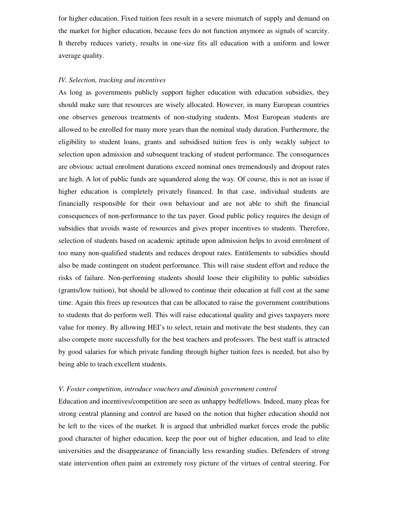for higher education. Fixed tuition fees result in a severe mismatch of supply and demand on the market for higher education, because fees do not function anymore as signals of scarcity. It thereby reduces variety, results in one-size fits all education with a uniform and lower average quality.

## *IV. Selection, tracking and incentives*

As long as governments publicly support higher education with education subsidies, they should make sure that resources are wisely allocated. However, in many European countries one observes generous treatments of non-studying students. Most European students are allowed to be enrolled for many more years than the nominal study duration. Furthermore, the eligibility to student loans, grants and subsidised tuition fees is only weakly subject to selection upon admission and subsequent tracking of student performance. The consequences are obvious: actual enrolment durations exceed nominal ones tremendously and dropout rates are high. A lot of public funds are squandered along the way. Of course, this is not an issue if higher education is completely privately financed. In that case, individual students are financially responsible for their own behaviour and are not able to shift the financial consequences of non-performance to the tax payer. Good public policy requires the design of subsidies that avoids waste of resources and gives proper incentives to students. Therefore, selection of students based on academic aptitude upon admission helps to avoid enrolment of too many non-qualified students and reduces dropout rates. Entitlements to subsidies should also be made contingent on student performance. This will raise student effort and reduce the risks of failure. Non-performing students should loose their eligibility to public subsidies (grants/low tuition), but should be allowed to continue their education at full cost at the same time. Again this frees up resources that can be allocated to raise the government contributions to students that do perform well. This will raise educational quality and gives taxpayers more value for money. By allowing HEI's to select, retain and motivate the best students, they can also compete more successfully for the best teachers and professors. The best staff is attracted by good salaries for which private funding through higher tuition fees is needed, but also by being able to teach excellent students.

#### *V. Foster competition, introduce vouchers and diminish government control*

Education and incentives/competition are seen as unhappy bedfellows. Indeed, many pleas for strong central planning and control are based on the notion that higher education should not be left to the vices of the market. It is argued that unbridled market forces erode the public good character of higher education, keep the poor out of higher education, and lead to elite universities and the disappearance of financially less rewarding studies. Defenders of strong state intervention often paint an extremely rosy picture of the virtues of central steering. For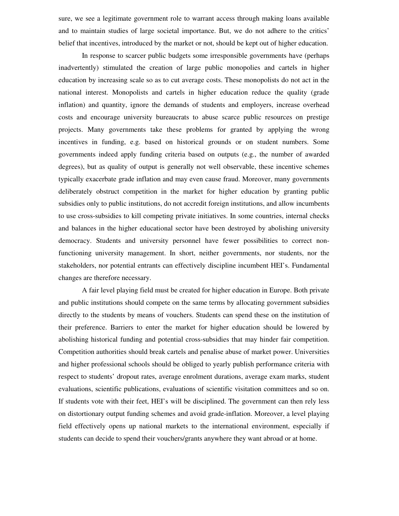sure, we see a legitimate government role to warrant access through making loans available and to maintain studies of large societal importance. But, we do not adhere to the critics' belief that incentives, introduced by the market or not, should be kept out of higher education.

In response to scarcer public budgets some irresponsible governments have (perhaps inadvertently) stimulated the creation of large public monopolies and cartels in higher education by increasing scale so as to cut average costs. These monopolists do not act in the national interest. Monopolists and cartels in higher education reduce the quality (grade inflation) and quantity, ignore the demands of students and employers, increase overhead costs and encourage university bureaucrats to abuse scarce public resources on prestige projects. Many governments take these problems for granted by applying the wrong incentives in funding, e.g. based on historical grounds or on student numbers. Some governments indeed apply funding criteria based on outputs (e.g., the number of awarded degrees), but as quality of output is generally not well observable, these incentive schemes typically exacerbate grade inflation and may even cause fraud. Moreover, many governments deliberately obstruct competition in the market for higher education by granting public subsidies only to public institutions, do not accredit foreign institutions, and allow incumbents to use cross-subsidies to kill competing private initiatives. In some countries, internal checks and balances in the higher educational sector have been destroyed by abolishing university democracy. Students and university personnel have fewer possibilities to correct nonfunctioning university management. In short, neither governments, nor students, nor the stakeholders, nor potential entrants can effectively discipline incumbent HEI's. Fundamental changes are therefore necessary.

A fair level playing field must be created for higher education in Europe. Both private and public institutions should compete on the same terms by allocating government subsidies directly to the students by means of vouchers. Students can spend these on the institution of their preference. Barriers to enter the market for higher education should be lowered by abolishing historical funding and potential cross-subsidies that may hinder fair competition. Competition authorities should break cartels and penalise abuse of market power. Universities and higher professional schools should be obliged to yearly publish performance criteria with respect to students' dropout rates, average enrolment durations, average exam marks, student evaluations, scientific publications, evaluations of scientific visitation committees and so on. If students vote with their feet, HEI's will be disciplined. The government can then rely less on distortionary output funding schemes and avoid grade-inflation. Moreover, a level playing field effectively opens up national markets to the international environment, especially if students can decide to spend their vouchers/grants anywhere they want abroad or at home.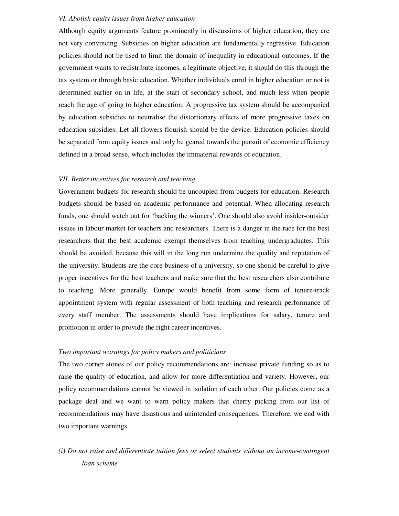# *VI. Abolish equity issues from higher education*

Although equity arguments feature prominently in discussions of higher education, they are not very convincing. Subsidies on higher education are fundamentally regressive. Education policies should not be used to limit the domain of inequality in educational outcomes. If the government wants to redistribute incomes, a legitimate objective, it should do this through the tax system or through basic education. Whether individuals enrol in higher education or not is determined earlier on in life, at the start of secondary school, and much less when people reach the age of going to higher education. A progressive tax system should be accompanied by education subsidies to neutralise the distortionary effects of more progressive taxes on education subsidies. Let all flowers flourish should be the device. Education policies should be separated from equity issues and only be geared towards the pursuit of economic efficiency defined in a broad sense, which includes the immaterial rewards of education.

# *VII. Better incentives for research and teaching*

Government budgets for research should be uncoupled from budgets for education. Research budgets should be based on academic performance and potential. When allocating research funds, one should watch out for 'backing the winners'. One should also avoid insider-outsider issues in labour market for teachers and researchers. There is a danger in the race for the best researchers that the best academic exempt themselves from teaching undergraduates. This should be avoided, because this will in the long run undermine the quality and reputation of the university. Students are the core business of a university, so one should be careful to give proper incentives for the best teachers and make sure that the best researchers also contribute to teaching. More generally, Europe would benefit from some form of tenure-track appointment system with regular assessment of both teaching and research performance of every staff member. The assessments should have implications for salary, tenure and promotion in order to provide the right career incentives.

# *Two important warnings for policy makers and politicians*

The two corner stones of our policy recommendations are: increase private funding so as to raise the quality of education, and allow for more differentiation and variety. However, our policy recommendations cannot be viewed in isolation of each other. Our policies come as a package deal and we want to warn policy makers that cherry picking from our list of recommendations may have disastrous and unintended consequences. Therefore, we end with two important warnings.

*(i) Do not raise and differentiate tuition fees or select students without an income-contingent loan scheme*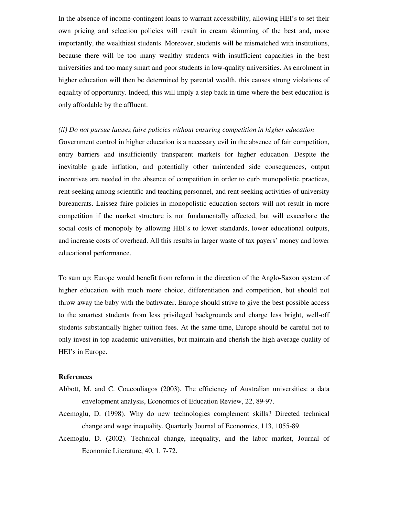In the absence of income-contingent loans to warrant accessibility, allowing HEI's to set their own pricing and selection policies will result in cream skimming of the best and, more importantly, the wealthiest students. Moreover, students will be mismatched with institutions, because there will be too many wealthy students with insufficient capacities in the best universities and too many smart and poor students in low-quality universities. As enrolment in higher education will then be determined by parental wealth, this causes strong violations of equality of opportunity. Indeed, this will imply a step back in time where the best education is only affordable by the affluent.

## *(ii) Do not pursue laissez faire policies without ensuring competition in higher education*

Government control in higher education is a necessary evil in the absence of fair competition, entry barriers and insufficiently transparent markets for higher education. Despite the inevitable grade inflation, and potentially other unintended side consequences, output incentives are needed in the absence of competition in order to curb monopolistic practices, rent-seeking among scientific and teaching personnel, and rent-seeking activities of university bureaucrats. Laissez faire policies in monopolistic education sectors will not result in more competition if the market structure is not fundamentally affected, but will exacerbate the social costs of monopoly by allowing HEI's to lower standards, lower educational outputs, and increase costs of overhead. All this results in larger waste of tax payers' money and lower educational performance.

To sum up: Europe would benefit from reform in the direction of the Anglo-Saxon system of higher education with much more choice, differentiation and competition, but should not throw away the baby with the bathwater. Europe should strive to give the best possible access to the smartest students from less privileged backgrounds and charge less bright, well-off students substantially higher tuition fees. At the same time, Europe should be careful not to only invest in top academic universities, but maintain and cherish the high average quality of HEI's in Europe.

## **References**

- Abbott, M. and C. Coucouliagos (2003). The efficiency of Australian universities: a data envelopment analysis, Economics of Education Review, 22, 89-97.
- Acemoglu, D. (1998). Why do new technologies complement skills? Directed technical change and wage inequality, Quarterly Journal of Economics, 113, 1055-89.
- Acemoglu, D. (2002). Technical change, inequality, and the labor market, Journal of Economic Literature, 40, 1, 7-72.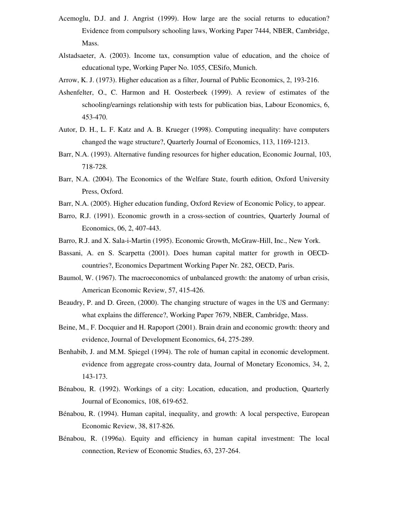- Acemoglu, D.J. and J. Angrist (1999). How large are the social returns to education? Evidence from compulsory schooling laws, Working Paper 7444, NBER, Cambridge, Mass.
- Alstadsaeter, A. (2003). Income tax, consumption value of education, and the choice of educational type, Working Paper No. 1055, CESifo, Munich.
- Arrow, K. J. (1973). Higher education as a filter, Journal of Public Economics, 2, 193-216.
- Ashenfelter, O., C. Harmon and H. Oosterbeek (1999). A review of estimates of the schooling/earnings relationship with tests for publication bias, Labour Economics, 6, 453-470.
- Autor, D. H., L. F. Katz and A. B. Krueger (1998). Computing inequality: have computers changed the wage structure?, Quarterly Journal of Economics, 113, 1169-1213.
- Barr, N.A. (1993). Alternative funding resources for higher education, Economic Journal, 103, 718-728.
- Barr, N.A. (2004). The Economics of the Welfare State, fourth edition, Oxford University Press, Oxford.
- Barr, N.A. (2005). Higher education funding, Oxford Review of Economic Policy, to appear.
- Barro, R.J. (1991). Economic growth in a cross-section of countries, Quarterly Journal of Economics, 06, 2, 407-443.
- Barro, R.J. and X. Sala-i-Martin (1995). Economic Growth, McGraw-Hill, Inc., New York.
- Bassani, A. en S. Scarpetta (2001). Does human capital matter for growth in OECDcountries?, Economics Department Working Paper Nr. 282, OECD, Paris.
- Baumol, W. (1967). The macroeconomics of unbalanced growth: the anatomy of urban crisis, American Economic Review, 57, 415-426.
- Beaudry, P. and D. Green, (2000). The changing structure of wages in the US and Germany: what explains the difference?, Working Paper 7679, NBER, Cambridge, Mass.
- Beine, M., F. Docquier and H. Rapoport (2001). Brain drain and economic growth: theory and evidence, Journal of Development Economics, 64, 275-289.
- Benhabib, J. and M.M. Spiegel (1994). The role of human capital in economic development. evidence from aggregate cross-country data, Journal of Monetary Economics, 34, 2, 143-173.
- Bénabou, R. (1992). Workings of a city: Location, education, and production, Quarterly Journal of Economics, 108, 619-652.
- Bénabou, R. (1994). Human capital, inequality, and growth: A local perspective, European Economic Review, 38, 817-826.
- Bénabou, R. (1996a). Equity and efficiency in human capital investment: The local connection, Review of Economic Studies, 63, 237-264.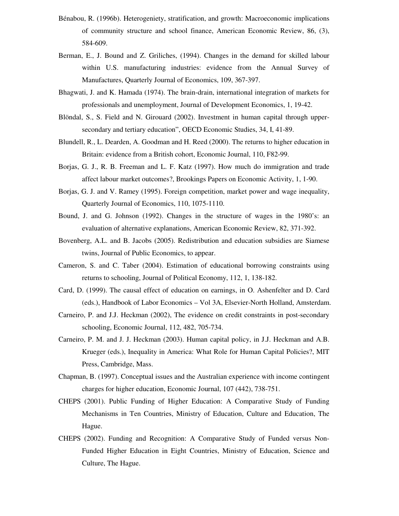- Bénabou, R. (1996b). Heterogeniety, stratification, and growth: Macroeconomic implications of community structure and school finance, American Economic Review, 86, (3), 584-609.
- Berman, E., J. Bound and Z. Griliches, (1994). Changes in the demand for skilled labour within U.S. manufacturing industries: evidence from the Annual Survey of Manufactures, Quarterly Journal of Economics, 109, 367-397.
- Bhagwati, J. and K. Hamada (1974). The brain-drain, international integration of markets for professionals and unemployment, Journal of Development Economics, 1, 19-42.
- Blöndal, S., S. Field and N. Girouard (2002). Investment in human capital through uppersecondary and tertiary education", OECD Economic Studies, 34, I, 41-89.
- Blundell, R., L. Dearden, A. Goodman and H. Reed (2000). The returns to higher education in Britain: evidence from a British cohort, Economic Journal, 110, F82-99.
- Borjas, G. J., R. B. Freeman and L. F. Katz (1997). How much do immigration and trade affect labour market outcomes?, Brookings Papers on Economic Activity, 1, 1-90.
- Borjas, G. J. and V. Ramey (1995). Foreign competition, market power and wage inequality, Quarterly Journal of Economics, 110, 1075-1110.
- Bound, J. and G. Johnson (1992). Changes in the structure of wages in the 1980's: an evaluation of alternative explanations, American Economic Review, 82, 371-392.
- Bovenberg, A.L. and B. Jacobs (2005). Redistribution and education subsidies are Siamese twins, Journal of Public Economics, to appear.
- Cameron, S. and C. Taber (2004). Estimation of educational borrowing constraints using returns to schooling, Journal of Political Economy, 112, 1, 138-182.
- Card, D. (1999). The causal effect of education on earnings, in O. Ashenfelter and D. Card (eds.), Handbook of Labor Economics – Vol 3A, Elsevier-North Holland, Amsterdam.
- Carneiro, P. and J.J. Heckman (2002), The evidence on credit constraints in post-secondary schooling, Economic Journal, 112, 482, 705-734.
- Carneiro, P. M. and J. J. Heckman (2003). Human capital policy, in J.J. Heckman and A.B. Krueger (eds.), Inequality in America: What Role for Human Capital Policies?, MIT Press, Cambridge, Mass.
- Chapman, B. (1997). Conceptual issues and the Australian experience with income contingent charges for higher education, Economic Journal, 107 (442), 738-751.
- CHEPS (2001). Public Funding of Higher Education: A Comparative Study of Funding Mechanisms in Ten Countries, Ministry of Education, Culture and Education, The Hague.
- CHEPS (2002). Funding and Recognition: A Comparative Study of Funded versus Non-Funded Higher Education in Eight Countries, Ministry of Education, Science and Culture, The Hague.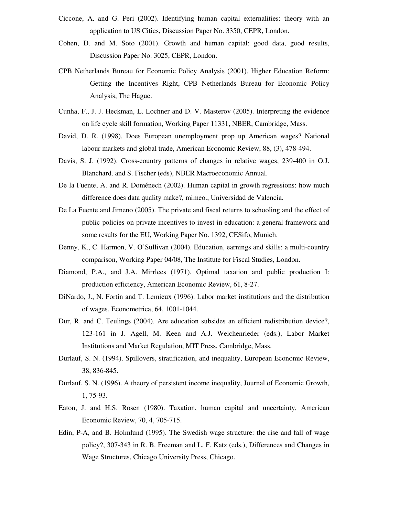- Ciccone, A. and G. Peri (2002). Identifying human capital externalities: theory with an application to US Cities, Discussion Paper No. 3350, CEPR, London.
- Cohen, D. and M. Soto (2001). Growth and human capital: good data, good results, Discussion Paper No. 3025, CEPR, London.
- CPB Netherlands Bureau for Economic Policy Analysis (2001). Higher Education Reform: Getting the Incentives Right, CPB Netherlands Bureau for Economic Policy Analysis, The Hague.
- Cunha, F., J. J. Heckman, L. Lochner and D. V. Masterov (2005). Interpreting the evidence on life cycle skill formation, Working Paper 11331, NBER, Cambridge, Mass.
- David, D. R. (1998). Does European unemployment prop up American wages? National labour markets and global trade, American Economic Review, 88, (3), 478-494.
- Davis, S. J. (1992). Cross-country patterns of changes in relative wages, 239-400 in O.J. Blanchard. and S. Fischer (eds), NBER Macroeconomic Annual.
- De la Fuente, A. and R. Doménech (2002). Human capital in growth regressions: how much difference does data quality make?, mimeo., Universidad de Valencia.
- De La Fuente and Jimeno (2005). The private and fiscal returns to schooling and the effect of public policies on private incentives to invest in education: a general framework and some results for the EU, Working Paper No. 1392, CESifo, Munich.
- Denny, K., C. Harmon, V. O'Sullivan (2004). Education, earnings and skills: a multi-country comparison, Working Paper 04/08, The Institute for Fiscal Studies, London.
- Diamond, P.A., and J.A. Mirrlees (1971). Optimal taxation and public production I: production efficiency, American Economic Review, 61, 8-27.
- DiNardo, J., N. Fortin and T. Lemieux (1996). Labor market institutions and the distribution of wages, Econometrica, 64, 1001-1044.
- Dur, R. and C. Teulings (2004). Are education subsides an efficient redistribution device?, 123-161 in J. Agell, M. Keen and A.J. Weichenrieder (eds.), Labor Market Institutions and Market Regulation, MIT Press, Cambridge, Mass.
- Durlauf, S. N. (1994). Spillovers, stratification, and inequality, European Economic Review, 38, 836-845.
- Durlauf, S. N. (1996). A theory of persistent income inequality, Journal of Economic Growth, 1, 75-93.
- Eaton, J. and H.S. Rosen (1980). Taxation, human capital and uncertainty, American Economic Review, 70, 4, 705-715.
- Edin, P-A, and B. Holmlund (1995). The Swedish wage structure: the rise and fall of wage policy?, 307-343 in R. B. Freeman and L. F. Katz (eds.), Differences and Changes in Wage Structures, Chicago University Press, Chicago.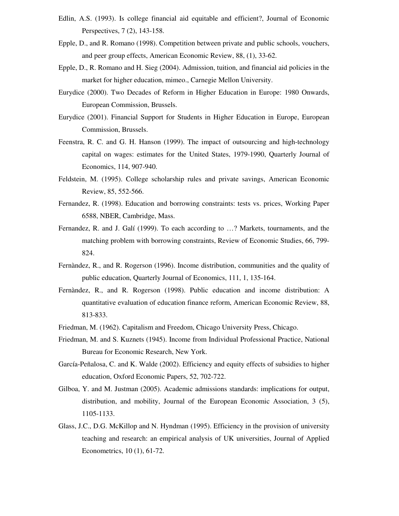- Edlin, A.S. (1993). Is college financial aid equitable and efficient?, Journal of Economic Perspectives, 7 (2), 143-158.
- Epple, D., and R. Romano (1998). Competition between private and public schools, vouchers, and peer group effects, American Economic Review, 88, (1), 33-62.
- Epple, D., R. Romano and H. Sieg (2004). Admission, tuition, and financial aid policies in the market for higher education, mimeo., Carnegie Mellon University.
- Eurydice (2000). Two Decades of Reform in Higher Education in Europe: 1980 Onwards, European Commission, Brussels.
- Eurydice (2001). Financial Support for Students in Higher Education in Europe, European Commission, Brussels.
- Feenstra, R. C. and G. H. Hanson (1999). The impact of outsourcing and high-technology capital on wages: estimates for the United States, 1979-1990, Quarterly Journal of Economics, 114, 907-940.
- Feldstein, M. (1995). College scholarship rules and private savings, American Economic Review, 85, 552-566.
- Fernandez, R. (1998). Education and borrowing constraints: tests vs. prices, Working Paper 6588, NBER, Cambridge, Mass.
- Fernandez, R. and J. Galí (1999). To each according to …? Markets, tournaments, and the matching problem with borrowing constraints, Review of Economic Studies, 66, 799- 824.
- Fernàndez, R., and R. Rogerson (1996). Income distribution, communities and the quality of public education, Quarterly Journal of Economics, 111, 1, 135-164.
- Fernàndez, R., and R. Rogerson (1998). Public education and income distribution: A quantitative evaluation of education finance reform, American Economic Review, 88, 813-833.
- Friedman, M. (1962). Capitalism and Freedom, Chicago University Press, Chicago.
- Friedman, M. and S. Kuznets (1945). Income from Individual Professional Practice, National Bureau for Economic Research, New York.
- García-Peñalosa, C. and K. Walde (2002). Efficiency and equity effects of subsidies to higher education, Oxford Economic Papers, 52, 702-722.
- Gilboa, Y. and M. Justman (2005). Academic admissions standards: implications for output, distribution, and mobility, Journal of the European Economic Association, 3 (5), 1105-1133.
- Glass, J.C., D.G. McKillop and N. Hyndman (1995). Efficiency in the provision of university teaching and research: an empirical analysis of UK universities, Journal of Applied Econometrics, 10 (1), 61-72.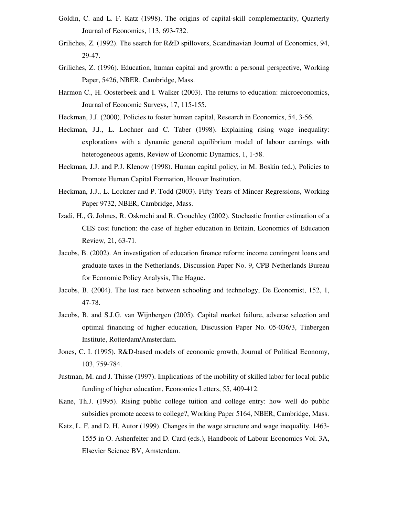- Goldin, C. and L. F. Katz (1998). The origins of capital-skill complementarity, Quarterly Journal of Economics, 113, 693-732.
- Griliches, Z. (1992). The search for R&D spillovers, Scandinavian Journal of Economics, 94, 29-47.
- Griliches, Z. (1996). Education, human capital and growth: a personal perspective, Working Paper, 5426, NBER, Cambridge, Mass.
- Harmon C., H. Oosterbeek and I. Walker (2003). The returns to education: microeconomics, Journal of Economic Surveys, 17, 115-155.
- Heckman, J.J. (2000). Policies to foster human capital, Research in Economics, 54, 3-56.
- Heckman, J.J., L. Lochner and C. Taber (1998). Explaining rising wage inequality: explorations with a dynamic general equilibrium model of labour earnings with heterogeneous agents, Review of Economic Dynamics, 1, 1-58.
- Heckman, J.J. and P.J. Klenow (1998). Human capital policy, in M. Boskin (ed.), Policies to Promote Human Capital Formation, Hoover Institution.
- Heckman, J.J., L. Lockner and P. Todd (2003). Fifty Years of Mincer Regressions, Working Paper 9732, NBER, Cambridge, Mass.
- Izadi, H., G. Johnes, R. Oskrochi and R. Crouchley (2002). Stochastic frontier estimation of a CES cost function: the case of higher education in Britain, Economics of Education Review, 21, 63-71.
- Jacobs, B. (2002). An investigation of education finance reform: income contingent loans and graduate taxes in the Netherlands, Discussion Paper No. 9, CPB Netherlands Bureau for Economic Policy Analysis, The Hague.
- Jacobs, B. (2004). The lost race between schooling and technology, De Economist, 152, 1, 47-78.
- Jacobs, B. and S.J.G. van Wijnbergen (2005). Capital market failure, adverse selection and optimal financing of higher education, Discussion Paper No. 05-036/3, Tinbergen Institute, Rotterdam/Amsterdam.
- Jones, C. I. (1995). R&D-based models of economic growth, Journal of Political Economy, 103, 759-784.
- Justman, M. and J. Thisse (1997). Implications of the mobility of skilled labor for local public funding of higher education, Economics Letters, 55, 409-412.
- Kane, Th.J. (1995). Rising public college tuition and college entry: how well do public subsidies promote access to college?, Working Paper 5164, NBER, Cambridge, Mass.
- Katz, L. F. and D. H. Autor (1999). Changes in the wage structure and wage inequality, 1463- 1555 in O. Ashenfelter and D. Card (eds.), Handbook of Labour Economics Vol. 3A, Elsevier Science BV, Amsterdam.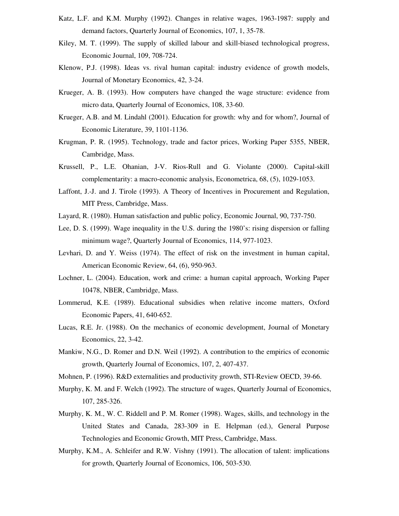- Katz, L.F. and K.M. Murphy (1992). Changes in relative wages, 1963-1987: supply and demand factors, Quarterly Journal of Economics, 107, 1, 35-78.
- Kiley, M. T. (1999). The supply of skilled labour and skill-biased technological progress, Economic Journal, 109, 708-724.
- Klenow, P.J. (1998). Ideas vs. rival human capital: industry evidence of growth models, Journal of Monetary Economics, 42, 3-24.
- Krueger, A. B. (1993). How computers have changed the wage structure: evidence from micro data, Quarterly Journal of Economics, 108, 33-60.
- Krueger, A.B. and M. Lindahl (2001). Education for growth: why and for whom?, Journal of Economic Literature, 39, 1101-1136.
- Krugman, P. R. (1995). Technology, trade and factor prices, Working Paper 5355, NBER, Cambridge, Mass.
- Krussell, P., L.E. Ohanian, J-V. Rios-Rull and G. Violante (2000). Capital-skill complementarity: a macro-economic analysis, Econometrica, 68, (5), 1029-1053.
- Laffont, J.-J. and J. Tirole (1993). A Theory of Incentives in Procurement and Regulation, MIT Press, Cambridge, Mass.
- Layard, R. (1980). Human satisfaction and public policy, Economic Journal, 90, 737-750.
- Lee, D. S. (1999). Wage inequality in the U.S. during the 1980's: rising dispersion or falling minimum wage?, Quarterly Journal of Economics, 114, 977-1023.
- Levhari, D. and Y. Weiss (1974). The effect of risk on the investment in human capital, American Economic Review, 64, (6), 950-963.
- Lochner, L. (2004). Education, work and crime: a human capital approach, Working Paper 10478, NBER, Cambridge, Mass.
- Lommerud, K.E. (1989). Educational subsidies when relative income matters, Oxford Economic Papers, 41, 640-652.
- Lucas, R.E. Jr. (1988). On the mechanics of economic development, Journal of Monetary Economics, 22, 3-42.
- Mankiw, N.G., D. Romer and D.N. Weil (1992). A contribution to the empirics of economic growth, Quarterly Journal of Economics, 107, 2, 407-437.
- Mohnen, P. (1996). R&D externalities and productivity growth, STI-Review OECD, 39-66.
- Murphy, K. M. and F. Welch (1992). The structure of wages, Quarterly Journal of Economics, 107, 285-326.
- Murphy, K. M., W. C. Riddell and P. M. Romer (1998). Wages, skills, and technology in the United States and Canada, 283-309 in E. Helpman (ed.), General Purpose Technologies and Economic Growth, MIT Press, Cambridge, Mass.
- Murphy, K.M., A. Schleifer and R.W. Vishny (1991). The allocation of talent: implications for growth, Quarterly Journal of Economics, 106, 503-530.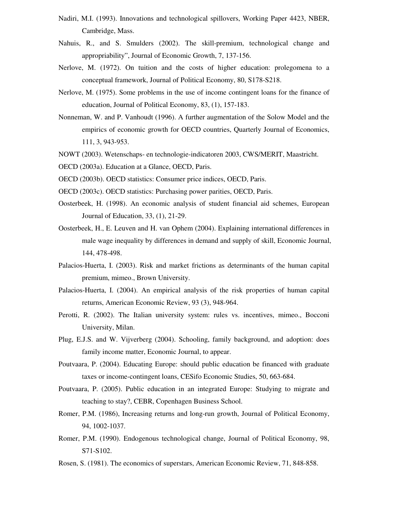- Nadiri, M.I. (1993). Innovations and technological spillovers, Working Paper 4423, NBER, Cambridge, Mass.
- Nahuis, R., and S. Smulders (2002). The skill-premium, technological change and appropriability", Journal of Economic Growth, 7, 137-156.
- Nerlove, M. (1972). On tuition and the costs of higher education: prolegomena to a conceptual framework, Journal of Political Economy, 80, S178-S218.
- Nerlove, M. (1975). Some problems in the use of income contingent loans for the finance of education, Journal of Political Economy, 83, (1), 157-183.
- Nonneman, W. and P. Vanhoudt (1996). A further augmentation of the Solow Model and the empirics of economic growth for OECD countries, Quarterly Journal of Economics, 111, 3, 943-953.
- NOWT (2003). Wetenschaps- en technologie-indicatoren 2003, CWS/MERIT, Maastricht.
- OECD (2003a). Education at a Glance, OECD, Paris.
- OECD (2003b). OECD statistics: Consumer price indices, OECD, Paris.
- OECD (2003c). OECD statistics: Purchasing power parities, OECD, Paris.
- Oosterbeek, H. (1998). An economic analysis of student financial aid schemes, European Journal of Education, 33, (1), 21-29.
- Oosterbeek, H., E. Leuven and H. van Ophem (2004). Explaining international differences in male wage inequality by differences in demand and supply of skill, Economic Journal, 144, 478-498.
- Palacios-Huerta, I. (2003). Risk and market frictions as determinants of the human capital premium, mimeo., Brown University.
- Palacios-Huerta, I. (2004). An empirical analysis of the risk properties of human capital returns, American Economic Review, 93 (3), 948-964.
- Perotti, R. (2002). The Italian university system: rules vs. incentives, mimeo., Bocconi University, Milan.
- Plug, E.J.S. and W. Vijverberg (2004). Schooling, family background, and adoption: does family income matter, Economic Journal, to appear.
- Poutvaara, P. (2004). Educating Europe: should public education be financed with graduate taxes or income-contingent loans, CESifo Economic Studies, 50, 663-684.
- Poutvaara, P. (2005). Public education in an integrated Europe: Studying to migrate and teaching to stay?, CEBR, Copenhagen Business School.
- Romer, P.M. (1986), Increasing returns and long-run growth, Journal of Political Economy, 94, 1002-1037.
- Romer, P.M. (1990). Endogenous technological change, Journal of Political Economy, 98, S71-S102.
- Rosen, S. (1981). The economics of superstars, American Economic Review, 71, 848-858.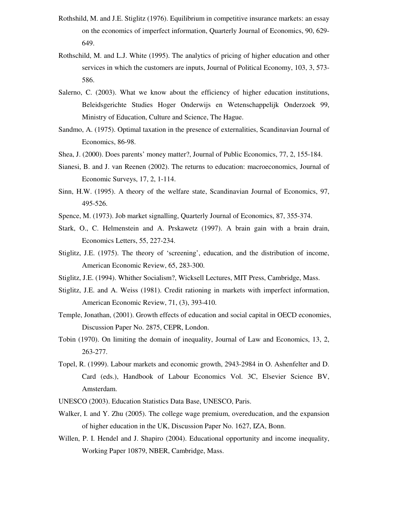- Rothshild, M. and J.E. Stiglitz (1976). Equilibrium in competitive insurance markets: an essay on the economics of imperfect information, Quarterly Journal of Economics, 90, 629- 649.
- Rothschild, M. and L.J. White (1995). The analytics of pricing of higher education and other services in which the customers are inputs, Journal of Political Economy, 103, 3, 573- 586.
- Salerno, C. (2003). What we know about the efficiency of higher education institutions, Beleidsgerichte Studies Hoger Onderwijs en Wetenschappelijk Onderzoek 99, Ministry of Education, Culture and Science, The Hague.
- Sandmo, A. (1975). Optimal taxation in the presence of externalities, Scandinavian Journal of Economics, 86-98.
- Shea, J. (2000). Does parents' money matter?, Journal of Public Economics, 77, 2, 155-184.
- Sianesi, B. and J. van Reenen (2002). The returns to education: macroeconomics, Journal of Economic Surveys, 17, 2, 1-114.
- Sinn, H.W. (1995). A theory of the welfare state, Scandinavian Journal of Economics, 97, 495-526.
- Spence, M. (1973). Job market signalling, Quarterly Journal of Economics, 87, 355-374.
- Stark, O., C. Helmenstein and A. Prskawetz (1997). A brain gain with a brain drain, Economics Letters, 55, 227-234.
- Stiglitz, J.E. (1975). The theory of 'screening', education, and the distribution of income, American Economic Review, 65, 283-300.
- Stiglitz, J.E. (1994). Whither Socialism?, Wicksell Lectures, MIT Press, Cambridge, Mass.
- Stiglitz, J.E. and A. Weiss (1981). Credit rationing in markets with imperfect information, American Economic Review, 71, (3), 393-410.
- Temple, Jonathan, (2001). Growth effects of education and social capital in OECD economies, Discussion Paper No. 2875, CEPR, London.
- Tobin (1970). On limiting the domain of inequality, Journal of Law and Economics, 13, 2, 263-277.
- Topel, R. (1999). Labour markets and economic growth, 2943-2984 in O. Ashenfelter and D. Card (eds.), Handbook of Labour Economics Vol. 3C, Elsevier Science BV, Amsterdam.
- UNESCO (2003). Education Statistics Data Base, UNESCO, Paris.
- Walker, I. and Y. Zhu (2005). The college wage premium, overeducation, and the expansion of higher education in the UK, Discussion Paper No. 1627, IZA, Bonn.
- Willen, P. I. Hendel and J. Shapiro (2004). Educational opportunity and income inequality, Working Paper 10879, NBER, Cambridge, Mass.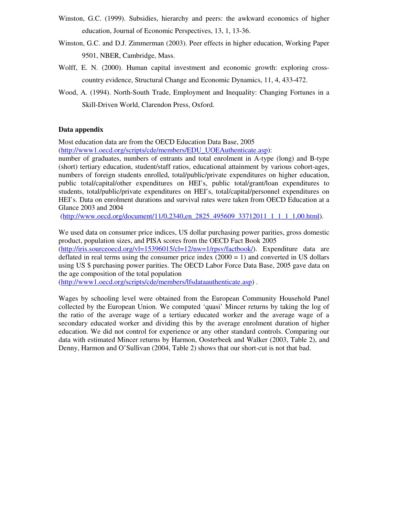- Winston, G.C. (1999). Subsidies, hierarchy and peers: the awkward economics of higher education, Journal of Economic Perspectives, 13, 1, 13-36.
- Winston, G.C. and D.J. Zimmerman (2003). Peer effects in higher education, Working Paper 9501, NBER, Cambridge, Mass.
- Wolff, E. N. (2000). Human capital investment and economic growth: exploring crosscountry evidence, Structural Change and Economic Dynamics, 11, 4, 433-472.
- Wood, A. (1994). North-South Trade, Employment and Inequality: Changing Fortunes in a Skill-Driven World, Clarendon Press, Oxford.

### **Data appendix**

Most education data are from the OECD Education Data Base, 2005 (http://www1.oecd.org/scripts/cde/members/EDU\_UOEAuthenticate.asp):

number of graduates, numbers of entrants and total enrolment in A-type (long) and B-type (short) tertiary education, student/staff ratios, educational attainment by various cohort-ages, numbers of foreign students enrolled, total/public/private expenditures on higher education, public total/capital/other expenditures on HEI's, public total/grant/loan expenditures to students, total/public/private expenditures on HEI's, total/capital/personnel expenditures on HEI's. Data on enrolment durations and survival rates were taken from OECD Education at a Glance 2003 and 2004

(http://www.oecd.org/document/11/0,2340,en\_2825\_495609\_33712011\_1\_1\_1\_1,00.html).

We used data on consumer price indices, US dollar purchasing power parities, gross domestic product, population sizes, and PISA scores from the OECD Fact Book 2005  $(\text{http://iris.sourceoecd.org/vl=15396015/cl=12/nw=1/rpsv/factbook/}).$  Expenditure data are deflated in real terms using the consumer price index  $(2000 = 1)$  and converted in US dollars using US \$ purchasing power parities. The OECD Labor Force Data Base, 2005 gave data on the age composition of the total population

(http://www1.oecd.org/scripts/cde/members/lfsdataauthenticate.asp) .

Wages by schooling level were obtained from the European Community Household Panel collected by the European Union. We computed 'quasi' Mincer returns by taking the log of the ratio of the average wage of a tertiary educated worker and the average wage of a secondary educated worker and dividing this by the average enrolment duration of higher education. We did not control for experience or any other standard controls. Comparing our data with estimated Mincer returns by Harmon, Oosterbeek and Walker (2003, Table 2), and Denny, Harmon and O'Sullivan (2004, Table 2) shows that our short-cut is not that bad.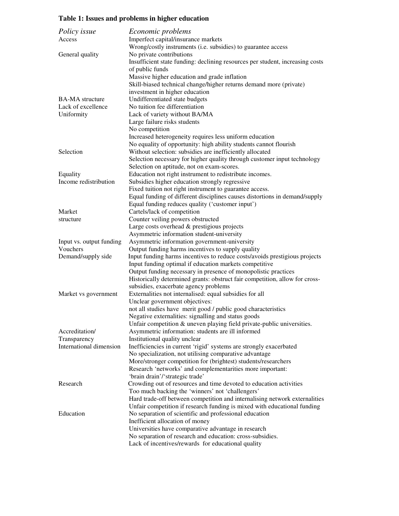## **Table 1: Issues and problems in higher education**

| Policy issue             | <i>Economic problems</i>                                                                                                                      |
|--------------------------|-----------------------------------------------------------------------------------------------------------------------------------------------|
| Access                   | Imperfect capital/insurance markets                                                                                                           |
|                          | Wrong/costly instruments (i.e. subsidies) to guarantee access                                                                                 |
| General quality          | No private contributions                                                                                                                      |
|                          | Insufficient state funding: declining resources per student, increasing costs                                                                 |
|                          | of public funds                                                                                                                               |
|                          | Massive higher education and grade inflation                                                                                                  |
|                          | Skill-biased technical change/higher returns demand more (private)                                                                            |
|                          | investment in higher education                                                                                                                |
| <b>BA-MA</b> structure   | Undifferentiated state budgets                                                                                                                |
| Lack of excellence       | No tuition fee differentiation                                                                                                                |
| Uniformity               | Lack of variety without BA/MA                                                                                                                 |
|                          | Large failure risks students                                                                                                                  |
|                          | No competition                                                                                                                                |
|                          | Increased heterogeneity requires less uniform education                                                                                       |
|                          | No equality of opportunity: high ability students cannot flourish                                                                             |
| Selection                | Without selection: subsidies are inefficiently allocated                                                                                      |
|                          | Selection necessary for higher quality through customer input technology                                                                      |
|                          | Selection on aptitude, not on exam-scores.                                                                                                    |
| Equality                 | Education not right instrument to redistribute incomes.                                                                                       |
| Income redistribution    | Subsidies higher education strongly regressive                                                                                                |
|                          | Fixed tuition not right instrument to guarantee access.                                                                                       |
|                          | Equal funding of different disciplines causes distortions in demand/supply                                                                    |
|                          | Equal funding reduces quality ('customer input')                                                                                              |
| Market                   | Cartels/lack of competition                                                                                                                   |
| structure                | Counter veiling powers obstructed                                                                                                             |
|                          | Large costs overhead & prestigious projects                                                                                                   |
|                          | Asymmetric information student-university                                                                                                     |
| Input vs. output funding | Asymmetric information government-university                                                                                                  |
| Vouchers                 | Output funding harms incentives to supply quality                                                                                             |
| Demand/supply side       | Input funding harms incentives to reduce costs/avoids prestigious projects                                                                    |
|                          | Input funding optimal if education markets competitive                                                                                        |
|                          | Output funding necessary in presence of monopolistic practices<br>Historically determined grants: obstruct fair competition, allow for cross- |
|                          | subsidies, exacerbate agency problems                                                                                                         |
| Market vs government     | Externalities not internalised: equal subsidies for all                                                                                       |
|                          | Unclear government objectives:                                                                                                                |
|                          | not all studies have merit good / public good characteristics                                                                                 |
|                          | Negative externalities: signalling and status goods                                                                                           |
|                          | Unfair competition & uneven playing field private-public universities.                                                                        |
| Accreditation/           | Asymmetric information: students are ill informed                                                                                             |
| Transparency             | Institutional quality unclear                                                                                                                 |
| International dimension  | Inefficiencies in current 'rigid' systems are strongly exacerbated                                                                            |
|                          | No specialization, not utilising comparative advantage                                                                                        |
|                          | More/stronger competition for (brightest) students/researchers                                                                                |
|                          | Research 'networks' and complementarities more important:                                                                                     |
|                          | 'brain drain'/'strategic trade'                                                                                                               |
| Research                 | Crowding out of resources and time devoted to education activities                                                                            |
|                          | Too much backing the 'winners' not 'challengers'                                                                                              |
|                          | Hard trade-off between competition and internalising network externalities                                                                    |
|                          | Unfair competition if research funding is mixed with educational funding                                                                      |
| Education                | No separation of scientific and professional education                                                                                        |
|                          | Inefficient allocation of money                                                                                                               |
|                          | Universities have comparative advantage in research                                                                                           |
|                          | No separation of research and education: cross-subsidies.                                                                                     |
|                          | Lack of incentives/rewards for educational quality                                                                                            |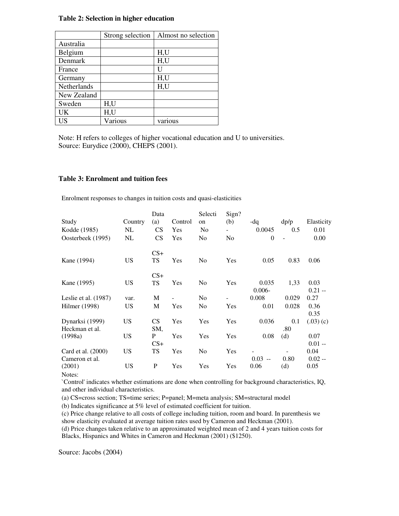### **Table 2: Selection in higher education**

|             | Strong selection | Almost no selection |
|-------------|------------------|---------------------|
| Australia   |                  |                     |
| Belgium     |                  | H,U                 |
| Denmark     |                  | H,U                 |
| France      |                  | Ħ                   |
| Germany     |                  | H,U                 |
| Netherlands |                  | H,U                 |
| New Zealand |                  |                     |
| Sweden      | H,U              |                     |
| UK          | H,U              |                     |
| US          | Various          | various             |

Note: H refers to colleges of higher vocational education and U to universities. Source: Eurydice (2000), CHEPS (2001).

#### **Table 3: Enrolment and tuition fees**

Enrolment responses to changes in tuition costs and quasi-elasticities

|                        |           | Data      |                | Selecti        | Sign?                    |             |                          |            |
|------------------------|-----------|-----------|----------------|----------------|--------------------------|-------------|--------------------------|------------|
| Study                  | Country   | (a)       | Control        | on             | (b)                      | -dq         | dp/p                     | Elasticity |
| Kodde (1985)           | NL        | <b>CS</b> | Yes            | N <sub>0</sub> | $\overline{\phantom{0}}$ | 0.0045      | 0.5                      | 0.01       |
| Oosterbeek (1995)      | NL        | <b>CS</b> | Yes            | N <sub>0</sub> | N <sub>0</sub>           | $\theta$    | $\overline{a}$           | 0.00       |
|                        |           | $CS+$     |                |                |                          |             |                          |            |
| Kane (1994)            | <b>US</b> | <b>TS</b> | Yes            | N <sub>0</sub> | Yes                      | 0.05        | 0.83                     | 0.06       |
|                        |           | $CS+$     |                |                |                          |             |                          |            |
| Kane (1995)            | US        | <b>TS</b> | Yes            | N <sub>0</sub> | Yes                      | 0.035       | 1,33                     | 0.03       |
|                        |           |           |                |                |                          | $0.006 -$   |                          | $0.21 -$   |
| Leslie et al. $(1987)$ | var.      | M         | $\overline{a}$ | N <sub>0</sub> | $\overline{\phantom{0}}$ | 0.008       | 0.029                    | 0.27       |
| Hilmer (1998)          | US        | M         | Yes            | N <sub>0</sub> | Yes                      | 0.01        | 0.028                    | 0.36       |
|                        |           |           |                |                |                          |             |                          | 0.35       |
| Dynarksi (1999)        | <b>US</b> | <b>CS</b> | Yes            | Yes            | Yes                      | 0.036       | 0.1                      | (.03)(c)   |
| Heckman et al.         |           | SM,       |                |                |                          |             | .80                      |            |
| (1998a)                | US        | P         | Yes            | Yes            | Yes                      | 0.08        | (d)                      | 0.07       |
|                        |           | $CS+$     |                |                |                          |             |                          | $0.01 -$   |
| Card et al. (2000)     | US        | TS        | Yes            | N <sub>0</sub> | Yes                      |             | $\overline{\phantom{a}}$ | 0.04       |
| Cameron et al.         |           |           |                |                |                          | 0.03<br>$-$ | 0.80                     | $0.02 -$   |
| (2001)                 | US        | P         | Yes            | Yes            | Yes                      | 0.06        | (d)                      | 0.05       |
| Notes:                 |           |           |                |                |                          |             |                          |            |

`Control'indicates whether estimations are done when controlling for background characteristics, IQ, and other individual characteristics.

(a) CS=cross section; TS=time series; P=panel; M=meta analysis; SM=structural model

(b) Indicates significance at 5% level of estimated coefficient for tuition.

(c) Price change relative to all costs of college including tuition, room and board. In parenthesis we show elasticity evaluated at average tuition rates used by Cameron and Heckman (2001).

(d) Price changes taken relative to an approximated weighted mean of 2 and 4 years tuition costs for Blacks, Hispanics and Whites in Cameron and Heckman (2001) (\$1250).

Source: Jacobs (2004)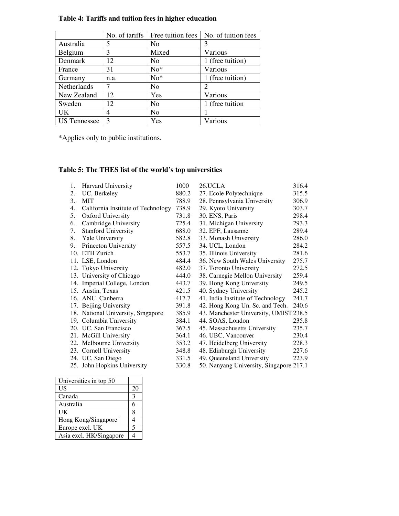|                     | No. of tariffs | Free tuition fees | No. of tuition fees |
|---------------------|----------------|-------------------|---------------------|
| Australia           | 5              | No                | 3                   |
| Belgium             | 3              | Mixed             | Various             |
| Denmark             | 12             | N <sub>0</sub>    | 1 (free tuition)    |
| France              | 31             | $No*$             | Various             |
| Germany             | n.a.           | $No*$             | 1 (free tuition)    |
| Netherlands         |                | N <sub>0</sub>    | $\mathfrak{D}$      |
| New Zealand         | 12             | Yes               | Various             |
| Sweden              | 12             | N <sub>0</sub>    | 1 (free tuition     |
| UK                  | 4              | N <sub>0</sub>    |                     |
| <b>US</b> Tennessee | 3              | Yes               | Various             |

### **Table 4: Tariffs and tuition fees in higher education**

\*Applies only to public institutions.

# **Table 5: The THES list of the world's top universities**

| 1. | Harvard University                 | 1000  | 26.UCLA                                 | 316.4 |
|----|------------------------------------|-------|-----------------------------------------|-------|
| 2. | UC, Berkeley                       | 880.2 | 27. Ecole Polytechnique                 | 315.5 |
| 3. | MIT                                | 788.9 | 28. Pennsylvania University             | 306.9 |
| 4. | California Institute of Technology | 738.9 | 29. Kyoto University                    | 303.7 |
| 5. | <b>Oxford University</b>           | 731.8 | 30. ENS, Paris                          | 298.4 |
| 6. | Cambridge University               | 725.4 | 31. Michigan University                 | 293.3 |
| 7. | <b>Stanford University</b>         | 688.0 | 32. EPF, Lausanne                       | 289.4 |
| 8. | Yale University                    | 582.8 | 33. Monash University                   | 286.0 |
| 9. | Princeton University               | 557.5 | 34. UCL, London                         | 284.2 |
|    | 10. ETH Zurich                     | 553.7 | 35. Illinois University                 | 281.6 |
|    | 11. LSE, London                    | 484.4 | 36. New South Wales University          | 275.7 |
|    | 12. Tokyo University               | 482.0 | 37. Toronto University                  | 272.5 |
|    | 13. University of Chicago          | 444.0 | 38. Carnegie Mellon University          | 259.4 |
|    | 14. Imperial College, London       | 443.7 | 39. Hong Kong University                | 249.5 |
|    | 15. Austin, Texas                  | 421.5 | 40. Sydney University                   | 245.2 |
|    | 16. ANU, Canberra                  | 417.7 | 41. India Institute of Technology       | 241.7 |
|    | 17. Beijing University             | 391.8 | 42. Hong Kong Un. Sc. and Tech.         | 240.6 |
|    | 18. National University, Singapore | 385.9 | 43. Manchester University, UMIST 238.5  |       |
|    | 19. Columbia University            | 384.1 | 44. SOAS, London                        | 235.8 |
|    | 20. UC, San Francisco              | 367.5 | 45. Massachusetts University            | 235.7 |
|    | 21. McGill University              | 364.1 | 46. UBC, Vancouver                      | 230.4 |
|    | 22. Melbourne University           | 353.2 | 47. Heidelberg University               | 228.3 |
|    | 23. Cornell University             | 348.8 | 48. Edinburgh University                | 227.6 |
|    | 24. UC, San Diego                  | 331.5 | 49. Queensland University               | 223.9 |
|    | 25. John Hopkins University        | 330.8 | 50. Nanyang University, Singapore 217.1 |       |

| Universities in top 50  |  |    |
|-------------------------|--|----|
| US                      |  | 20 |
| Canada                  |  | 3  |
| Australia               |  | 6  |
| UK                      |  | 8  |
| Hong Kong/Singapore     |  |    |
| Europe excl. UK         |  | 5  |
| Asia excl. HK/Singapore |  |    |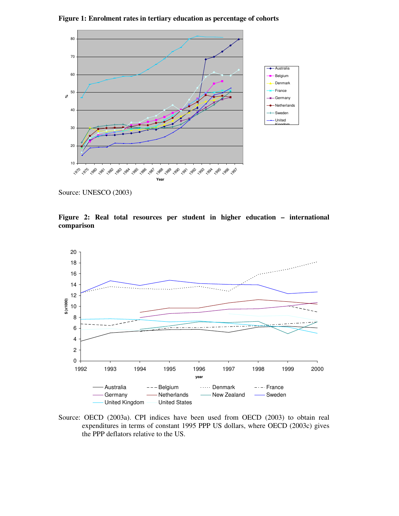

**Figure 1: Enrolment rates in tertiary education as percentage of cohorts**

Source: UNESCO (2003)

**Figure 2: Real total resources per student in higher education – international comparison**



Source: OECD (2003a). CPI indices have been used from OECD (2003) to obtain real expenditures in terms of constant 1995 PPP US dollars, where OECD (2003c) gives the PPP deflators relative to the US.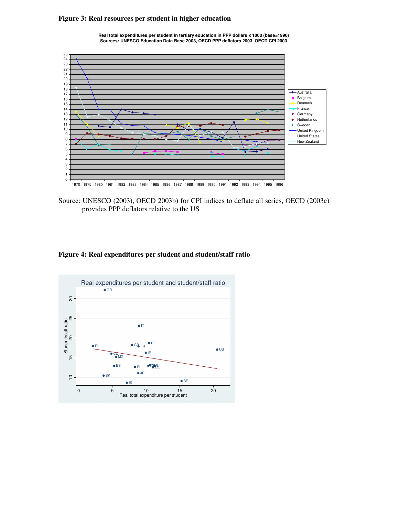### **Figure 3: Real resources per student in higher education**



**Real total expenditures per student in tertiary education in PPP dollars x 1000 (base=1990) Sources: UNESCO Education Data Base 2003, OECD PPP deflators 2003, OECD CPI 2003**

Source: UNESCO (2003), OECD 2003b) for CPI indices to deflate all series, OECD (2003c) provides PPP deflators relative to the US

### **Figure 4: Real expenditures per student and student/staff ratio**

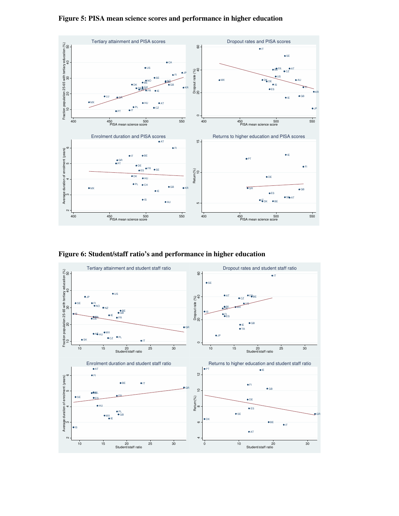



**Figure 6: Student/staff ratio's and performance in higher education**

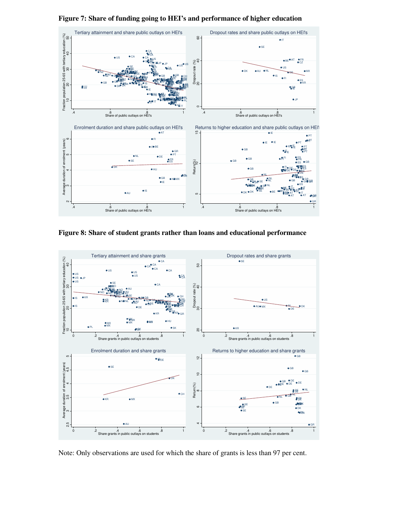

**Figure 7: Share of funding going to HEI's and performance of higher education**





Note: Only observations are used for which the share of grants is less than 97 per cent.